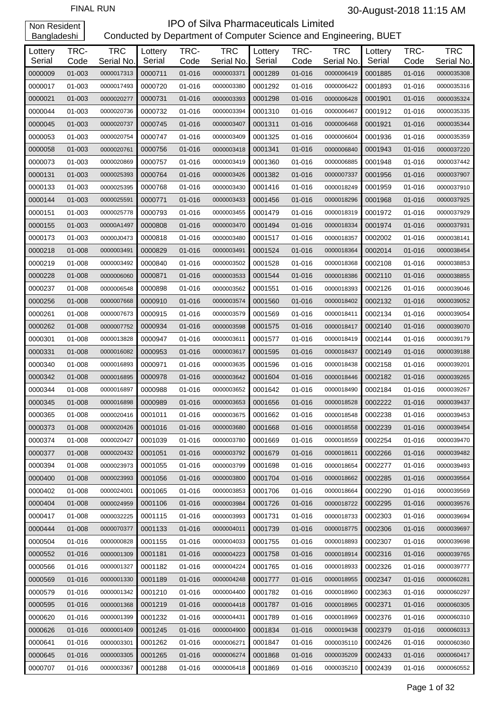| Lottery<br>Serial | TRC-<br>Code | <b>TRC</b><br>Serial No. | Lottery<br>Serial | TRC-<br>Code | <b>TRC</b><br>Serial No. | Lottery<br>Serial | TRC-<br>Code | <b>TRC</b><br>Serial No. | Lottery<br>Serial | TRC-<br>Code | <b>TRC</b><br>Serial No. |
|-------------------|--------------|--------------------------|-------------------|--------------|--------------------------|-------------------|--------------|--------------------------|-------------------|--------------|--------------------------|
| 0000009           | 01-003       | 0000017313               | 0000711           | 01-016       | 0000003371               | 0001289           | 01-016       | 0000006419               | 0001885           | 01-016       | 0000035308               |
| 0000017           | 01-003       | 0000017493               | 0000720           | 01-016       | 0000003380               | 0001292           | 01-016       | 0000006422               | 0001893           | 01-016       | 0000035316               |
| 0000021           | 01-003       | 0000020277               | 0000731           | 01-016       | 0000003393               | 0001298           | 01-016       | 0000006428               | 0001901           | 01-016       | 0000035324               |
| 0000044           | 01-003       | 0000020736               | 0000732           | 01-016       | 0000003394               | 0001310           | 01-016       | 0000006467               | 0001912           | 01-016       | 0000035335               |
| 0000045           | 01-003       | 0000020737               | 0000745           | 01-016       | 0000003407               | 0001311           | 01-016       | 0000006468               | 0001921           | 01-016       | 0000035344               |
| 0000053           | $01 - 003$   | 0000020754               | 0000747           | 01-016       | 0000003409               | 0001325           | 01-016       | 0000006604               | 0001936           | 01-016       | 0000035359               |
| 0000058           | 01-003       | 0000020761               | 0000756           | 01-016       | 0000003418               | 0001341           | 01-016       | 0000006840               | 0001943           | 01-016       | 0000037220               |
| 0000073           | 01-003       | 0000020869               | 0000757           | 01-016       | 0000003419               | 0001360           | 01-016       | 0000006885               | 0001948           | 01-016       | 0000037442               |
| 0000131           | 01-003       | 0000025393               | 0000764           | 01-016       | 0000003426               | 0001382           | 01-016       | 0000007337               | 0001956           | 01-016       | 0000037907               |
| 0000133           | 01-003       | 0000025395               | 0000768           | 01-016       | 0000003430               | 0001416           | 01-016       | 0000018249               | 0001959           | 01-016       | 0000037910               |
| 0000144           | 01-003       | 0000025591               | 0000771           | 01-016       | 0000003433               | 0001456           | 01-016       | 0000018296               | 0001968           | 01-016       | 0000037925               |
| 0000151           | 01-003       | 0000025778               | 0000793           | 01-016       | 0000003455               | 0001479           | 01-016       | 0000018319               | 0001972           | 01-016       | 0000037929               |
| 0000155           | 01-003       | 00000A1497               | 0000808           | 01-016       | 0000003470               | 0001494           | 01-016       | 0000018334               | 0001974           | 01-016       | 0000037931               |
| 0000173           | $01 - 003$   | 00000J0473               | 0000818           | 01-016       | 0000003480               | 0001517           | 01-016       | 0000018357               | 0002002           | 01-016       | 0000038141               |
| 0000218           | 01-008       | 0000003491               | 0000829           | 01-016       | 0000003491               | 0001524           | 01-016       | 0000018364               | 0002014           | 01-016       | 0000038454               |
| 0000219           | 01-008       | 0000003492               | 0000840           | 01-016       | 0000003502               | 0001528           | 01-016       | 0000018368               | 0002108           | 01-016       | 0000038853               |
| 0000228           | 01-008       | 0000006060               | 0000871           | 01-016       | 0000003533               | 0001544           | 01-016       | 0000018386               | 0002110           | 01-016       | 0000038855               |
| 0000237           | 01-008       | 0000006548               | 0000898           | 01-016       | 0000003562               | 0001551           | 01-016       | 0000018393               | 0002126           | 01-016       | 0000039046               |
| 0000256           | 01-008       | 0000007668               | 0000910           | 01-016       | 0000003574               | 0001560           | 01-016       | 0000018402               | 0002132           | 01-016       | 0000039052               |
| 0000261           | 01-008       | 0000007673               | 0000915           | 01-016       | 0000003579               | 0001569           | 01-016       | 0000018411               | 0002134           | 01-016       | 0000039054               |
| 0000262           | 01-008       | 0000007752               | 0000934           | 01-016       | 0000003598               | 0001575           | 01-016       | 0000018417               | 0002140           | 01-016       | 0000039070               |
| 0000301           | 01-008       | 0000013828               | 0000947           | 01-016       | 0000003611               | 0001577           | 01-016       | 0000018419               | 0002144           | 01-016       | 0000039179               |
| 0000331           | 01-008       | 0000016082               | 0000953           | 01-016       | 0000003617               | 0001595           | 01-016       | 0000018437               | 0002149           | 01-016       | 0000039188               |
| 0000340           | 01-008       | 0000016893               | 0000971           | 01-016       | 0000003635               | 0001596           | 01-016       | 0000018438               | 0002158           | 01-016       | 0000039201               |
| 0000342           | 01-008       | 0000016895               | 0000978           | 01-016       | 0000003642               | 0001604           | 01-016       | 0000018446               | 0002182           | 01-016       | 0000039265               |
| 0000344           | $01 - 008$   | 0000016897               | 0000988           | 01-016       | 0000003652               | 0001642           | 01-016       | 0000018490               | 0002184           | 01-016       | 0000039267               |
| 0000345           | 01-008       | 0000016898               | 0000989           | 01-016       | 0000003653               | 0001656           | 01-016       | 0000018528               | 0002222           | 01-016       | 0000039437               |
| 0000365           | 01-008       | 0000020416               | 0001011           | 01-016       | 0000003675               | 0001662           | 01-016       | 0000018548               | 0002238           | 01-016       | 0000039453               |
| 0000373           | 01-008       | 0000020426               | 0001016           | 01-016       | 0000003680               | 0001668           | 01-016       | 0000018558               | 0002239           | 01-016       | 0000039454               |
| 0000374           | 01-008       | 0000020427               | 0001039           | 01-016       | 0000003780               | 0001669           | 01-016       | 0000018559               | 0002254           | 01-016       | 0000039470               |
| 0000377           | 01-008       | 0000020432               | 0001051           | 01-016       | 0000003792               | 0001679           | 01-016       | 0000018611               | 0002266           | 01-016       | 0000039482               |
| 0000394           | $01 - 008$   | 0000023973               | 0001055           | 01-016       | 0000003799               | 0001698           | 01-016       | 0000018654               | 0002277           | 01-016       | 0000039493               |
| 0000400           | 01-008       | 0000023993               | 0001056           | 01-016       | 0000003800               | 0001704           | 01-016       | 0000018662               | 0002285           | 01-016       | 0000039564               |
| 0000402           | 01-008       | 0000024001               | 0001065           | 01-016       | 0000003853               | 0001706           | 01-016       | 0000018664               | 0002290           | 01-016       | 0000039569               |
| 0000404           | 01-008       | 0000024959               | 0001106           | 01-016       | 0000003984               | 0001726           | 01-016       | 0000018722               | 0002295           | 01-016       | 0000039576               |
| 0000417           | 01-008       | 0000032225               | 0001115           | 01-016       | 0000003993               | 0001731           | 01-016       | 0000018733               | 0002303           | 01-016       | 0000039694               |
| 0000444           | 01-008       | 0000070377               | 0001133           | 01-016       | 0000004011               | 0001739           | 01-016       | 0000018775               | 0002306           | 01-016       | 0000039697               |
| 0000504           | 01-016       | 0000000828               | 0001155           | 01-016       | 0000004033               | 0001755           | 01-016       | 0000018893               | 0002307           | 01-016       | 0000039698               |
| 0000552           | 01-016       | 0000001309               | 0001181           | 01-016       | 0000004223               | 0001758           | 01-016       | 0000018914               | 0002316           | 01-016       | 0000039765               |
| 0000566           | 01-016       | 0000001327               | 0001182           | 01-016       | 0000004224               | 0001765           | 01-016       | 0000018933               | 0002326           | 01-016       | 0000039777               |
| 0000569           | 01-016       | 0000001330               | 0001189           | 01-016       | 0000004248               | 0001777           | 01-016       | 0000018955               | 0002347           | 01-016       | 0000060281               |
| 0000579           | 01-016       | 0000001342               | 0001210           | 01-016       | 0000004400               | 0001782           | 01-016       | 0000018960               | 0002363           | 01-016       | 0000060297               |
| 0000595           | 01-016       | 0000001368               | 0001219           | 01-016       | 0000004418               | 0001787           | 01-016       | 0000018965               | 0002371           | 01-016       | 0000060305               |
| 0000620           | 01-016       | 0000001399               | 0001232           | 01-016       | 0000004431               | 0001789           | 01-016       | 0000018969               | 0002376           | 01-016       | 0000060310               |
| 0000626           | 01-016       | 0000001409               | 0001245           | 01-016       | 0000004900               | 0001834           | 01-016       | 0000019438               | 0002379           | 01-016       | 0000060313               |
| 0000641           | 01-016       | 0000003301               | 0001262           | 01-016       | 0000006271               | 0001847           | 01-016       | 0000035110               | 0002426           | 01-016       | 0000060360               |
| 0000645           | 01-016       | 0000003305               | 0001265           | 01-016       | 0000006274               | 0001868           | 01-016       | 0000035209               | 0002433           | 01-016       | 0000060417               |
| 0000707           | 01-016       | 0000003367               | 0001288           | 01-016       | 0000006418               | 0001869           | 01-016       | 0000035210               | 0002439           | 01-016       | 0000060552               |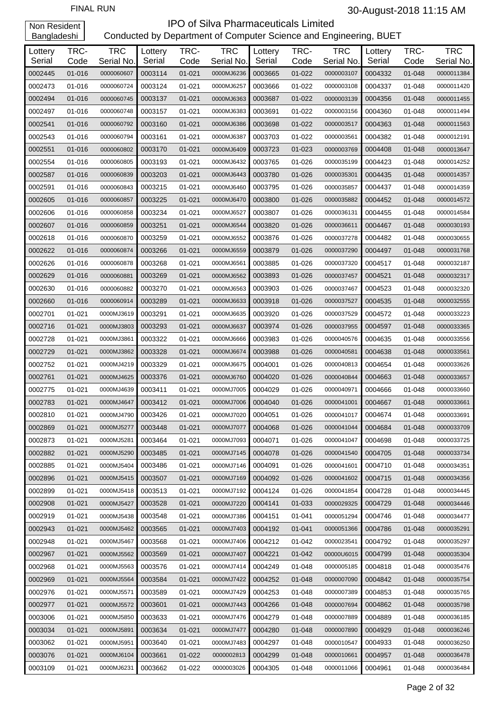| Lottery<br>Serial | TRC-<br>Code | <b>TRC</b><br>Serial No. | Lottery<br>Serial | TRC-<br>Code | <b>TRC</b><br>Serial No. | Lottery<br>Serial | TRC-<br>Code | <b>TRC</b><br>Serial No. | Lottery<br>Serial | TRC-<br>Code | <b>TRC</b><br>Serial No. |
|-------------------|--------------|--------------------------|-------------------|--------------|--------------------------|-------------------|--------------|--------------------------|-------------------|--------------|--------------------------|
| 0002445           | 01-016       | 0000060607               | 0003114           | $01 - 021$   | 0000MJ6236               | 0003665           | $01 - 022$   | 0000003107               | 0004332           | 01-048       | 0000011384               |
| 0002473           | 01-016       | 0000060724               | 0003124           | 01-021       | 0000MJ6257               | 0003666           | 01-022       | 0000003108               | 0004337           | 01-048       | 0000011420               |
| 0002494           | 01-016       | 0000060745               | 0003137           | 01-021       | 0000MJ6363               | 0003687           | $01 - 022$   | 0000003139               | 0004356           | 01-048       | 0000011455               |
| 0002497           | 01-016       | 0000060748               | 0003157           | 01-021       | 0000MJ6383               | 0003691           | 01-022       | 0000003156               | 0004360           | 01-048       | 0000011494               |
| 0002541           | 01-016       | 0000060792               | 0003160           | 01-021       | 0000MJ6386               | 0003698           | $01 - 022$   | 0000003517               | 0004363           | 01-048       | 0000011563               |
| 0002543           | 01-016       | 0000060794               | 0003161           | 01-021       | 0000MJ6387               | 0003703           | 01-022       | 0000003561               | 0004382           | 01-048       | 0000012191               |
| 0002551           | 01-016       | 0000060802               | 0003170           | 01-021       | 0000MJ6409               | 0003723           | $01 - 023$   | 0000003769               | 0004408           | 01-048       | 0000013647               |
| 0002554           | 01-016       | 0000060805               | 0003193           | 01-021       | 0000MJ6432               | 0003765           | 01-026       | 0000035199               | 0004423           | 01-048       | 0000014252               |
| 0002587           | 01-016       | 0000060839               | 0003203           | 01-021       | 0000MJ6443               | 0003780           | 01-026       | 0000035301               | 0004435           | 01-048       | 0000014357               |
| 0002591           | 01-016       | 0000060843               | 0003215           | 01-021       | 0000MJ6460               | 0003795           | 01-026       | 0000035857               | 0004437           | 01-048       | 0000014359               |
| 0002605           |              |                          |                   |              |                          | 0003800           | 01-026       |                          | 0004452           |              |                          |
|                   | 01-016       | 0000060857               | 0003225           | 01-021       | 0000MJ6470               |                   |              | 0000035882               | 0004455           | 01-048       | 0000014572               |
| 0002606           | 01-016       | 0000060858               | 0003234           | 01-021       | 0000MJ6527               | 0003807           | 01-026       | 0000036131               |                   | 01-048       | 0000014584               |
| 0002607           | 01-016       | 0000060859               | 0003251           | 01-021       | 0000MJ6544               | 0003820           | 01-026       | 0000036611               | 0004467           | 01-048       | 0000030193               |
| 0002618           | 01-016       | 0000060870               | 0003259           | 01-021       | 0000MJ6552               | 0003876           | 01-026       | 0000037278               | 0004482           | $01 - 048$   | 0000030655               |
| 0002622           | 01-016       | 0000060874               | 0003266           | 01-021       | 0000MJ6559               | 0003879           | 01-026       | 0000037290               | 0004497           | 01-048       | 0000031768               |
| 0002626           | 01-016       | 0000060878               | 0003268           | 01-021       | 0000MJ6561               | 0003885           | 01-026       | 0000037320               | 0004517           | 01-048       | 0000032187               |
| 0002629           | 01-016       | 0000060881               | 0003269           | 01-021       | 0000MJ6562               | 0003893           | 01-026       | 0000037457               | 0004521           | 01-048       | 0000032317               |
| 0002630           | 01-016       | 0000060882               | 0003270           | 01-021       | 0000MJ6563               | 0003903           | 01-026       | 0000037467               | 0004523           | 01-048       | 0000032320               |
| 0002660           | 01-016       | 0000060914               | 0003289           | 01-021       | 0000MJ6633               | 0003918           | 01-026       | 0000037527               | 0004535           | 01-048       | 0000032555               |
| 0002701           | $01 - 021$   | 0000MJ3619               | 0003291           | 01-021       | 0000MJ6635               | 0003920           | 01-026       | 0000037529               | 0004572           | 01-048       | 0000033223               |
| 0002716           | $01 - 021$   | 0000MJ3803               | 0003293           | 01-021       | 0000MJ6637               | 0003974           | 01-026       | 0000037955               | 0004597           | 01-048       | 0000033365               |
| 0002728           | $01 - 021$   | 0000MJ3861               | 0003322           | 01-021       | 0000MJ6666               | 0003983           | 01-026       | 0000040576               | 0004635           | 01-048       | 0000033556               |
| 0002729           | $01 - 021$   | 0000MJ3862               | 0003328           | 01-021       | 0000MJ6674               | 0003988           | 01-026       | 0000040581               | 0004638           | 01-048       | 0000033561               |
| 0002752           | $01 - 021$   | 0000MJ4219               | 0003329           | 01-021       | 0000MJ6675               | 0004001           | 01-026       | 0000040813               | 0004654           | 01-048       | 0000033626               |
| 0002761           | $01 - 021$   | 0000MJ4625               | 0003376           | 01-021       | 0000MJ6760               | 0004020           | 01-026       | 0000040844               | 0004663           | 01-048       | 0000033657               |
| 0002775           | $01 - 021$   | 0000MJ4639               | 0003411           | 01-021       | 0000MJ7005               | 0004029           | 01-026       | 0000040971               | 0004666           | 01-048       | 0000033660               |
| 0002783           | $01 - 021$   | 0000MJ4647               | 0003412           | 01-021       | 0000MJ7006               | 0004040           | 01-026       | 0000041001               | 0004667           | 01-048       | 0000033661               |
| 0002810           | $01 - 021$   | 0000MJ4790               | 0003426           | 01-021       | 0000MJ7020               | 0004051           | 01-026       | 0000041017               | 0004674           | 01-048       | 0000033691               |
| 0002869           | $01 - 021$   | 0000MJ5277               | 0003448           | $01 - 021$   | 0000MJ7077               | 0004068           | 01-026       | 0000041044               | 0004684           | 01-048       | 0000033709               |
| 0002873           | 01-021       | 0000MJ5281               | 0003464           | 01-021       | 0000MJ7093               | 0004071           | 01-026       | 0000041047               | 0004698           | 01-048       | 0000033725               |
| 0002882           | $01 - 021$   | 0000MJ5290               | 0003485           | $01 - 021$   | 0000MJ7145               | 0004078           | 01-026       | 0000041540               | 0004705           | 01-048       | 0000033734               |
| 0002885           | 01-021       | 0000MJ5404               | 0003486           | 01-021       | 0000MJ7146               | 0004091           | 01-026       | 0000041601               | 0004710           | 01-048       | 0000034351               |
| 0002896           | $01 - 021$   | 0000MJ5415               | 0003507           | 01-021       | 0000MJ7169               | 0004092           | 01-026       | 0000041602               | 0004715           | 01-048       | 0000034356               |
| 0002899           | 01-021       | 0000MJ5418               | 0003513           | 01-021       | 0000MJ7192               | 0004124           | 01-026       | 0000041854               | 0004728           | 01-048       | 0000034445               |
| 0002908           | $01 - 021$   | 0000MJ5427               | 0003528           | 01-021       | 0000MJ7220               | 0004141           | 01-033       | 0000029325               | 0004729           | 01-048       | 0000034446               |
| 0002919           | $01 - 021$   | 0000MJ5438               | 0003548           | 01-021       | 0000MJ7386               | 0004151           | 01-041       | 0000051294               | 0004746           | 01-048       | 0000034477               |
| 0002943           | $01 - 021$   | 0000MJ5462               | 0003565           | 01-021       | 0000MJ7403               | 0004192           | $01 - 041$   | 0000051366               | 0004786           | 01-048       | 0000035291               |
| 0002948           | 01-021       | 0000MJ5467               | 0003568           | 01-021       | 0000MJ7406               | 0004212           | 01-042       | 0000023541               | 0004792           | 01-048       | 0000035297               |
| 0002967           | $01 - 021$   | 0000MJ5562               | 0003569           | 01-021       | 0000MJ7407               | 0004221           | 01-042       | 00000U6015               | 0004799           | 01-048       | 0000035304               |
| 0002968           | 01-021       | 0000MJ5563               | 0003576           | 01-021       | 0000MJ7414               | 0004249           | 01-048       | 0000005185               | 0004818           | 01-048       | 0000035476               |
| 0002969           | $01 - 021$   | 0000MJ5564               | 0003584           | 01-021       | 0000MJ7422               | 0004252           | 01-048       | 0000007090               | 0004842           | 01-048       | 0000035754               |
| 0002976           | 01-021       | 0000MJ5571               | 0003589           | 01-021       | 0000MJ7429               | 0004253           | 01-048       | 0000007389               | 0004853           | 01-048       | 0000035765               |
| 0002977           | $01 - 021$   | 0000MJ5572               | 0003601           | 01-021       | 0000MJ7443               | 0004266           | 01-048       | 0000007694               | 0004862           | 01-048       | 0000035798               |
| 0003006           | $01 - 021$   | 0000MJ5850               | 0003633           | 01-021       | 0000MJ7476               | 0004279           | 01-048       | 0000007889               | 0004889           | 01-048       | 0000036185               |
| 0003034           | $01 - 021$   | 0000MJ5891               | 0003634           | 01-021       | 0000MJ7477               | 0004280           | 01-048       | 0000007890               | 0004929           | 01-048       | 0000036246               |
| 0003062           | 01-021       | 0000MJ5951               | 0003640           | 01-021       | 0000MJ7483               | 0004297           | 01-048       | 0000010547               | 0004933           | 01-048       | 0000036250               |
| 0003076           | $01 - 021$   | 0000MJ6104               | 0003661           | 01-022       | 0000002813               | 0004299           | 01-048       | 0000010661               | 0004957           | 01-048       | 0000036478               |
| 0003109           | $01 - 021$   | 0000MJ6231               | 0003662           | 01-022       | 0000003026               | 0004305           | 01-048       | 0000011066               | 0004961           | 01-048       | 0000036484               |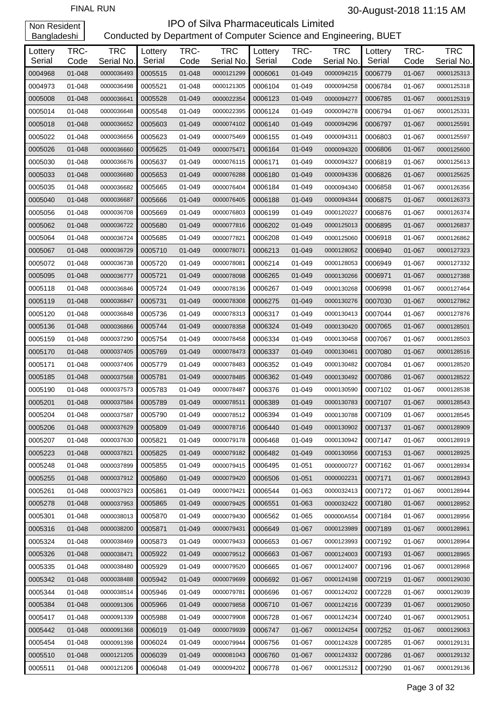| Lottery | TRC-   | <b>TRC</b> | Lottery | TRC-   | <b>TRC</b> | Lottery | TRC-       | <b>TRC</b> | Lottery | TRC-   | <b>TRC</b> |
|---------|--------|------------|---------|--------|------------|---------|------------|------------|---------|--------|------------|
| Serial  | Code   | Serial No. | Serial  | Code   | Serial No. | Serial  | Code       | Serial No. | Serial  | Code   | Serial No. |
| 0004968 | 01-048 | 0000036493 | 0005515 | 01-048 | 0000121299 | 0006061 | 01-049     | 0000094215 | 0006779 | 01-067 | 0000125313 |
| 0004973 | 01-048 | 0000036498 | 0005521 | 01-048 | 0000121305 | 0006104 | 01-049     | 0000094258 | 0006784 | 01-067 | 0000125318 |
| 0005008 | 01-048 | 0000036641 | 0005528 | 01-049 | 0000022354 | 0006123 | 01-049     | 0000094277 | 0006785 | 01-067 | 0000125319 |
| 0005014 | 01-048 | 0000036648 | 0005548 | 01-049 | 0000022395 | 0006124 | 01-049     | 0000094278 | 0006794 | 01-067 | 0000125331 |
| 0005018 | 01-048 | 0000036652 | 0005603 | 01-049 | 0000074102 | 0006140 | 01-049     | 0000094296 | 0006797 | 01-067 | 0000125591 |
| 0005022 | 01-048 | 0000036656 | 0005623 | 01-049 | 0000075469 | 0006155 | 01-049     | 0000094311 | 0006803 | 01-067 | 0000125597 |
| 0005026 | 01-048 | 0000036660 | 0005625 | 01-049 | 0000075471 | 0006164 | 01-049     | 0000094320 | 0006806 | 01-067 | 0000125600 |
| 0005030 | 01-048 | 0000036676 | 0005637 | 01-049 | 0000076115 | 0006171 | 01-049     | 0000094327 | 0006819 | 01-067 | 0000125613 |
| 0005033 | 01-048 | 0000036680 | 0005653 | 01-049 | 0000076288 | 0006180 | 01-049     | 0000094336 | 0006826 | 01-067 | 0000125625 |
| 0005035 | 01-048 | 0000036682 | 0005665 | 01-049 | 0000076404 | 0006184 | 01-049     | 0000094340 | 0006858 | 01-067 | 0000126356 |
| 0005040 | 01-048 | 0000036687 | 0005666 | 01-049 | 0000076405 | 0006188 | 01-049     | 0000094344 | 0006875 | 01-067 | 0000126373 |
| 0005056 | 01-048 | 0000036708 | 0005669 | 01-049 | 0000076803 | 0006199 | 01-049     | 0000120227 | 0006876 | 01-067 | 0000126374 |
| 0005062 | 01-048 | 0000036722 | 0005680 | 01-049 | 0000077816 | 0006202 | 01-049     | 0000125013 | 0006895 | 01-067 | 0000126837 |
| 0005064 | 01-048 | 0000036724 | 0005685 | 01-049 | 0000077821 | 0006208 | 01-049     | 0000125060 | 0006918 | 01-067 | 0000126862 |
| 0005067 | 01-048 | 0000036729 | 0005710 | 01-049 | 0000078071 | 0006213 | 01-049     | 0000128052 | 0006940 | 01-067 | 0000127323 |
| 0005072 | 01-048 | 0000036738 | 0005720 | 01-049 | 0000078081 | 0006214 | 01-049     | 0000128053 | 0006949 | 01-067 | 0000127332 |
| 0005095 | 01-048 | 0000036777 | 0005721 | 01-049 | 0000078098 | 0006265 | 01-049     | 0000130266 | 0006971 | 01-067 | 0000127388 |
| 0005118 | 01-048 | 0000036846 | 0005724 | 01-049 | 0000078136 | 0006267 | 01-049     | 0000130268 | 0006998 | 01-067 | 0000127464 |
| 0005119 | 01-048 | 0000036847 | 0005731 | 01-049 | 0000078308 | 0006275 | 01-049     | 0000130276 | 0007030 | 01-067 | 0000127862 |
| 0005120 | 01-048 | 0000036848 | 0005736 | 01-049 | 0000078313 | 0006317 | 01-049     | 0000130413 | 0007044 | 01-067 | 0000127876 |
| 0005136 | 01-048 | 0000036866 | 0005744 | 01-049 | 0000078358 | 0006324 | 01-049     | 0000130420 | 0007065 | 01-067 | 0000128501 |
| 0005159 | 01-048 | 0000037290 | 0005754 | 01-049 | 0000078458 | 0006334 | 01-049     | 0000130458 | 0007067 | 01-067 | 0000128503 |
| 0005170 | 01-048 | 0000037405 | 0005769 | 01-049 | 0000078473 | 0006337 | 01-049     | 0000130461 | 0007080 | 01-067 | 0000128516 |
| 0005171 | 01-048 | 0000037406 | 0005779 | 01-049 | 0000078483 | 0006352 | 01-049     | 0000130482 | 0007084 | 01-067 | 0000128520 |
| 0005185 | 01-048 | 0000037568 | 0005781 | 01-049 | 0000078485 | 0006362 | 01-049     | 0000130492 | 0007086 | 01-067 | 0000128522 |
| 0005190 | 01-048 | 0000037573 | 0005783 | 01-049 | 0000078487 | 0006376 | 01-049     | 0000130590 | 0007102 | 01-067 | 0000128538 |
| 0005201 | 01-048 | 0000037584 | 0005789 | 01-049 | 0000078511 | 0006389 | 01-049     | 0000130783 | 0007107 | 01-067 | 0000128543 |
| 0005204 | 01-048 | 0000037587 | 0005790 | 01-049 | 0000078512 | 0006394 | 01-049     | 0000130788 | 0007109 | 01-067 | 0000128545 |
| 0005206 | 01-048 | 0000037629 | 0005809 | 01-049 | 0000078716 | 0006440 | 01-049     | 0000130902 | 0007137 | 01-067 | 0000128909 |
| 0005207 | 01-048 | 0000037630 | 0005821 | 01-049 | 0000079178 | 0006468 | 01-049     | 0000130942 | 0007147 | 01-067 | 0000128919 |
| 0005223 | 01-048 | 0000037821 | 0005825 | 01-049 | 0000079182 | 0006482 | 01-049     | 0000130956 | 0007153 | 01-067 | 0000128925 |
| 0005248 | 01-048 | 0000037899 | 0005855 | 01-049 | 0000079415 | 0006495 | 01-051     | 0000000727 | 0007162 | 01-067 | 0000128934 |
| 0005255 | 01-048 | 0000037912 | 0005860 | 01-049 | 0000079420 | 0006506 | $01 - 051$ | 0000002231 | 0007171 | 01-067 | 0000128943 |
| 0005261 | 01-048 | 0000037923 | 0005861 | 01-049 | 0000079421 | 0006544 | 01-063     | 0000032413 | 0007172 | 01-067 | 0000128944 |
| 0005278 | 01-048 | 0000037953 | 0005865 | 01-049 | 0000079425 | 0006551 | 01-063     | 0000032422 | 0007180 | 01-067 | 0000128952 |
| 0005301 | 01-048 | 0000038013 | 0005870 | 01-049 | 0000079430 | 0006562 | 01-065     | 000000A554 | 0007184 | 01-067 | 0000128956 |
| 0005316 | 01-048 | 0000038200 | 0005871 | 01-049 | 0000079431 | 0006649 | 01-067     | 0000123989 | 0007189 | 01-067 | 0000128961 |
| 0005324 | 01-048 | 0000038469 | 0005873 | 01-049 | 0000079433 | 0006653 | 01-067     | 0000123993 | 0007192 | 01-067 | 0000128964 |
| 0005326 | 01-048 | 0000038471 | 0005922 | 01-049 | 0000079512 | 0006663 | 01-067     | 0000124003 | 0007193 | 01-067 | 0000128965 |
| 0005335 | 01-048 | 0000038480 | 0005929 | 01-049 | 0000079520 | 0006665 | 01-067     | 0000124007 | 0007196 | 01-067 | 0000128968 |
| 0005342 | 01-048 | 0000038488 | 0005942 | 01-049 | 0000079699 | 0006692 | 01-067     | 0000124198 | 0007219 | 01-067 | 0000129030 |
| 0005344 | 01-048 | 0000038514 | 0005946 | 01-049 | 0000079781 | 0006696 | 01-067     | 0000124202 | 0007228 | 01-067 | 0000129039 |
| 0005384 | 01-048 | 0000091306 | 0005966 | 01-049 | 0000079858 | 0006710 | 01-067     | 0000124216 | 0007239 | 01-067 | 0000129050 |
| 0005417 | 01-048 | 0000091339 | 0005988 | 01-049 | 0000079908 | 0006728 | 01-067     | 0000124234 | 0007240 | 01-067 | 0000129051 |
| 0005442 | 01-048 | 0000091368 | 0006019 | 01-049 | 0000079939 | 0006747 | 01-067     | 0000124254 | 0007252 | 01-067 | 0000129063 |
| 0005454 | 01-048 | 0000091398 | 0006024 | 01-049 | 0000079944 | 0006756 | 01-067     | 0000124328 | 0007285 | 01-067 | 0000129131 |
| 0005510 | 01-048 | 0000121205 | 0006039 | 01-049 | 0000081043 | 0006760 | 01-067     | 0000124332 | 0007286 | 01-067 | 0000129132 |
| 0005511 | 01-048 | 0000121206 | 0006048 | 01-049 | 0000094202 | 0006778 | 01-067     | 0000125312 | 0007290 | 01-067 | 0000129136 |
|         |        |            |         |        |            |         |            |            |         |        |            |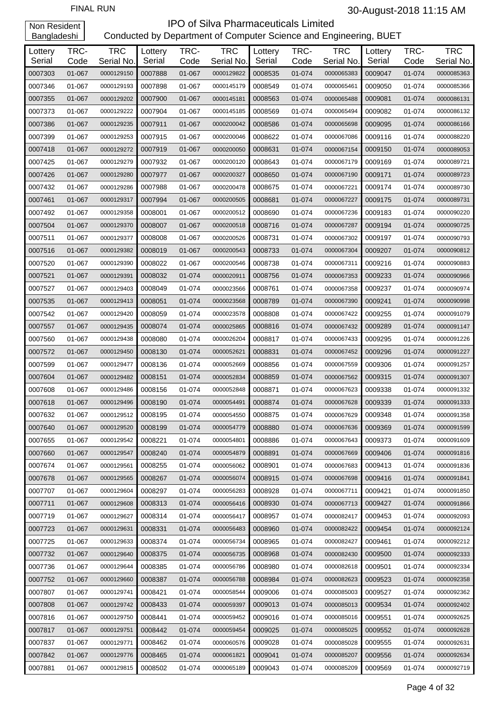| Lottery<br>Serial | TRC-<br>Code | <b>TRC</b><br>Serial No. | Lottery<br>Serial | TRC-<br>Code | <b>TRC</b><br>Serial No. | Lottery<br>Serial | TRC-<br>Code | <b>TRC</b><br>Serial No. | Lottery<br>Serial | TRC-<br>Code | <b>TRC</b><br>Serial No. |
|-------------------|--------------|--------------------------|-------------------|--------------|--------------------------|-------------------|--------------|--------------------------|-------------------|--------------|--------------------------|
| 0007303           | 01-067       | 0000129150               | 0007888           | 01-067       | 0000129822               | 0008535           | 01-074       | 0000065383               | 0009047           | 01-074       | 0000085363               |
| 0007346           | 01-067       | 0000129193               | 0007898           | 01-067       | 0000145179               | 0008549           | 01-074       | 0000065461               | 0009050           | 01-074       | 0000085366               |
| 0007355           | 01-067       | 0000129202               | 0007900           | 01-067       | 0000145181               | 0008563           | 01-074       | 0000065488               | 0009081           | 01-074       | 0000086131               |
| 0007373           | 01-067       | 0000129222               | 0007904           | 01-067       | 0000145185               | 0008569           | 01-074       | 0000065494               | 0009082           | 01-074       | 0000086132               |
| 0007386           | 01-067       | 0000129235               | 0007911           | 01-067       | 0000200042               | 0008586           | 01-074       | 0000065698               | 0009095           | 01-074       | 0000086166               |
| 0007399           | 01-067       | 0000129253               | 0007915           | 01-067       | 0000200046               | 0008622           | 01-074       | 0000067086               | 0009116           | 01-074       | 0000088220               |
| 0007418           | 01-067       | 0000129272               | 0007919           | 01-067       | 0000200050               | 0008631           | 01-074       | 0000067154               | 0009150           | 01-074       | 0000089053               |
| 0007425           | 01-067       | 0000129279               | 0007932           | 01-067       | 0000200120               | 0008643           | 01-074       | 0000067179               | 0009169           | 01-074       | 0000089721               |
| 0007426           | 01-067       | 0000129280               | 0007977           | 01-067       | 0000200327               | 0008650           | 01-074       | 0000067190               | 0009171           | 01-074       | 0000089723               |
| 0007432           | 01-067       | 0000129286               | 0007988           | 01-067       | 0000200478               | 0008675           | 01-074       | 0000067221               | 0009174           | 01-074       | 0000089730               |
| 0007461           | 01-067       | 0000129317               | 0007994           | 01-067       | 0000200505               | 0008681           | 01-074       | 0000067227               | 0009175           | 01-074       | 0000089731               |
| 0007492           | 01-067       | 0000129358               | 0008001           | 01-067       | 0000200512               | 0008690           | 01-074       | 0000067236               | 0009183           | 01-074       | 0000090220               |
| 0007504           | 01-067       | 0000129370               | 0008007           | 01-067       | 0000200518               | 0008716           | 01-074       | 0000067287               | 0009194           | 01-074       | 0000090725               |
| 0007511           | 01-067       | 0000129377               | 0008008           | 01-067       | 0000200526               | 0008731           | 01-074       | 0000067302               | 0009197           | 01-074       | 0000090793               |
| 0007516           | 01-067       | 0000129382               | 0008019           | 01-067       | 0000200543               | 0008733           | 01-074       | 0000067304               | 0009207           | 01-074       | 0000090812               |
| 0007520           | 01-067       | 0000129390               | 0008022           | 01-067       | 0000200546               | 0008738           | 01-074       | 0000067311               | 0009216           | 01-074       | 0000090883               |
| 0007521           | 01-067       | 0000129391               | 0008032           | 01-074       | 0000020911               | 0008756           | 01-074       | 0000067353               | 0009233           | 01-074       | 0000090966               |
| 0007527           | 01-067       | 0000129403               | 0008049           | 01-074       | 0000023566               | 0008761           | 01-074       | 0000067358               | 0009237           | 01-074       | 0000090974               |
| 0007535           | 01-067       | 0000129413               | 0008051           | 01-074       | 0000023568               | 0008789           | 01-074       | 0000067390               | 0009241           | 01-074       | 0000090998               |
| 0007542           | 01-067       | 0000129420               | 0008059           | 01-074       | 0000023578               | 0008808           | 01-074       | 0000067422               | 0009255           | 01-074       | 0000091079               |
| 0007557           | 01-067       | 0000129435               | 0008074           | 01-074       | 0000025865               | 0008816           | 01-074       | 0000067432               | 0009289           | 01-074       | 0000091147               |
| 0007560           | 01-067       | 0000129438               | 0008080           | 01-074       | 0000026204               | 0008817           | 01-074       | 0000067433               | 0009295           | 01-074       | 0000091226               |
| 0007572           | 01-067       | 0000129450               | 0008130           | 01-074       | 0000052621               | 0008831           | 01-074       | 0000067452               | 0009296           | 01-074       | 0000091227               |
| 0007599           | 01-067       | 0000129477               | 0008136           | 01-074       | 0000052669               | 0008856           | 01-074       | 0000067559               | 0009306           | 01-074       | 0000091257               |
| 0007604           | 01-067       | 0000129482               | 0008151           | 01-074       | 0000052834               | 0008859           | 01-074       | 0000067562               | 0009315           | 01-074       | 0000091307               |
| 0007608           | 01-067       | 0000129486               | 0008156           | 01-074       | 0000052848               | 0008871           | 01-074       | 0000067623               | 0009338           | 01-074       | 0000091332               |
| 0007618           | 01-067       | 0000129496               | 0008190           | 01-074       | 0000054491               | 0008874           | 01-074       | 0000067628               | 0009339           | 01-074       | 0000091333               |
| 0007632           | 01-067       | 0000129512               | 0008195           | 01-074       | 0000054550               | 0008875           | 01-074       | 0000067629               | 0009348           | 01-074       | 0000091358               |
| 0007640           | 01-067       | 0000129520               | 0008199           | 01-074       | 0000054779               | 0008880           | 01-074       | 0000067636               | 0009369           | 01-074       | 0000091599               |
| 0007655           | 01-067       | 0000129542               | 0008221           | 01-074       | 0000054801               | 0008886           | 01-074       | 0000067643               | 0009373           | 01-074       | 0000091609               |
| 0007660           | 01-067       | 0000129547               | 0008240           | 01-074       | 0000054879               | 0008891           | 01-074       | 0000067669               | 0009406           | 01-074       | 0000091816               |
| 0007674           | 01-067       | 0000129561               | 0008255           | 01-074       | 0000056062               | 0008901           | 01-074       | 0000067683               | 0009413           | 01-074       | 0000091836               |
| 0007678           | 01-067       | 0000129565               | 0008267           | 01-074       | 0000056074               | 0008915           | 01-074       | 0000067698               | 0009416           | 01-074       | 0000091841               |
| 0007707           | 01-067       | 0000129604               | 0008297           | 01-074       | 0000056283               | 0008928           | 01-074       | 0000067711               | 0009421           | 01-074       | 0000091850               |
| 0007711           | 01-067       | 0000129608               | 0008313           | 01-074       | 0000056416               | 0008930           | 01-074       | 0000067713               | 0009427           | 01-074       | 0000091866               |
| 0007719           | 01-067       | 0000129627               | 0008314           | 01-074       | 0000056417               | 0008957           | 01-074       | 0000082417               | 0009453           | 01-074       | 0000092093               |
| 0007723           | 01-067       | 0000129631               | 0008331           | 01-074       | 0000056483               | 0008960           | 01-074       | 0000082422               | 0009454           | 01-074       | 0000092124               |
| 0007725           | 01-067       | 0000129633               | 0008374           | 01-074       | 0000056734               | 0008965           | 01-074       | 0000082427               | 0009461           | 01-074       | 0000092212               |
| 0007732           | 01-067       | 0000129640               | 0008375           | 01-074       | 0000056735               | 0008968           | 01-074       | 0000082430               | 0009500           | 01-074       | 0000092333               |
| 0007736           | 01-067       | 0000129644               | 0008385           | 01-074       | 0000056786               | 0008980           | 01-074       | 0000082618               | 0009501           | 01-074       | 0000092334               |
| 0007752           | 01-067       | 0000129660               | 0008387           | 01-074       | 0000056788               | 0008984           | 01-074       | 0000082623               | 0009523           | 01-074       | 0000092358               |
| 0007807           | 01-067       | 0000129741               | 0008421           | 01-074       | 0000058544               | 0009006           | 01-074       | 0000085003               | 0009527           | 01-074       | 0000092362               |
| 0007808           | 01-067       | 0000129742               | 0008433           | 01-074       | 0000059397               | 0009013           | 01-074       | 0000085013               | 0009534           | 01-074       | 0000092402               |
| 0007816           | 01-067       | 0000129750               | 0008441           | 01-074       | 0000059452               | 0009016           | 01-074       | 0000085016               | 0009551           | 01-074       | 0000092625               |
| 0007817           | 01-067       | 0000129751               | 0008442           | 01-074       | 0000059454               | 0009025           | 01-074       | 0000085025               | 0009552           | 01-074       | 0000092628               |
| 0007837           | 01-067       | 0000129771               | 0008462           | 01-074       | 0000060576               | 0009028           | 01-074       | 0000085028               | 0009555           | 01-074       | 0000092631               |
| 0007842           | 01-067       | 0000129776               | 0008465           | 01-074       | 0000061821               | 0009041           | 01-074       | 0000085207               | 0009556           | 01-074       | 0000092634               |
| 0007881           | 01-067       | 0000129815               | 0008502           | 01-074       | 0000065189               | 0009043           | 01-074       | 0000085209               | 0009569           | 01-074       | 0000092719               |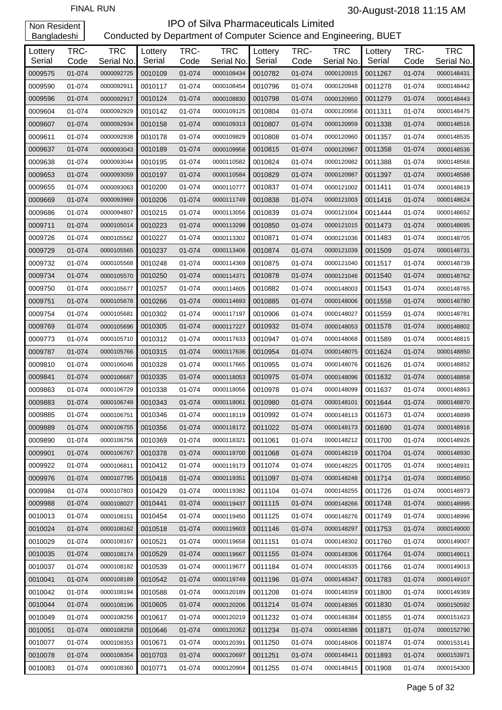| Lottery<br>Serial | TRC-<br>Code | <b>TRC</b><br>Serial No. | Lottery<br>Serial | TRC-<br>Code | <b>TRC</b><br>Serial No. | Lottery<br>Serial | TRC-<br>Code | <b>TRC</b><br>Serial No. | Lottery<br>Serial | TRC-<br>Code | <b>TRC</b><br>Serial No. |
|-------------------|--------------|--------------------------|-------------------|--------------|--------------------------|-------------------|--------------|--------------------------|-------------------|--------------|--------------------------|
| 0009575           | 01-074       | 0000092725               | 0010109           | 01-074       | 0000108434               | 0010782           | 01-074       | 0000120915               | 0011267           | 01-074       | 0000148431               |
| 0009590           | 01-074       | 0000092911               | 0010117           | 01-074       | 0000108454               | 0010796           | 01-074       | 0000120948               | 0011278           | 01-074       | 0000148442               |
| 0009596           | 01-074       | 0000092917               | 0010124           | 01-074       | 0000108830               | 0010798           | 01-074       | 0000120950               | 0011279           | 01-074       | 0000148443               |
| 0009604           | 01-074       | 0000092929               | 0010142           | 01-074       | 0000109125               | 0010804           | 01-074       | 0000120956               | 0011311           | 01-074       | 0000148475               |
| 0009607           | 01-074       | 0000092934               | 0010158           | 01-074       | 0000109313               | 0010807           | 01-074       | 0000120959               | 0011338           | 01-074       | 0000148516               |
| 0009611           | 01-074       | 0000092938               | 0010178           | 01-074       | 0000109829               | 0010808           | 01-074       | 0000120960               | 0011357           | 01-074       | 0000148535               |
| 0009637           | 01-074       | 0000093043               | 0010189           | 01-074       | 0000109958               | 0010815           | 01-074       | 0000120967               | 0011358           | 01-074       | 0000148536               |
| 0009638           | 01-074       | 0000093044               | 0010195           | 01-074       | 0000110582               | 0010824           | 01-074       | 0000120982               | 0011388           | 01-074       | 0000148566               |
| 0009653           | 01-074       | 0000093059               | 0010197           | 01-074       | 0000110584               | 0010829           | 01-074       | 0000120987               | 0011397           | 01-074       | 0000148588               |
| 0009655           | 01-074       | 0000093063               | 0010200           | 01-074       | 0000110777               | 0010837           | 01-074       | 0000121002               | 0011411           | 01-074       | 0000148619               |
| 0009669           | 01-074       | 0000093969               | 0010206           | 01-074       | 0000111749               | 0010838           | 01-074       | 0000121003               | 0011416           | 01-074       | 0000148624               |
| 0009686           | 01-074       | 0000094807               | 0010215           | 01-074       | 0000113056               | 0010839           | 01-074       | 0000121004               | 0011444           | 01-074       | 0000148652               |
| 0009711           | 01-074       | 0000105014               | 0010223           | 01-074       | 0000113298               | 0010850           | 01-074       | 0000121015               | 0011473           | 01-074       | 0000148695               |
| 0009726           | 01-074       | 0000105562               | 0010227           | 01-074       | 0000113302               | 0010871           | 01-074       | 0000121036               | 0011483           | 01-074       | 0000148705               |
| 0009729           | 01-074       | 0000105565               | 0010237           | 01-074       | 0000113406               | 0010874           | 01-074       | 0000121039               | 0011509           | 01-074       | 0000148731               |
| 0009732           | 01-074       | 0000105568               | 0010248           | 01-074       | 0000114369               | 0010875           | 01-074       | 0000121040               | 0011517           | 01-074       | 0000148739               |
| 0009734           | 01-074       | 0000105570               | 0010250           | 01-074       | 0000114371               | 0010878           | 01-074       | 0000121046               | 0011540           | 01-074       | 0000148762               |
| 0009750           | 01-074       | 0000105677               | 0010257           | 01-074       | 0000114605               | 0010882           | 01-074       | 0000148003               | 0011543           | 01-074       | 0000148765               |
| 0009751           | 01-074       | 0000105678               | 0010266           | 01-074       | 0000114693               | 0010885           | 01-074       | 0000148006               | 0011558           | 01-074       | 0000148780               |
| 0009754           | 01-074       | 0000105681               | 0010302           | 01-074       | 0000117197               | 0010906           | 01-074       | 0000148027               | 0011559           | 01-074       | 0000148781               |
| 0009769           | 01-074       | 0000105696               | 0010305           | 01-074       | 0000117227               | 0010932           | 01-074       | 0000148053               | 0011578           | 01-074       | 0000148802               |
| 0009773           | 01-074       | 0000105710               | 0010312           | 01-074       | 0000117633               | 0010947           | 01-074       | 0000148068               | 0011589           | 01-074       | 0000148815               |
| 0009787           | 01-074       | 0000105766               | 0010315           | 01-074       | 0000117636               | 0010954           | 01-074       | 0000148075               | 0011624           | 01-074       | 0000148850               |
| 0009810           | 01-074       | 0000106046               | 0010328           | 01-074       | 0000117665               | 0010955           | 01-074       | 0000148076               | 0011626           | 01-074       | 0000148852               |
| 0009841           | 01-074       | 0000106687               | 0010335           | 01-074       | 0000118053               | 0010975           | 01-074       | 0000148096               | 0011632           | 01-074       | 0000148858               |
| 0009863           | 01-074       | 0000106729               | 0010338           | 01-074       | 0000118056               | 0010978           | 01-074       | 0000148099               | 0011637           | 01-074       | 0000148863               |
| 0009883           | 01-074       | 0000106749               | 0010343           | 01-074       | 0000118061               | 0010980           | 01-074       | 0000148101               | 0011644           | 01-074       | 0000148870               |
| 0009885           | 01-074       | 0000106751               | 0010346           | 01-074       | 0000118119               | 0010992           | 01-074       | 0000148113               | 0011673           | 01-074       | 0000148899               |
| 0009889           | 01-074       | 0000106755               | 0010356           | 01-074       | 0000118172               | 0011022           | 01-074       | 0000148173               | 0011690           | 01-074       | 0000148916               |
| 0009890           | 01-074       | 0000106756               | 0010369           | 01-074       | 0000118321               | 0011061           | 01-074       | 0000148212               | 0011700           | 01-074       | 0000148926               |
| 0009901           | 01-074       | 0000106767               | 0010378           | 01-074       | 0000118700               | 0011068           | 01-074       | 0000148219               | 0011704           | 01-074       | 0000148930               |
| 0009922           | 01-074       | 0000106811               | 0010412           | 01-074       | 0000119173               | 0011074           | 01-074       | 0000148225               | 0011705           | 01-074       | 0000148931               |
| 0009976           | 01-074       | 0000107795               | 0010418           | 01-074       | 0000119351               | 0011097           | 01-074       | 0000148248               | 0011714           | 01-074       | 0000148950               |
| 0009984           | 01-074       | 0000107803               | 0010429           | 01-074       | 0000119382               | 0011104           | 01-074       | 0000148255               | 0011726           | 01-074       | 0000148973               |
| 0009988           | 01-074       | 0000108027               | 0010441           | 01-074       | 0000119437               | 0011115           | 01-074       | 0000148266               | 0011748           | 01-074       | 0000148995               |
| 0010013           | 01-074       | 0000108151               | 0010454           | 01-074       | 0000119450               | 0011125           | 01-074       | 0000148276               | 0011749           | 01-074       | 0000148996               |
| 0010024           | 01-074       | 0000108162               | 0010518           | 01-074       | 0000119603               | 0011146           | 01-074       | 0000148297               | 0011753           | 01-074       | 0000149000               |
| 0010029           | 01-074       | 0000108167               | 0010521           | 01-074       | 0000119658               | 0011151           | 01-074       | 0000148302               | 0011760           | 01-074       | 0000149007               |
| 0010035           | 01-074       | 0000108174               | 0010529           | 01-074       | 0000119667               | 0011155           | 01-074       | 0000148306               | 0011764           | 01-074       | 0000149011               |
| 0010037           | 01-074       | 0000108182               | 0010539           | 01-074       | 0000119677               | 0011184           | 01-074       | 0000148335               | 0011766           | 01-074       | 0000149013               |
| 0010041           | 01-074       | 0000108189               | 0010542           | 01-074       | 0000119749               | 0011196           | 01-074       | 0000148347               | 0011783           | 01-074       | 0000149107               |
| 0010042           | 01-074       | 0000108194               | 0010588           | 01-074       | 0000120189               | 0011208           | 01-074       | 0000148359               | 0011800           | 01-074       | 0000149369               |
| 0010044           | 01-074       | 0000108196               | 0010605           | 01-074       | 0000120206               | 0011214           | 01-074       | 0000148365               | 0011830           | 01-074       | 0000150592               |
| 0010049           | 01-074       | 0000108256               | 0010617           | 01-074       | 0000120219               | 0011232           | 01-074       | 0000148384               | 0011855           | 01-074       | 0000151623               |
| 0010051           | 01-074       | 0000108258               | 0010646           | 01-074       | 0000120352               | 0011234           | 01-074       | 0000148386               | 0011871           | 01-074       | 0000152790               |
| 0010077           | 01-074       | 0000108353               | 0010671           | 01-074       | 0000120391               | 0011250           | 01-074       | 0000148406               | 0011874           | 01-074       | 0000153141               |
| 0010078           | 01-074       | 0000108354               | 0010703           | 01-074       | 0000120697               | 0011251           | 01-074       | 0000148411               | 0011893           | 01-074       | 0000153971               |
| 0010083           | 01-074       | 0000108360               | 0010771           | 01-074       | 0000120904               | 0011255           | 01-074       | 0000148415               | 0011908           | 01-074       | 0000154300               |
|                   |              |                          |                   |              |                          |                   |              |                          |                   |              |                          |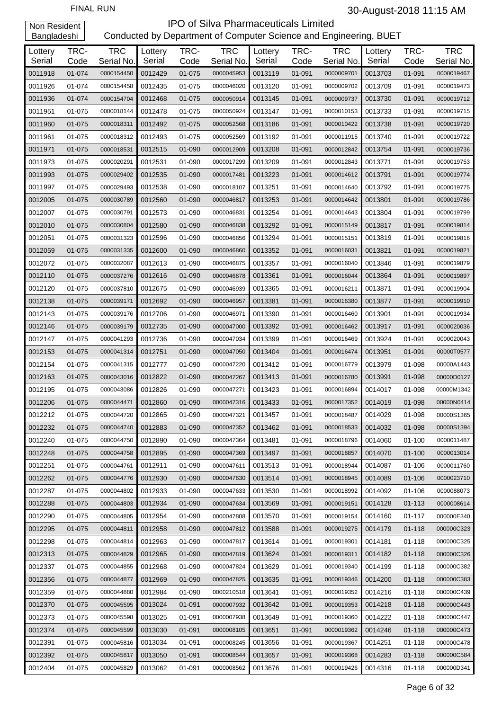|                   |              |                          |                   |              |                          |                   |              | <b>TRC</b> |                   |              |                          |
|-------------------|--------------|--------------------------|-------------------|--------------|--------------------------|-------------------|--------------|------------|-------------------|--------------|--------------------------|
| Lottery<br>Serial | TRC-<br>Code | <b>TRC</b><br>Serial No. | Lottery<br>Serial | TRC-<br>Code | <b>TRC</b><br>Serial No. | Lottery<br>Serial | TRC-<br>Code | Serial No. | Lottery<br>Serial | TRC-<br>Code | <b>TRC</b><br>Serial No. |
| 0011918           | 01-074       | 0000154450               | 0012429           | 01-075       | 0000045953               | 0013119           | 01-091       | 0000009701 | 0013703           | 01-091       | 0000019467               |
| 0011926           | 01-074       | 0000154458               | 0012435           | 01-075       | 0000046020               | 0013120           | 01-091       | 0000009702 | 0013709           | 01-091       | 0000019473               |
| 0011936           | 01-074       | 0000154704               | 0012468           | 01-075       | 0000050914               | 0013145           | 01-091       | 0000009737 | 0013730           | 01-091       | 0000019712               |
| 0011951           | 01-075       | 0000018144               | 0012478           | 01-075       | 0000050924               | 0013147           | 01-091       | 0000010153 | 0013733           | 01-091       | 0000019715               |
| 0011960           | 01-075       | 0000018311               | 0012492           | 01-075       | 0000052568               | 0013186           | 01-091       | 0000010422 | 0013738           | 01-091       | 0000019720               |
| 0011961           | 01-075       | 0000018312               | 0012493           | 01-075       | 0000052569               | 0013192           | 01-091       | 0000011915 | 0013740           | 01-091       | 0000019722               |
| 0011971           | 01-075       | 0000018531               | 0012515           | 01-090       | 0000012909               | 0013208           | 01-091       | 0000012842 | 0013754           | 01-091       | 0000019736               |
| 0011973           | 01-075       | 0000020291               | 0012531           | 01-090       | 0000017299               | 0013209           | 01-091       | 0000012843 | 0013771           | 01-091       | 0000019753               |
| 0011993           | 01-075       | 0000029402               | 0012535           | 01-090       | 0000017481               | 0013223           | 01-091       | 0000014612 | 0013791           | 01-091       | 0000019774               |
| 0011997           | 01-075       | 0000029493               | 0012538           | 01-090       | 0000018107               | 0013251           | 01-091       | 0000014640 | 0013792           | 01-091       | 0000019775               |
| 0012005           | 01-075       | 0000030789               | 0012560           | 01-090       | 0000046817               | 0013253           | 01-091       | 0000014642 | 0013801           | 01-091       | 0000019786               |
| 0012007           | 01-075       | 0000030791               | 0012573           | 01-090       | 0000046831               | 0013254           | 01-091       | 0000014643 | 0013804           | 01-091       | 0000019799               |
| 0012010           | 01-075       | 0000030804               | 0012580           | 01-090       | 0000046838               | 0013292           | 01-091       | 0000015149 | 0013817           | 01-091       | 0000019814               |
| 0012051           | 01-075       | 0000031323               | 0012596           | 01-090       | 0000046856               | 0013294           | 01-091       | 0000015151 | 0013819           | 01-091       | 0000019816               |
| 0012059           | 01-075       | 0000031335               | 0012600           | 01-090       | 0000046860               | 0013352           | 01-091       | 0000016031 | 0013821           | 01-091       | 0000019821               |
| 0012072           | 01-075       | 0000032087               | 0012613           | 01-090       | 0000046875               | 0013357           | 01-091       | 0000016040 | 0013846           | 01-091       | 0000019879               |
| 0012110           | 01-075       | 0000037276               | 0012616           | 01-090       | 0000046878               | 0013361           | 01-091       | 0000016044 | 0013864           | 01-091       | 0000019897               |
| 0012120           | 01-075       | 0000037810               | 0012675           | 01-090       | 0000046939               | 0013365           | 01-091       | 0000016211 | 0013871           | 01-091       | 0000019904               |
| 0012138           | 01-075       | 0000039171               | 0012692           | 01-090       | 0000046957               | 0013381           | 01-091       | 0000016380 | 0013877           | 01-091       | 0000019910               |
| 0012143           | 01-075       | 0000039176               | 0012706           | 01-090       | 0000046971               | 0013390           | 01-091       | 0000016460 | 0013901           | 01-091       | 0000019934               |
| 0012146           | 01-075       | 0000039179               | 0012735           | 01-090       | 0000047000               | 0013392           | 01-091       | 0000016462 | 0013917           | 01-091       | 0000020036               |
| 0012147           | 01-075       | 0000041293               | 0012736           | 01-090       | 0000047034               | 0013399           | 01-091       | 0000016469 | 0013924           | 01-091       | 0000020043               |
| 0012153           | 01-075       | 0000041314               | 0012751           | 01-090       | 0000047050               | 0013404           | 01-091       | 0000016474 | 0013951           | 01-091       | 00000T0577               |
| 0012154           | 01-075       | 0000041315               | 0012777           | 01-090       | 0000047220               | 0013412           | 01-091       | 0000016779 | 0013979           | 01-098       | 00000A1443               |
| 0012163           | 01-075       | 0000043016               | 0012822           | 01-090       | 0000047267               | 0013413           | 01-091       | 0000016780 | 0013991           | 01-098       | 00000D0127               |
| 0012195           | 01-075       | 0000043086               | 0012826           | 01-090       | 0000047271               | 0013423           | 01-091       | 0000016894 | 0014017           | 01-098       | 00000M1342               |
| 0012206           | 01-075       | 0000044471               | 0012860           | 01-090       | 0000047316               | 0013433           | 01-091       | 0000017352 | 0014019           | 01-098       | 00000N0414               |
| 0012212           | 01-075       | 0000044720               | 0012865           | 01-090       | 0000047321               | 0013457           | 01-091       | 0000018487 | 0014029           | 01-098       | 00000S1365               |
| 0012232           | 01-075       | 0000044740               | 0012883           | 01-090       | 0000047352               | 0013462           | 01-091       | 0000018533 | 0014032           | 01-098       | 00000S1394               |
| 0012240           | 01-075       | 0000044750               | 0012890           | 01-090       | 0000047364               | 0013481           | 01-091       | 0000018796 | 0014060           | 01-100       | 0000011487               |
| 0012248           | 01-075       | 0000044758               | 0012895           | 01-090       | 0000047369               | 0013497           | 01-091       | 0000018857 | 0014070           | 01-100       | 0000013014               |
| 0012251           | 01-075       | 0000044761               | 0012911           | 01-090       | 0000047611               | 0013513           | 01-091       | 0000018944 | 0014087           | 01-106       | 0000011760               |
| 0012262           | 01-075       | 0000044776               | 0012930           | 01-090       | 0000047630               | 0013514           | 01-091       | 0000018945 | 0014089           | 01-106       | 0000023710               |
| 0012287           | 01-075       | 0000044802               | 0012933           | 01-090       | 0000047633               | 0013530           | 01-091       | 0000018992 | 0014092           | 01-106       | 0000088073               |
| 0012288           | 01-075       | 0000044803               | 0012934           | 01-090       | 0000047634               | 0013569           | 01-091       | 0000019151 | 0014128           | 01-113       | 0000008614               |
| 0012290           | 01-075       | 0000044805               | 0012954           | 01-090       | 0000047808               | 0013570           | 01-091       | 0000019154 | 0014160           | 01-117       | 000000E340               |
| 0012295           | 01-075       | 0000044811               | 0012958           | 01-090       | 0000047812               | 0013588           | 01-091       | 0000019275 | 0014179           | 01-118       | 000000C323               |
| 0012298           | 01-075       | 0000044814               | 0012963           | 01-090       | 0000047817               | 0013614           | 01-091       | 0000019301 | 0014181           | 01-118       | 000000C325               |
| 0012313           | 01-075       | 0000044829               | 0012965           | 01-090       | 0000047819               | 0013624           | 01-091       | 0000019311 | 0014182           | 01-118       | 000000C326               |
| 0012337           | 01-075       | 0000044855               | 0012968           | 01-090       | 0000047824               | 0013629           | 01-091       | 0000019340 | 0014199           | 01-118       | 000000C382               |
| 0012356           | 01-075       | 0000044877               | 0012969           | 01-090       | 0000047825               | 0013635           | 01-091       | 0000019346 | 0014200           | 01-118       | 000000C383               |
| 0012359           | 01-075       | 0000044880               | 0012984           | 01-090       | 0000210518               | 0013641           | 01-091       | 0000019352 | 0014216           | 01-118       | 000000C439               |
| 0012370           | 01-075       | 0000045595               | 0013024           | 01-091       | 0000007932               | 0013642           | 01-091       | 0000019353 | 0014218           | 01-118       | 000000C443               |
| 0012373           | 01-075       | 0000045598               | 0013025           | 01-091       | 0000007938               | 0013649           | 01-091       | 0000019360 | 0014222           | 01-118       | 000000C447               |
| 0012374           | 01-075       | 0000045599               | 0013030           | 01-091       | 0000008105               | 0013651           | 01-091       | 0000019362 | 0014246           | 01-118       | 000000C473               |
| 0012391           | 01-075       | 0000045816               | 0013034           | 01-091       | 0000008245               | 0013656           | 01-091       | 0000019367 | 0014251           | 01-118       | 000000C478               |
| 0012392           | 01-075       | 0000045817               | 0013050           | 01-091       | 0000008544               | 0013657           | 01-091       | 0000019368 | 0014283           | 01-118       | 000000C584               |
| 0012404           | 01-075       | 0000045829               | 0013062           | 01-091       | 0000008562               | 0013676           | 01-091       | 0000019426 | 0014316           | 01-118       | 000000D341               |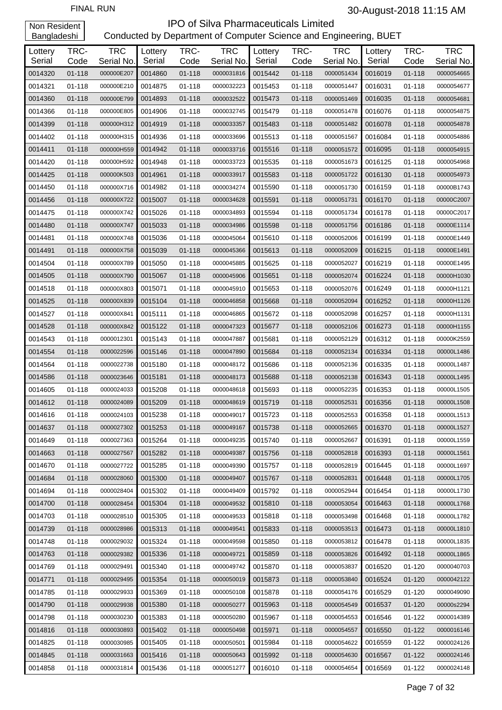| Lottery<br>Serial | TRC-<br>Code | <b>TRC</b><br>Serial No. | Lottery<br>Serial | TRC-<br>Code | <b>TRC</b><br>Serial No. | Lottery<br>Serial | TRC-<br>Code | <b>TRC</b><br>Serial No. | Lottery<br>Serial | TRC-<br>Code | <b>TRC</b><br>Serial No. |
|-------------------|--------------|--------------------------|-------------------|--------------|--------------------------|-------------------|--------------|--------------------------|-------------------|--------------|--------------------------|
| 0014320           | 01-118       | 000000E207               | 0014860           | $01 - 118$   | 0000031816               | 0015442           | $01 - 118$   | 0000051434               | 0016019           | 01-118       | 0000054665               |
| 0014321           | 01-118       | 000000E210               | 0014875           | 01-118       | 0000032223               | 0015453           | 01-118       | 0000051447               | 0016031           | $01 - 118$   | 0000054677               |
| 0014360           | $01 - 118$   | 000000E799               | 0014893           | $01 - 118$   | 0000032522               | 0015473           | 01-118       | 0000051469               | 0016035           | 01-118       | 0000054681               |
| 0014366           | 01-118       | 000000E805               | 0014906           | 01-118       | 0000032745               | 0015479           | 01-118       | 0000051478               | 0016076           | 01-118       | 0000054875               |
| 0014399           | 01-118       | 000000H312               | 0014919           | $01 - 118$   | 0000033357               | 0015483           | 01-118       | 0000051482               | 0016078           | 01-118       | 0000054878               |
| 0014402           | 01-118       | 000000H315               | 0014936           | $01 - 118$   | 0000033696               | 0015513           | 01-118       | 0000051567               | 0016084           | 01-118       | 0000054886               |
| 0014411           | 01-118       | 000000H559               | 0014942           | $01 - 118$   | 0000033716               | 0015516           | 01-118       | 0000051572               | 0016095           | 01-118       | 0000054915               |
| 0014420           | 01-118       | 000000H592               | 0014948           | 01-118       | 0000033723               | 0015535           | 01-118       | 0000051673               | 0016125           | 01-118       | 0000054968               |
| 0014425           | 01-118       | 000000K503               | 0014961           | $01 - 118$   | 0000033917               | 0015583           | 01-118       | 0000051722               | 0016130           | 01-118       | 0000054973               |
| 0014450           | 01-118       | 000000X716               | 0014982           | 01-118       | 0000034274               | 0015590           | 01-118       | 0000051730               | 0016159           | $01 - 118$   | 00000B1743               |
| 0014456           | 01-118       | 000000X722               | 0015007           | $01 - 118$   | 0000034628               | 0015591           | 01-118       | 0000051731               | 0016170           | 01-118       | 00000C2007               |
| 0014475           | 01-118       | 000000X742               | 0015026           | 01-118       | 0000034893               | 0015594           | 01-118       | 0000051734               | 0016178           | 01-118       | 00000C2017               |
|                   | $01 - 118$   | 000000X747               | 0015033           | $01 - 118$   | 0000034986               | 0015598           | $01 - 118$   | 0000051756               | 0016186           |              | 00000E1114               |
| 0014480           | 01-118       | 000000X748               | 0015036           | 01-118       | 0000045064               | 0015610           | 01-118       | 0000052006               | 0016199           | 01-118       | 00000E1449               |
| 0014481           | $01 - 118$   |                          | 0015039           | $01 - 118$   |                          | 0015613           |              |                          | 0016215           | 01-118       |                          |
| 0014491           |              | 000000X758               | 0015050           |              | 0000045366               |                   | 01-118       | 0000052009               |                   | 01-118       | 00000E1491               |
| 0014504           | 01-118       | 000000X789               |                   | 01-118       | 0000045885               | 0015625           | 01-118       | 0000052027               | 0016219           | 01-118       | 00000E1495               |
| 0014505           | $01 - 118$   | 000000X790               | 0015067           | $01 - 118$   | 0000045906               | 0015651           | 01-118       | 0000052074               | 0016224           | 01-118       | 00000H1030               |
| 0014518           | 01-118       | 000000X803               | 0015071           | 01-118       | 0000045910               | 0015653           | 01-118       | 0000052076               | 0016249           | 01-118       | 00000H1121               |
| 0014525           | 01-118       | 000000X839               | 0015104           | $01 - 118$   | 0000046858               | 0015668           | 01-118       | 0000052094               | 0016252           | 01-118       | 00000H1126               |
| 0014527           | 01-118       | 000000X841               | 0015111           | 01-118       | 0000046865               | 0015672           | 01-118       | 0000052098               | 0016257           | 01-118       | 00000H1131               |
| 0014528           | 01-118       | 000000X842               | 0015122           | $01 - 118$   | 0000047323               | 0015677           | 01-118       | 0000052106               | 0016273           | 01-118       | 00000H1155               |
| 0014543           | 01-118       | 0000012301               | 0015143           | 01-118       | 0000047887               | 0015681           | 01-118       | 0000052129               | 0016312           | 01-118       | 00000K2559               |
| 0014554           | 01-118       | 0000022596               | 0015146           | $01 - 118$   | 0000047890               | 0015684           | 01-118       | 0000052134               | 0016334           | 01-118       | 00000L1486               |
| 0014564           | 01-118       | 0000022738               | 0015180           | 01-118       | 0000048172               | 0015686           | 01-118       | 0000052136               | 0016335           | 01-118       | 00000L1487               |
| 0014586           | $01 - 118$   | 0000023646               | 0015181           | $01 - 118$   | 0000048173               | 0015688           | 01-118       | 0000052138               | 0016343           | 01-118       | 00000L1495               |
| 0014605           | $01 - 118$   | 0000024033               | 0015208           | 01-118       | 0000048618               | 0015693           | 01-118       | 0000052235               | 0016353           | 01-118       | 00000L1505               |
| 0014612           | $01 - 118$   | 0000024089               | 0015209           | $01 - 118$   | 0000048619               | 0015719           | $01 - 118$   | 0000052531               | 0016356           | 01-118       | 00000L1508               |
| 0014616           | 01-118       | 0000024103               | 0015238           | 01-118       | 0000049017               | 0015723           | 01-118       | 0000052553               | 0016358           | $01 - 118$   | 00000L1513               |
| 0014637           | 01-118       | 0000027302               | 0015253           | 01-118       | 0000049167               | 0015738           | 01-118       | 0000052665               | 0016370           | 01-118       | 00000L1527               |
| 0014649           | 01-118       | 0000027363               | 0015264           | 01-118       | 0000049235               | 0015740           | $01 - 118$   | 0000052667               | 0016391           | 01-118       | 00000L1559               |
| 0014663           | 01-118       | 0000027567               | 0015282           | 01-118       | 0000049387               | 0015756           | 01-118       | 0000052818               | 0016393           | 01-118       | 00000L1561               |
| 0014670           | 01-118       | 0000027722               | 0015285           | 01-118       | 0000049390               | 0015757           | 01-118       | 0000052819               | 0016445           | 01-118       | 00000L1697               |
| 0014684           | 01-118       | 0000028060               | 0015300           | 01-118       | 0000049407               | 0015767           | $01 - 118$   | 0000052831               | 0016448           | 01-118       | 00000L1705               |
| 0014694           | 01-118       | 0000028404               | 0015302           | $01 - 118$   | 0000049409               | 0015792           | 01-118       | 0000052944               | 0016454           | 01-118       | 00000L1730               |
| 0014700           | 01-118       | 0000028454               | 0015304           | 01-118       | 0000049532               | 0015810           | $01 - 118$   | 0000053054               | 0016463           | 01-118       | 00000L1768               |
| 0014703           | 01-118       | 0000028510               | 0015305           | 01-118       | 0000049533               | 0015818           | 01-118       | 0000053498               | 0016468           | 01-118       | 00000L1782               |
| 0014739           | 01-118       | 0000028986               | 0015313           | 01-118       | 0000049541               | 0015833           | $01 - 118$   | 0000053513               | 0016473           | 01-118       | 00000L1810               |
| 0014748           | 01-118       | 0000029032               | 0015324           | 01-118       | 0000049598               | 0015850           | 01-118       | 0000053812               | 0016478           | 01-118       | 00000L1835               |
| 0014763           | 01-118       | 0000029382               | 0015336           | 01-118       | 0000049721               | 0015859           | $01 - 118$   | 0000053826               | 0016492           | 01-118       | 00000L1865               |
| 0014769           | 01-118       | 0000029491               | 0015340           | 01-118       | 0000049742               | 0015870           | 01-118       | 0000053837               | 0016520           | 01-120       | 0000040703               |
| 0014771           | 01-118       | 0000029495               | 0015354           | 01-118       | 0000050019               | 0015873           | $01 - 118$   | 0000053840               | 0016524           | 01-120       | 0000042122               |
| 0014785           | 01-118       | 0000029933               | 0015369           | 01-118       | 0000050108               | 0015878           | 01-118       | 0000054176               | 0016529           | 01-120       | 0000049090               |
| 0014790           | 01-118       | 0000029938               | 0015380           | 01-118       | 0000050277               | 0015963           | $01 - 118$   | 0000054549               | 0016537           | 01-120       | 00000s2294               |
| 0014798           | 01-118       | 0000030230               | 0015383           | 01-118       | 0000050280               | 0015967           | 01-118       | 0000054553               | 0016546           | 01-122       | 0000014389               |
| 0014816           | 01-118       | 0000030893               | 0015402           | 01-118       | 0000050498               | 0015971           | $01 - 118$   | 0000054557               | 0016550           | 01-122       | 0000016146               |
| 0014825           | 01-118       | 0000030985               | 0015405           | 01-118       | 0000050501               | 0015984           | 01-118       | 0000054622               | 0016559           | 01-122       | 0000024126               |
| 0014845           | 01-118       | 0000031663               | 0015416           | 01-118       | 0000050643               | 0015992           | 01-118       | 0000054630               | 0016567           | $01 - 122$   | 0000024146               |
| 0014858           | 01-118       | 0000031814               | 0015436           | $01 - 118$   | 0000051277               | 0016010           | $01 - 118$   | 0000054654               | 0016569           | 01-122       | 0000024148               |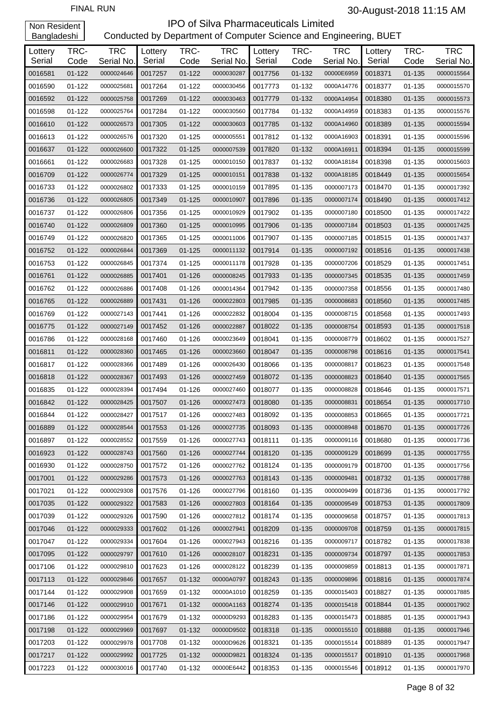| Lottery<br>Serial | TRC-<br>Code | <b>TRC</b><br>Serial No. | Lottery<br>Serial | TRC-<br>Code | <b>TRC</b><br>Serial No. | Lottery<br>Serial | TRC-<br>Code | <b>TRC</b><br>Serial No. | Lottery<br>Serial | TRC-<br>Code | <b>TRC</b><br>Serial No. |
|-------------------|--------------|--------------------------|-------------------|--------------|--------------------------|-------------------|--------------|--------------------------|-------------------|--------------|--------------------------|
| 0016581           | $01 - 122$   | 0000024646               | 0017257           | $01 - 122$   | 0000030287               | 0017756           | 01-132       | 00000E6959               | 0018371           | $01 - 135$   | 0000015564               |
| 0016590           | $01 - 122$   | 0000025681               | 0017264           | $01 - 122$   | 0000030456               | 0017773           | 01-132       | 0000A14776               | 0018377           | 01-135       | 0000015570               |
| 0016592           | $01 - 122$   | 0000025758               | 0017269           | $01 - 122$   | 0000030463               | 0017779           | 01-132       | 0000A14954               | 0018380           | $01 - 135$   | 0000015573               |
| 0016598           | $01 - 122$   | 0000025764               | 0017284           | 01-122       | 0000030560               | 0017784           | 01-132       | 0000A14959               | 0018383           | 01-135       | 0000015576               |
| 0016610           | $01 - 122$   | 0000026573               | 0017305           | $01 - 122$   | 0000030603               | 0017785           | 01-132       | 0000A14960               | 0018389           | $01 - 135$   | 0000015594               |
| 0016613           | $01 - 122$   | 0000026576               | 0017320           | 01-125       | 0000005551               | 0017812           | 01-132       | 0000A16903               | 0018391           | 01-135       | 0000015596               |
| 0016637           | $01 - 122$   | 0000026600               | 0017322           | $01 - 125$   | 0000007539               | 0017820           | 01-132       | 0000A16911               | 0018394           | $01 - 135$   | 0000015599               |
| 0016661           | 01-122       | 0000026683               | 0017328           | $01 - 125$   | 0000010150               | 0017837           | 01-132       | 0000A18184               | 0018398           | 01-135       | 0000015603               |
| 0016709           | 01-122       | 0000026774               | 0017329           | $01 - 125$   | 0000010151               | 0017838           | 01-132       | 0000A18185               | 0018449           | $01 - 135$   | 0000015654               |
| 0016733           | 01-122       | 0000026802               | 0017333           | 01-125       | 0000010159               | 0017895           | 01-135       | 0000007173               | 0018470           | 01-135       | 0000017392               |
| 0016736           | $01 - 122$   | 0000026805               | 0017349           | $01 - 125$   | 0000010907               | 0017896           | 01-135       | 0000007174               | 0018490           | $01 - 135$   | 0000017412               |
| 0016737           | $01 - 122$   | 0000026806               | 0017356           | $01 - 125$   | 0000010929               | 0017902           | 01-135       | 0000007180               | 0018500           | 01-135       | 0000017422               |
| 0016740           | $01 - 122$   | 0000026809               | 0017360           | $01 - 125$   | 0000010995               | 0017906           | 01-135       | 0000007184               | 0018503           | $01 - 135$   | 0000017425               |
| 0016749           | $01 - 122$   | 0000026820               | 0017365           | 01-125       | 0000011006               | 0017907           | 01-135       | 0000007185               | 0018515           | 01-135       | 0000017437               |
| 0016752           | $01 - 122$   | 0000026844               | 0017369           | $01 - 125$   | 0000011132               | 0017914           | $01 - 135$   | 0000007192               | 0018516           | $01 - 135$   | 0000017438               |
| 0016753           | 01-122       | 0000026845               | 0017374           | $01 - 125$   | 0000011178               | 0017928           | 01-135       | 0000007206               | 0018529           | 01-135       | 0000017451               |
| 0016761           | 01-122       | 0000026885               | 0017401           | 01-126       | 0000008245               | 0017933           | 01-135       | 0000007345               | 0018535           | $01 - 135$   | 0000017459               |
| 0016762           | $01 - 122$   | 0000026886               | 0017408           | 01-126       | 0000014364               | 0017942           | 01-135       | 0000007358               | 0018556           | 01-135       | 0000017480               |
| 0016765           | $01 - 122$   | 0000026889               | 0017431           | 01-126       | 0000022803               | 0017985           | 01-135       | 0000008683               | 0018560           | $01 - 135$   | 0000017485               |
| 0016769           | 01-122       | 0000027143               | 0017441           | 01-126       | 0000022832               | 0018004           | 01-135       | 0000008715               | 0018568           | 01-135       | 0000017493               |
| 0016775           | 01-122       | 0000027149               | 0017452           | $01 - 126$   | 0000022887               | 0018022           | 01-135       | 0000008754               | 0018593           | $01 - 135$   | 0000017518               |
| 0016786           | $01 - 122$   | 0000028168               | 0017460           | 01-126       | 0000023649               | 0018041           | 01-135       | 0000008779               | 0018602           | 01-135       | 0000017527               |
| 0016811           | $01 - 122$   | 0000028360               | 0017465           | $01 - 126$   | 0000023660               | 0018047           | $01 - 135$   | 0000008798               | 0018616           | $01 - 135$   | 0000017541               |
| 0016817           | $01 - 122$   | 0000028366               | 0017489           | 01-126       | 0000026430               | 0018066           | 01-135       | 0000008817               | 0018623           | 01-135       | 0000017548               |
| 0016818           | $01 - 122$   | 0000028367               | 0017493           | 01-126       | 0000027459               | 0018072           | 01-135       | 0000008823               | 0018640           | $01 - 135$   | 0000017565               |
| 0016835           | $01 - 122$   | 0000028394               | 0017494           | $01 - 126$   | 0000027460               | 0018077           | 01-135       | 0000008828               | 0018646           | 01-135       | 0000017571               |
| 0016842           | 01-122       | 0000028425               | 0017507           | 01-126       | 0000027473               | 0018080           | $01 - 135$   | 0000008831               | 0018654           | $01 - 135$   | 0000017710               |
| 0016844           | $01 - 122$   | 0000028427               | 0017517           | 01-126       | 0000027483               | 0018092           | 01-135       | 0000008853               | 0018665           | 01-135       | 0000017721               |
| 0016889           | 01-122       | 0000028544               | 0017553           | $01 - 126$   | 0000027735               | 0018093           | 01-135       | 0000008948               | 0018670           | 01-135       | 0000017726               |
| 0016897           | 01-122       | 0000028552               | 0017559           | $01 - 126$   | 0000027743               | 0018111           | 01-135       | 0000009116               | 0018680           | 01-135       | 0000017736               |
| 0016923           | 01-122       | 0000028743               | 0017560           | $01 - 126$   | 0000027744               | 0018120           | 01-135       | 0000009129               | 0018699           | 01-135       | 0000017755               |
| 0016930           | 01-122       | 0000028750               | 0017572           | 01-126       | 0000027762               | 0018124           | 01-135       | 0000009179               | 0018700           | 01-135       | 0000017756               |
| 0017001           | 01-122       | 0000029286               | 0017573           | $01 - 126$   | 0000027763               | 0018143           | 01-135       | 0000009481               | 0018732           | 01-135       | 0000017788               |
| 0017021           | 01-122       | 0000029308               | 0017576           | 01-126       | 0000027796               | 0018160           | 01-135       | 0000009499               | 0018736           | 01-135       | 0000017792               |
| 0017035           | 01-122       | 0000029322               | 0017583           | $01 - 126$   | 0000027803               | 0018164           | 01-135       | 0000009549               | 0018753           | 01-135       | 0000017809               |
| 0017039           | 01-122       | 0000029326               | 0017590           | 01-126       | 0000027812               | 0018174           | 01-135       | 0000009658               | 0018757           | 01-135       | 0000017813               |
| 0017046           | 01-122       | 0000029333               | 0017602           | $01 - 126$   | 0000027941               | 0018209           | 01-135       | 0000009708               | 0018759           | 01-135       | 0000017815               |
| 0017047           | 01-122       | 0000029334               | 0017604           | 01-126       | 0000027943               | 0018216           | 01-135       | 0000009717               | 0018782           | 01-135       | 0000017838               |
| 0017095           | 01-122       | 0000029797               | 0017610           | $01 - 126$   | 0000028107               | 0018231           | 01-135       | 0000009734               | 0018797           | 01-135       | 0000017853               |
| 0017106           | 01-122       | 0000029810               | 0017623           | 01-126       | 0000028122               | 0018239           | 01-135       | 0000009859               | 0018813           | 01-135       | 0000017871               |
| 0017113           | 01-122       | 0000029846               | 0017657           | 01-132       | 00000A0797               | 0018243           | 01-135       | 0000009896               | 0018816           | 01-135       | 0000017874               |
| 0017144           | 01-122       | 0000029908               | 0017659           | 01-132       | 00000A1010               | 0018259           | 01-135       | 0000015403               | 0018827           | 01-135       | 0000017885               |
| 0017146           | 01-122       | 0000029910               | 0017671           | 01-132       | 00000A1163               | 0018274           | 01-135       | 0000015418               | 0018844           | 01-135       | 0000017902               |
| 0017186           | 01-122       | 0000029954               | 0017679           | 01-132       | 00000D9293               | 0018283           | 01-135       | 0000015473               | 0018885           | 01-135       | 0000017943               |
| 0017198           | 01-122       | 0000029969               | 0017697           | 01-132       | 00000D9502               | 0018318           | 01-135       | 0000015510               | 0018888           | 01-135       | 0000017946               |
| 0017203           | 01-122       | 0000029978               | 0017708           | 01-132       | 00000D9626               | 0018321           | 01-135       | 0000015514               | 0018889           | 01-135       | 0000017947               |
| 0017217           | 01-122       | 0000029992               | 0017725           | 01-132       | 00000D9821               | 0018324           | 01-135       | 0000015517               | 0018910           | 01-135       | 0000017968               |
| 0017223           | 01-122       | 0000030016               | 0017740           | 01-132       | 00000E6442               | 0018353           | 01-135       | 0000015546               | 0018912           | 01-135       | 0000017970               |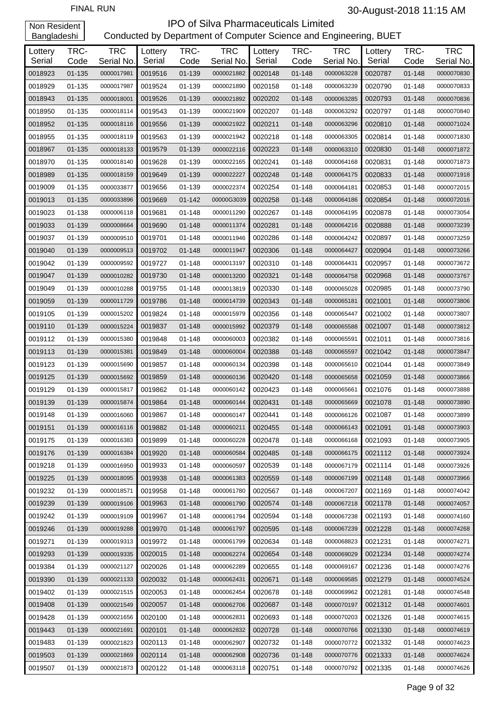| Lottery | TRC-       | <b>TRC</b> | Lottery | TRC-       | <b>TRC</b> | Lottery | TRC-       | <b>TRC</b> | Lottery | TRC-       | <b>TRC</b> |
|---------|------------|------------|---------|------------|------------|---------|------------|------------|---------|------------|------------|
| Serial  | Code       | Serial No. | Serial  | Code       | Serial No. | Serial  | Code       | Serial No. | Serial  | Code       | Serial No. |
| 0018923 | $01 - 135$ | 0000017981 | 0019516 | 01-139     | 0000021882 | 0020148 | 01-148     | 0000063228 | 0020787 | $01 - 148$ | 0000070830 |
| 0018929 | 01-135     | 0000017987 | 0019524 | 01-139     | 0000021890 | 0020158 | 01-148     | 0000063239 | 0020790 | 01-148     | 0000070833 |
| 0018943 | 01-135     | 0000018001 | 0019526 | 01-139     | 0000021892 | 0020202 | 01-148     | 0000063285 | 0020793 | 01-148     | 0000070836 |
| 0018950 | 01-135     | 0000018114 | 0019543 | 01-139     | 0000021909 | 0020207 | 01-148     | 0000063292 | 0020797 | 01-148     | 0000070840 |
| 0018952 | 01-135     | 0000018116 | 0019556 | 01-139     | 0000021922 | 0020211 | 01-148     | 0000063296 | 0020810 | 01-148     | 0000071024 |
| 0018955 | 01-135     | 0000018119 | 0019563 | 01-139     | 0000021942 | 0020218 | 01-148     | 0000063305 | 0020814 | 01-148     | 0000071830 |
| 0018967 | 01-135     | 0000018133 | 0019579 | 01-139     | 0000022116 | 0020223 | 01-148     | 0000063310 | 0020830 | 01-148     | 0000071872 |
| 0018970 | 01-135     | 0000018140 | 0019628 | 01-139     | 0000022165 | 0020241 | 01-148     | 0000064168 | 0020831 | 01-148     | 0000071873 |
| 0018989 | 01-135     | 0000018159 | 0019649 | 01-139     | 0000022227 | 0020248 | 01-148     | 0000064175 | 0020833 | 01-148     | 0000071918 |
| 0019009 | 01-135     | 0000033877 | 0019656 | 01-139     | 0000022374 | 0020254 | 01-148     | 0000064181 | 0020853 | 01-148     | 0000072015 |
| 0019013 | 01-135     | 0000033896 | 0019669 | $01 - 142$ | 00000G3039 | 0020258 | 01-148     | 0000064186 | 0020854 | 01-148     | 0000072016 |
| 0019023 | 01-138     | 0000006118 | 0019681 | $01 - 148$ | 0000011290 | 0020267 | 01-148     | 0000064195 | 0020878 | 01-148     | 0000073054 |
| 0019033 | 01-139     | 0000008664 | 0019690 | $01 - 148$ | 0000011374 | 0020281 | $01 - 148$ | 0000064216 | 0020888 | 01-148     | 0000073239 |
| 0019037 | 01-139     | 0000009510 | 0019701 | 01-148     | 0000011946 | 0020286 | 01-148     | 0000064242 | 0020897 | 01-148     | 0000073259 |
| 0019040 | 01-139     | 0000009513 | 0019702 | $01 - 148$ | 0000011947 | 0020306 | 01-148     | 0000064427 | 0020904 | 01-148     | 0000073266 |
| 0019042 | 01-139     | 0000009592 | 0019727 | 01-148     | 0000013197 | 0020310 | 01-148     | 0000064431 | 0020957 | $01 - 148$ | 0000073672 |
| 0019047 | 01-139     | 0000010282 | 0019730 | $01 - 148$ | 0000013200 | 0020321 | 01-148     | 0000064758 | 0020968 | 01-148     | 0000073767 |
| 0019049 | 01-139     | 0000010288 | 0019755 | 01-148     | 0000013819 | 0020330 | 01-148     | 0000065028 | 0020985 | 01-148     | 0000073790 |
| 0019059 | 01-139     | 0000011729 | 0019786 | $01 - 148$ | 0000014739 | 0020343 | 01-148     | 0000065181 | 0021001 | 01-148     | 0000073806 |
| 0019105 | 01-139     | 0000015202 | 0019824 | 01-148     | 0000015979 | 0020356 | 01-148     | 0000065447 | 0021002 | 01-148     | 0000073807 |
| 0019110 | 01-139     | 0000015224 | 0019837 | 01-148     | 0000015992 | 0020379 | 01-148     | 0000065588 | 0021007 | 01-148     |            |
|         |            |            |         |            |            |         |            |            |         |            | 0000073812 |
| 0019112 | 01-139     | 0000015380 | 0019848 | 01-148     | 0000060003 | 0020382 | 01-148     | 0000065591 | 0021011 | 01-148     | 0000073816 |
| 0019113 | 01-139     | 0000015381 | 0019849 | $01 - 148$ | 0000060004 | 0020388 | 01-148     | 0000065597 | 0021042 | 01-148     | 0000073847 |
| 0019123 | 01-139     | 0000015690 | 0019857 | 01-148     | 0000060134 | 0020398 | 01-148     | 0000065610 | 0021044 | 01-148     | 0000073849 |
| 0019125 | 01-139     | 0000015692 | 0019859 | $01 - 148$ | 0000060136 | 0020420 | 01-148     | 0000065658 | 0021059 | 01-148     | 0000073866 |
| 0019129 | 01-139     | 0000015817 | 0019862 | 01-148     | 0000060142 | 0020423 | 01-148     | 0000065661 | 0021076 | 01-148     | 0000073888 |
| 0019139 | 01-139     | 0000015874 | 0019864 | $01 - 148$ | 0000060144 | 0020431 | 01-148     | 0000065669 | 0021078 | 01-148     | 0000073890 |
| 0019148 | 01-139     | 0000016060 | 0019867 | 01-148     | 0000060147 | 0020441 | 01-148     | 0000066126 | 0021087 | 01-148     | 0000073899 |
| 0019151 | 01-139     | 0000016116 | 0019882 | 01-148     | 0000060211 | 0020455 | $01 - 148$ | 0000066143 | 0021091 | 01-148     | 0000073903 |
| 0019175 | 01-139     | 0000016383 | 0019899 | 01-148     | 0000060228 | 0020478 | 01-148     | 0000066168 | 0021093 | 01-148     | 0000073905 |
| 0019176 | 01-139     | 0000016384 | 0019920 | 01-148     | 0000060584 | 0020485 | 01-148     | 0000066175 | 0021112 | 01-148     | 0000073924 |
| 0019218 | 01-139     | 0000016950 | 0019933 | 01-148     | 0000060597 | 0020539 | $01 - 148$ | 0000067179 | 0021114 | 01-148     | 0000073926 |
| 0019225 | 01-139     | 0000018095 | 0019938 | 01-148     | 0000061383 | 0020559 | 01-148     | 0000067199 | 0021148 | 01-148     | 0000073966 |
| 0019232 | 01-139     | 0000018571 | 0019958 | 01-148     | 0000061780 | 0020567 | 01-148     | 0000067207 | 0021169 | 01-148     | 0000074042 |
| 0019239 | 01-139     | 0000019106 | 0019963 | 01-148     | 0000061790 | 0020574 | 01-148     | 0000067218 | 0021178 | 01-148     | 0000074057 |
| 0019242 | 01-139     | 0000019109 | 0019967 | 01-148     | 0000061794 | 0020594 | 01-148     | 0000067238 | 0021193 | 01-148     | 0000074160 |
| 0019246 | 01-139     | 0000019288 | 0019970 | 01-148     | 0000061797 | 0020595 | 01-148     | 0000067239 | 0021228 | 01-148     | 0000074268 |
| 0019271 | 01-139     | 0000019313 | 0019972 | 01-148     | 0000061799 | 0020634 | 01-148     | 0000068823 | 0021231 | 01-148     | 0000074271 |
| 0019293 | 01-139     | 0000019335 | 0020015 | 01-148     | 0000062274 | 0020654 | 01-148     | 0000069029 | 0021234 | 01-148     | 0000074274 |
| 0019384 | 01-139     | 0000021127 | 0020026 | 01-148     | 0000062289 | 0020655 | 01-148     | 0000069167 | 0021236 | 01-148     | 0000074276 |
| 0019390 | 01-139     | 0000021133 | 0020032 | 01-148     | 0000062431 | 0020671 | 01-148     | 0000069585 | 0021279 | 01-148     | 0000074524 |
| 0019402 | 01-139     | 0000021515 | 0020053 | 01-148     | 0000062454 | 0020678 | 01-148     | 0000069962 | 0021281 | 01-148     | 0000074548 |
| 0019408 | 01-139     | 0000021549 | 0020057 | 01-148     | 0000062706 | 0020687 | 01-148     | 0000070197 | 0021312 | 01-148     | 0000074601 |
| 0019428 | 01-139     | 0000021656 | 0020100 | 01-148     | 0000062831 | 0020693 | 01-148     | 0000070203 | 0021326 | 01-148     | 0000074615 |
| 0019443 | 01-139     | 0000021691 | 0020101 | 01-148     | 0000062832 | 0020728 | 01-148     | 0000070766 | 0021330 | 01-148     | 0000074619 |
| 0019483 | 01-139     | 0000021823 | 0020113 | 01-148     | 0000062907 | 0020732 | 01-148     | 0000070772 | 0021332 | 01-148     | 0000074623 |
| 0019503 | 01-139     | 0000021869 | 0020114 | 01-148     | 0000062908 | 0020736 | 01-148     | 0000070776 | 0021333 | 01-148     | 0000074624 |
| 0019507 | 01-139     | 0000021873 | 0020122 | 01-148     | 0000063118 | 0020751 | 01-148     | 0000070792 | 0021335 | 01-148     | 0000074626 |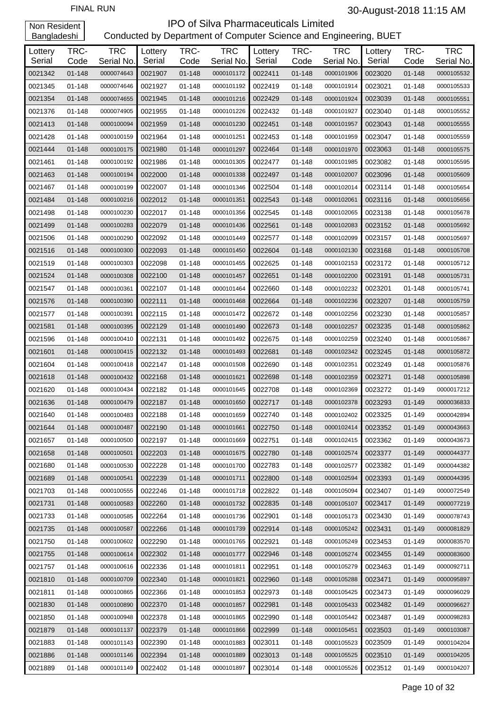| Lottery<br>Serial | TRC-<br>Code | <b>TRC</b><br>Serial No. | Lottery<br>Serial | TRC-<br>Code | <b>TRC</b><br>Serial No. | Lottery<br>Serial | TRC-<br>Code | <b>TRC</b><br>Serial No. | Lottery<br>Serial | TRC-<br>Code | <b>TRC</b><br>Serial No. |
|-------------------|--------------|--------------------------|-------------------|--------------|--------------------------|-------------------|--------------|--------------------------|-------------------|--------------|--------------------------|
| 0021342           | $01 - 148$   | 0000074643               | 0021907           | $01 - 148$   | 0000101172               | 0022411           | $01 - 148$   | 0000101906               | 0023020           | $01 - 148$   | 0000105532               |
| 0021345           | $01 - 148$   | 0000074646               | 0021927           | 01-148       | 0000101192               | 0022419           | $01 - 148$   | 0000101914               | 0023021           | 01-148       | 0000105533               |
| 0021354           | $01 - 148$   | 0000074655               | 0021945           | $01 - 148$   | 0000101216               | 0022429           | $01 - 148$   | 0000101924               | 0023039           | 01-148       | 0000105551               |
| 0021376           | 01-148       | 0000074905               | 0021955           | 01-148       | 0000101226               | 0022432           | 01-148       | 0000101927               | 0023040           | 01-148       | 0000105552               |
| 0021413           | 01-148       | 0000100094               | 0021959           | 01-148       | 0000101230               | 0022451           | 01-148       | 0000101957               | 0023043           | 01-148       | 0000105555               |
| 0021428           | 01-148       | 0000100159               | 0021964           | 01-148       | 0000101251               | 0022453           | 01-148       | 0000101959               | 0023047           | 01-148       | 0000105559               |
| 0021444           | 01-148       | 0000100175               | 0021980           | 01-148       | 0000101297               | 0022464           | $01 - 148$   | 0000101970               | 0023063           | 01-148       | 0000105575               |
| 0021461           | 01-148       | 0000100192               | 0021986           | 01-148       | 0000101305               | 0022477           | $01 - 148$   | 0000101985               | 0023082           | 01-148       | 0000105595               |
| 0021463           | 01-148       | 0000100194               | 0022000           | 01-148       | 0000101338               | 0022497           | 01-148       | 0000102007               | 0023096           | 01-148       | 0000105609               |
| 0021467           | 01-148       | 0000100199               | 0022007           | 01-148       | 0000101346               | 0022504           | 01-148       | 0000102014               | 0023114           | 01-148       | 0000105654               |
| 0021484           | 01-148       | 0000100216               | 0022012           | 01-148       | 0000101351               | 0022543           | 01-148       | 0000102061               | 0023116           | 01-148       | 0000105656               |
| 0021498           | 01-148       | 0000100230               | 0022017           | $01 - 148$   | 0000101356               | 0022545           | 01-148       | 0000102065               | 0023138           | 01-148       | 0000105678               |
| 0021499           | 01-148       | 0000100283               | 0022079           | 01-148       | 0000101436               | 0022561           | 01-148       | 0000102083               | 0023152           | 01-148       | 0000105692               |
| 0021506           | 01-148       | 0000100290               | 0022092           | 01-148       | 0000101449               | 0022577           | 01-148       | 0000102099               | 0023157           | 01-148       | 0000105697               |
| 0021516           | 01-148       | 0000100300               | 0022093           | 01-148       | 0000101450               | 0022604           | 01-148       | 0000102130               | 0023168           | 01-148       | 0000105708               |
| 0021519           | 01-148       | 0000100303               | 0022098           | $01 - 148$   | 0000101455               | 0022625           | $01 - 148$   | 0000102153               | 0023172           | $01 - 148$   | 0000105712               |
| 0021524           | 01-148       | 0000100308               | 0022100           | 01-148       | 0000101457               | 0022651           | 01-148       | 0000102200               | 0023191           | 01-148       | 0000105731               |
| 0021547           | 01-148       | 0000100361               | 0022107           | 01-148       | 0000101464               | 0022660           | 01-148       | 0000102232               | 0023201           | 01-148       | 0000105741               |
| 0021576           | 01-148       | 0000100390               | 0022111           | 01-148       | 0000101468               | 0022664           | 01-148       | 0000102236               | 0023207           | 01-148       | 0000105759               |
| 0021577           | 01-148       | 0000100391               | 0022115           | 01-148       | 0000101472               | 0022672           | 01-148       | 0000102256               | 0023230           | 01-148       | 0000105857               |
| 0021581           | 01-148       | 0000100395               | 0022129           | 01-148       | 0000101490               | 0022673           | 01-148       | 0000102257               | 0023235           | 01-148       | 0000105862               |
| 0021596           | 01-148       | 0000100410               | 0022131           | 01-148       | 0000101492               | 0022675           | 01-148       | 0000102259               | 0023240           | 01-148       | 0000105867               |
| 0021601           | 01-148       | 0000100415               | 0022132           | 01-148       | 0000101493               | 0022681           | 01-148       | 0000102342               | 0023245           | 01-148       | 0000105872               |
| 0021604           | 01-148       | 0000100418               | 0022147           | 01-148       | 0000101508               | 0022690           | 01-148       | 0000102351               | 0023249           | 01-148       | 0000105876               |
| 0021618           | 01-148       | 0000100432               | 0022168           | 01-148       | 0000101621               | 0022698           | 01-148       | 0000102359               | 0023271           | 01-148       | 0000105898               |
| 0021620           | 01-148       | 0000100434               | 0022182           | 01-148       | 0000101645               | 0022708           | 01-148       | 0000102369               | 0023272           | 01-149       | 0000017212               |
| 0021636           | 01-148       | 0000100479               | 0022187           | 01-148       | 0000101650               | 0022717           | 01-148       | 0000102378               | 0023293           | 01-149       | 0000036833               |
| 0021640           | $01 - 148$   | 0000100483               | 0022188           | 01-148       | 0000101659               | 0022740           | 01-148       | 0000102402               | 0023325           | 01-149       | 0000042894               |
| 0021644           | 01-148       | 0000100487               | 0022190           | 01-148       | 0000101661               | 0022750           | $01 - 148$   | 0000102414               | 0023352           | 01-149       | 0000043663               |
| 0021657           | 01-148       | 0000100500               | 0022197           | 01-148       | 0000101669               | 0022751           | 01-148       | 0000102415               | 0023362           | 01-149       | 0000043673               |
| 0021658           | 01-148       | 0000100501               | 0022203           | 01-148       | 0000101675               | 0022780           | $01 - 148$   | 0000102574               | 0023377           | 01-149       | 0000044377               |
| 0021680           | 01-148       | 0000100530               | 0022228           | 01-148       | 0000101700               | 0022783           | 01-148       | 0000102577               | 0023382           | 01-149       | 0000044382               |
| 0021689           | 01-148       | 0000100541               | 0022239           | 01-148       | 0000101711               | 0022800           | 01-148       | 0000102594               | 0023393           | 01-149       | 0000044395               |
| 0021703           | 01-148       | 0000100555               | 0022246           | 01-148       | 0000101718               | 0022822           | 01-148       | 0000105094               | 0023407           | 01-149       | 0000072549               |
| 0021731           | 01-148       | 0000100583               | 0022260           | 01-148       | 0000101732               | 0022835           | $01 - 148$   | 0000105107               | 0023417           | 01-149       | 0000077219               |
| 0021733           | 01-148       | 0000100585               | 0022264           | $01 - 148$   | 0000101736               | 0022901           | 01-148       | 0000105173               | 0023430           | 01-149       | 0000078743               |
| 0021735           | 01-148       | 0000100587               | 0022266           | $01 - 148$   | 0000101739               | 0022914           | 01-148       | 0000105242               | 0023431           | 01-149       | 0000081829               |
| 0021750           | 01-148       | 0000100602               | 0022290           | 01-148       | 0000101765               | 0022921           | 01-148       | 0000105249               | 0023453           | 01-149       | 0000083570               |
| 0021755           | 01-148       | 0000100614               | 0022302           | 01-148       | 0000101777               | 0022946           | 01-148       | 0000105274               | 0023455           | 01-149       | 0000083600               |
| 0021757           | 01-148       | 0000100616               | 0022336           | 01-148       | 0000101811               | 0022951           | 01-148       | 0000105279               | 0023463           | 01-149       | 0000092711               |
| 0021810           | 01-148       | 0000100709               | 0022340           | 01-148       | 0000101821               | 0022960           | 01-148       | 0000105288               | 0023471           | 01-149       | 0000095897               |
| 0021811           | 01-148       | 0000100865               | 0022366           | 01-148       | 0000101853               | 0022973           | 01-148       | 0000105425               | 0023473           | 01-149       | 0000096029               |
| 0021830           | 01-148       | 0000100890               | 0022370           | 01-148       | 0000101857               | 0022981           | 01-148       | 0000105433               | 0023482           | 01-149       | 0000096627               |
| 0021850           | 01-148       | 0000100948               | 0022378           | 01-148       | 0000101865               | 0022990           | 01-148       | 0000105442               | 0023487           | 01-149       | 0000098283               |
| 0021879           | 01-148       | 0000101137               | 0022379           | 01-148       | 0000101866               | 0022999           | 01-148       | 0000105451               | 0023503           | 01-149       | 0000103087               |
| 0021883           | 01-148       | 0000101143               | 0022390           | 01-148       | 0000101883               | 0023011           | 01-148       | 0000105523               | 0023509           | 01-149       | 0000104204               |
| 0021886           | 01-148       | 0000101146               | 0022394           | 01-148       | 0000101889               | 0023013           | 01-148       | 0000105525               | 0023510           | 01-149       | 0000104205               |
| 0021889           | 01-148       | 0000101149               | 0022402           | 01-148       | 0000101897               | 0023014           | 01-148       | 0000105526               | 0023512           | 01-149       | 0000104207               |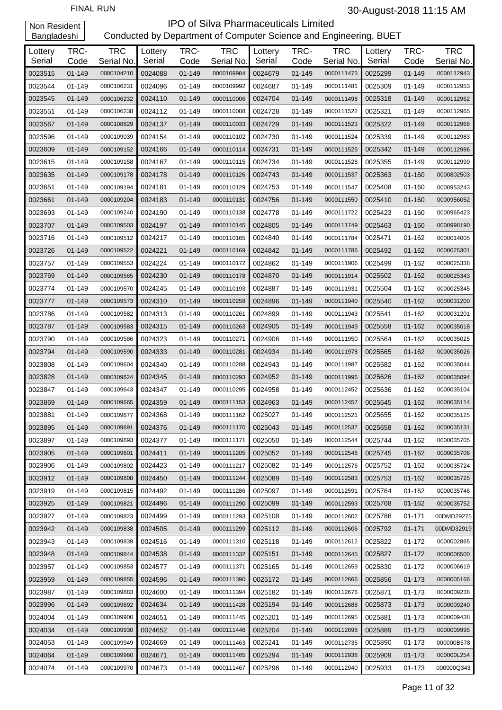| Lottery<br>Serial | TRC-<br>Code | <b>TRC</b><br>Serial No. | Lottery<br>Serial | TRC-<br>Code | <b>TRC</b><br>Serial No. | Lottery<br>Serial | TRC-<br>Code | <b>TRC</b><br>Serial No. | Lottery<br>Serial | TRC-<br>Code | <b>TRC</b><br>Serial No. |
|-------------------|--------------|--------------------------|-------------------|--------------|--------------------------|-------------------|--------------|--------------------------|-------------------|--------------|--------------------------|
| 0023515           | $01 - 149$   | 0000104210               | 0024088           | 01-149       | 0000109984               | 0024679           | $01 - 149$   | 0000111473               | 0025299           | $01 - 149$   | 0000112943               |
| 0023544           | 01-149       | 0000106231               | 0024096           | 01-149       | 0000109992               | 0024687           | 01-149       | 0000111481               | 0025309           | 01-149       | 0000112953               |
| 0023545           | $01 - 149$   | 0000106232               | 0024110           | 01-149       | 0000110006               | 0024704           | 01-149       | 0000111498               | 0025318           | 01-149       | 0000112962               |
| 0023551           | 01-149       | 0000106238               | 0024112           | 01-149       | 0000110008               | 0024728           | 01-149       | 0000111522               | 0025321           | 01-149       | 0000112965               |
| 0023567           | 01-149       | 0000108829               | 0024137           | 01-149       | 0000110033               | 0024729           | 01-149       | 0000111523               | 0025322           | 01-149       | 0000112966               |
| 0023596           | 01-149       | 0000109039               | 0024154           | 01-149       | 0000110102               | 0024730           | 01-149       | 0000111524               | 0025339           | 01-149       | 0000112983               |
| 0023609           | $01 - 149$   | 0000109152               | 0024166           | 01-149       | 0000110114               | 0024731           | $01 - 149$   | 0000111525               | 0025342           | 01-149       | 0000112986               |
| 0023615           | 01-149       | 0000109158               | 0024167           | 01-149       | 0000110115               | 0024734           | 01-149       | 0000111528               | 0025355           | 01-149       | 0000112999               |
| 0023635           | 01-149       | 0000109178               | 0024178           | 01-149       | 0000110126               | 0024743           | 01-149       | 0000111537               | 0025363           | 01-160       | 0000802503               |
| 0023651           | 01-149       | 0000109194               | 0024181           | 01-149       | 0000110129               | 0024753           | 01-149       | 0000111547               | 0025408           | 01-160       | 0000953243               |
| 0023661           | 01-149       | 0000109204               | 0024183           | 01-149       | 0000110131               | 0024756           | 01-149       | 0000111550               | 0025410           | 01-160       | 0000956052               |
| 0023693           | 01-149       | 0000109240               | 0024190           | 01-149       | 0000110138               | 0024778           | 01-149       | 0000111722               | 0025423           | 01-160       | 0000965423               |
| 0023707           | $01 - 149$   | 0000109503               | 0024197           | $01 - 149$   | 0000110145               | 0024805           | 01-149       | 0000111749               | 0025463           | 01-160       | 0000998190               |
| 0023716           | 01-149       | 0000109512               | 0024217           | 01-149       | 0000110165               | 0024840           | 01-149       | 0000111784               | 0025471           | 01-162       | 0000014005               |
| 0023726           | $01 - 149$   | 0000109522               | 0024221           | 01-149       | 0000110169               | 0024842           | 01-149       | 0000111786               | 0025492           | 01-162       | 0000025301               |
| 0023757           | 01-149       | 0000109553               | 0024224           | 01-149       | 0000110172               | 0024862           | $01 - 149$   | 0000111906               | 0025499           | 01-162       | 0000025338               |
| 0023769           | $01 - 149$   | 0000109565               | 0024230           | 01-149       | 0000110178               | 0024870           | 01-149       | 0000111914               | 0025502           | 01-162       | 0000025343               |
| 0023774           | 01-149       | 0000109570               | 0024245           | 01-149       | 0000110193               | 0024887           | 01-149       | 0000111931               | 0025504           | 01-162       | 0000025345               |
| 0023777           | 01-149       | 0000109573               | 0024310           | 01-149       | 0000110258               | 0024896           | 01-149       | 0000111940               | 0025540           | $01 - 162$   | 0000031200               |
| 0023786           | 01-149       | 0000109582               | 0024313           | 01-149       | 0000110261               | 0024899           | 01-149       | 0000111943               | 0025541           | 01-162       | 0000031201               |
| 0023787           | 01-149       | 0000109583               | 0024315           | 01-149       | 0000110263               | 0024905           | 01-149       | 0000111949               | 0025558           | 01-162       | 0000035018               |
| 0023790           | 01-149       | 0000109586               | 0024323           | 01-149       | 0000110271               | 0024906           | 01-149       | 0000111950               | 0025564           | 01-162       | 0000035025               |
| 0023794           | 01-149       | 0000109590               | 0024333           | 01-149       | 0000110281               | 0024934           | 01-149       | 0000111978               | 0025565           | $01 - 162$   | 0000035026               |
| 0023808           | 01-149       | 0000109604               | 0024340           | 01-149       | 0000110288               | 0024943           | 01-149       | 0000111987               | 0025582           | 01-162       | 0000035044               |
| 0023828           | $01 - 149$   | 0000109624               | 0024345           | $01 - 149$   | 0000110293               | 0024952           | 01-149       | 0000111996               | 0025626           | 01-162       | 0000035094               |
| 0023847           | 01-149       | 0000109643               | 0024347           | 01-149       | 0000110295               | 0024958           | 01-149       | 0000112452               | 0025636           | 01-162       | 0000035104               |
| 0023869           | 01-149       | 0000109665               | 0024359           | 01-149       | 0000111153               | 0024963           | 01-149       | 0000112457               | 0025645           | $01 - 162$   | 0000035114               |
| 0023881           | 01-149       | 0000109677               | 0024368           | 01-149       | 0000111162               | 0025027           | 01-149       | 0000112521               | 0025655           | 01-162       | 0000035125               |
| 0023895           | $01 - 149$   | 0000109691               | 0024376           | 01-149       | 0000111170               | 0025043           | 01-149       | 0000112537               | 0025658           | 01-162       | 0000035131               |
| 0023897           | 01-149       | 0000109693               | 0024377           | 01-149       | 0000111171               | 0025050           | $01 - 149$   | 0000112544               | 0025744           | 01-162       | 0000035705               |
| 0023905           | $01 - 149$   | 0000109801               | 0024411           | 01-149       | 0000111205               | 0025052           | $01 - 149$   | 0000112546               | 0025745           | $01 - 162$   | 0000035706               |
| 0023906           | 01-149       | 0000109802               | 0024423           | 01-149       | 0000111217               | 0025082           | 01-149       | 0000112576               | 0025752           | $01 - 162$   | 0000035724               |
| 0023912           | $01 - 149$   | 0000109808               | 0024450           | 01-149       | 0000111244               | 0025089           | $01 - 149$   | 0000112583               | 0025753           | $01 - 162$   | 0000035725               |
| 0023919           | $01 - 149$   | 0000109815               | 0024492           | 01-149       | 0000111286               | 0025097           | 01-149       | 0000112591               | 0025764           | 01-162       | 0000035746               |
| 0023925           | $01 - 149$   | 0000109821               | 0024496           | 01-149       | 0000111290               | 0025099           | 01-149       | 0000112593               | 0025768           | $01 - 162$   | 0000035752               |
| 0023927           | 01-149       | 0000109823               | 0024499           | 01-149       | 0000111293               | 0025108           | 01-149       | 0000112602               | 0025786           | 01-171       | 00DMD29275               |
| 0023942           | $01 - 149$   | 0000109838               | 0024505           | $01 - 149$   | 0000111299               | 0025112           | $01 - 149$   | 0000112606               | 0025792           | $01 - 171$   | 00DMD32919               |
| 0023943           | 01-149       | 0000109839               | 0024516           | 01-149       | 0000111310               | 0025118           | 01-149       | 0000112612               | 0025822           | 01-172       | 0000002865               |
| 0023948           | $01 - 149$   | 0000109844               | 0024538           | 01-149       | 0000111332               | 0025151           | 01-149       | 0000112645               | 0025827           | $01 - 172$   | 0000006500               |
| 0023957           | 01-149       | 0000109853               | 0024577           | 01-149       | 0000111371               | 0025165           | 01-149       | 0000112659               | 0025830           | 01-172       | 0000006619               |
| 0023959           | $01 - 149$   | 0000109855               | 0024596           | 01-149       | 0000111390               | 0025172           | 01-149       | 0000112666               | 0025856           | 01-173       | 0000005166               |
| 0023987           | 01-149       | 0000109883               | 0024600           | 01-149       | 0000111394               | 0025182           | 01-149       | 0000112676               | 0025871           | 01-173       | 0000009238               |
| 0023996           | $01 - 149$   | 0000109892               | 0024634           | 01-149       | 0000111428               | 0025194           | 01-149       | 0000112688               | 0025873           | 01-173       | 0000009240               |
| 0024004           | 01-149       | 0000109900               | 0024651           | 01-149       | 0000111445               | 0025201           | 01-149       | 0000112695               | 0025881           | 01-173       | 0000009438               |
| 0024034           | $01 - 149$   | 0000109930               | 0024652           | 01-149       | 0000111446               | 0025204           | 01-149       | 0000112698               | 0025889           | 01-173       | 0000009995               |
| 0024053           | 01-149       | 0000109949               | 0024669           | 01-149       | 0000111463               | 0025241           | 01-149       | 0000112735               | 0025890           | 01-173       | 000000B578               |
| 0024064           | $01 - 149$   | 0000109960               | 0024671           | 01-149       | 0000111465               | 0025294           | 01-149       | 0000112938               | 0025909           | 01-173       | 000000L254               |
| 0024074           | 01-149       | 0000109970               | 0024673           | 01-149       | 0000111467               | 0025296           | 01-149       | 0000112940               | 0025933           | 01-173       | 000000Q343               |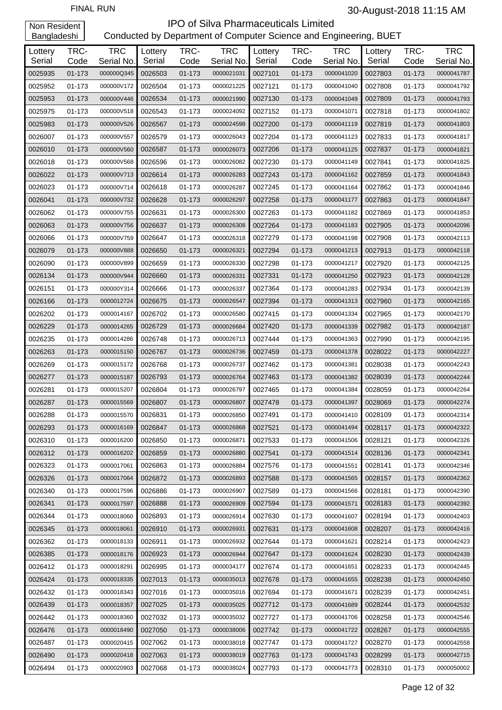### IPO of Silva Pharmaceuticals Limited Conducted by Department of Computer Science and Engineering, BUET

| Lottery | TRC-       | <b>TRC</b> | Lottery | TRC-   | <b>TRC</b> | Lottery | TRC-   | <b>TRC</b> | Lottery | TRC-       | <b>TRC</b> |
|---------|------------|------------|---------|--------|------------|---------|--------|------------|---------|------------|------------|
| Serial  | Code       | Serial No. | Serial  | Code   | Serial No. | Serial  | Code   | Serial No. | Serial  | Code       | Serial No. |
| 0025935 | 01-173     | 000000Q345 | 0026503 | 01-173 | 0000021031 | 0027101 | 01-173 | 0000041020 | 0027803 | 01-173     | 0000041787 |
| 0025952 | 01-173     | 000000V172 | 0026504 | 01-173 | 0000021225 | 0027121 | 01-173 | 0000041040 | 0027808 | 01-173     | 0000041792 |
| 0025953 | 01-173     | 000000V446 | 0026534 | 01-173 | 0000021990 | 0027130 | 01-173 | 0000041049 | 0027809 | 01-173     | 0000041793 |
| 0025975 | 01-173     | 000000V518 | 0026543 | 01-173 | 0000024092 | 0027152 | 01-173 | 0000041071 | 0027818 | 01-173     | 0000041802 |
| 0025983 | 01-173     | 000000V526 | 0026567 | 01-173 | 0000024598 | 0027200 | 01-173 | 0000041119 | 0027819 | 01-173     | 0000041803 |
| 0026007 | 01-173     | 000000V557 | 0026579 | 01-173 | 0000026043 | 0027204 | 01-173 | 0000041123 | 0027833 | 01-173     | 0000041817 |
| 0026010 | 01-173     | 000000V560 | 0026587 | 01-173 | 0000026073 | 0027206 | 01-173 | 0000041125 | 0027837 | 01-173     | 0000041821 |
| 0026018 | 01-173     | 000000V568 | 0026596 | 01-173 | 0000026082 | 0027230 | 01-173 | 0000041149 | 0027841 | 01-173     | 0000041825 |
| 0026022 | 01-173     | 000000V713 | 0026614 | 01-173 | 0000026283 | 0027243 | 01-173 | 0000041162 | 0027859 | 01-173     | 0000041843 |
| 0026023 | 01-173     | 000000V714 | 0026618 | 01-173 | 0000026287 | 0027245 | 01-173 | 0000041164 | 0027862 | 01-173     | 0000041846 |
| 0026041 | 01-173     | 000000V732 | 0026628 | 01-173 | 0000026297 | 0027258 | 01-173 | 0000041177 | 0027863 | 01-173     | 0000041847 |
| 0026062 | 01-173     | 000000V755 | 0026631 | 01-173 | 0000026300 | 0027263 | 01-173 | 0000041182 | 0027869 | 01-173     | 0000041853 |
| 0026063 | 01-173     | 000000V756 | 0026637 | 01-173 | 0000026308 | 0027264 | 01-173 | 0000041183 | 0027905 | 01-173     | 0000042096 |
| 0026066 | 01-173     | 000000V759 | 0026647 | 01-173 | 0000026318 | 0027279 | 01-173 | 0000041198 | 0027908 | 01-173     | 0000042113 |
| 0026079 | 01-173     | 000000V888 | 0026650 | 01-173 | 0000026321 | 0027294 | 01-173 | 0000041213 | 0027913 | 01-173     | 0000042118 |
| 0026090 | 01-173     | 000000V899 | 0026659 | 01-173 | 0000026330 | 0027298 | 01-173 | 0000041217 | 0027920 | 01-173     | 0000042125 |
| 0026134 | 01-173     | 000000V944 | 0026660 | 01-173 | 0000026331 | 0027331 | 01-173 | 0000041250 | 0027923 | 01-173     | 0000042128 |
| 0026151 | 01-173     | 000000Y314 | 0026666 | 01-173 | 0000026337 | 0027364 | 01-173 | 0000041283 | 0027934 | 01-173     | 0000042139 |
| 0026166 | 01-173     | 0000012724 | 0026675 | 01-173 | 0000026547 | 0027394 | 01-173 | 0000041313 | 0027960 | 01-173     | 0000042165 |
| 0026202 | 01-173     | 0000014167 | 0026702 | 01-173 | 0000026580 | 0027415 | 01-173 | 0000041334 | 0027965 | 01-173     | 0000042170 |
| 0026229 | 01-173     | 0000014265 | 0026729 | 01-173 | 0000026684 | 0027420 | 01-173 | 0000041339 | 0027982 | 01-173     | 0000042187 |
| 0026235 | 01-173     | 0000014286 | 0026748 | 01-173 | 0000026713 | 0027444 | 01-173 | 0000041363 | 0027990 | 01-173     | 0000042195 |
| 0026263 | 01-173     | 0000015150 | 0026767 | 01-173 | 0000026736 | 0027459 | 01-173 | 0000041378 | 0028022 | 01-173     | 0000042227 |
| 0026269 | 01-173     | 0000015172 | 0026768 | 01-173 | 0000026737 | 0027462 | 01-173 | 0000041381 | 0028038 | 01-173     | 0000042243 |
| 0026277 | 01-173     | 0000015187 | 0026793 | 01-173 | 0000026764 | 0027463 | 01-173 | 0000041382 | 0028039 | $01 - 173$ | 0000042244 |
| 0026281 | 01-173     | 0000015207 | 0026804 | 01-173 | 0000026797 | 0027465 | 01-173 | 0000041384 | 0028059 | 01-173     | 0000042264 |
| 0026287 | 01-173     | 0000015569 | 0026807 | 01-173 | 0000026807 | 0027478 | 01-173 | 0000041397 | 0028069 | 01-173     | 0000042274 |
| 0026288 | 01-173     | 0000015570 | 0026831 | 01-173 | 0000026850 | 0027491 | 01-173 | 0000041410 | 0028109 | 01-173     | 0000042314 |
| 0026293 | $01 - 173$ | 0000016169 | 0026847 | 01-173 | 0000026868 | 0027521 | 01-173 | 0000041494 | 0028117 | 01-173     | 0000042322 |
| 0026310 | 01-173     | 0000016200 | 0026850 | 01-173 | 0000026871 | 0027533 | 01-173 | 0000041506 | 0028121 | 01-173     | 0000042326 |
| 0026312 | 01-173     | 0000016202 | 0026859 | 01-173 | 0000026880 | 0027541 | 01-173 | 0000041514 | 0028136 | 01-173     | 0000042341 |
| 0026323 | 01-173     | 0000017061 | 0026863 | 01-173 | 0000026884 | 0027576 | 01-173 | 0000041551 | 0028141 | 01-173     | 0000042346 |
| 0026326 | 01-173     | 0000017064 | 0026872 | 01-173 | 0000026893 | 0027588 | 01-173 | 0000041565 | 0028157 | 01-173     | 0000042362 |
| 0026340 | 01-173     | 0000017596 | 0026886 | 01-173 | 0000026907 | 0027589 | 01-173 | 0000041566 | 0028181 | 01-173     | 0000042390 |
| 0026341 | 01-173     | 0000017597 | 0026888 | 01-173 | 0000026909 | 0027594 | 01-173 | 0000041571 | 0028183 | 01-173     | 0000042392 |
| 0026344 | 01-173     | 0000018060 | 0026893 | 01-173 | 0000026914 | 0027630 | 01-173 | 0000041607 | 0028194 | 01-173     | 0000042403 |
| 0026345 | 01-173     | 0000018061 | 0026910 | 01-173 | 0000026931 | 0027631 | 01-173 | 0000041608 | 0028207 | 01-173     | 0000042416 |
| 0026362 | 01-173     | 0000018133 | 0026911 | 01-173 | 0000026932 | 0027644 | 01-173 | 0000041621 | 0028214 | 01-173     | 0000042423 |
| 0026385 | 01-173     | 0000018176 | 0026923 | 01-173 | 0000026944 | 0027647 | 01-173 | 0000041624 | 0028230 | 01-173     | 0000042439 |
| 0026412 | 01-173     | 0000018291 | 0026995 | 01-173 | 0000034177 | 0027674 | 01-173 | 0000041651 | 0028233 | 01-173     | 0000042445 |
| 0026424 | 01-173     | 0000018335 | 0027013 | 01-173 | 0000035013 | 0027678 | 01-173 | 0000041655 | 0028238 | 01-173     | 0000042450 |
| 0026432 | 01-173     | 0000018343 | 0027016 | 01-173 | 0000035016 | 0027694 | 01-173 | 0000041671 | 0028239 | 01-173     | 0000042451 |
| 0026439 | 01-173     | 0000018357 | 0027025 | 01-173 | 0000035025 | 0027712 | 01-173 | 0000041689 | 0028244 | 01-173     | 0000042532 |
| 0026442 | 01-173     | 0000018360 | 0027032 | 01-173 | 0000035032 | 0027727 | 01-173 | 0000041706 | 0028258 | 01-173     | 0000042546 |
| 0026476 | 01-173     | 0000018490 | 0027050 | 01-173 | 0000038006 | 0027742 | 01-173 | 0000041722 | 0028267 | 01-173     | 0000042555 |
| 0026487 | 01-173     | 0000020415 | 0027062 | 01-173 | 0000038018 | 0027747 | 01-173 | 0000041727 | 0028270 | 01-173     | 0000042558 |
| 0026490 | 01-173     | 0000020418 | 0027063 | 01-173 | 0000038019 | 0027763 | 01-173 | 0000041743 | 0028299 | 01-173     | 0000042715 |
| 0026494 | 01-173     | 0000020903 | 0027068 | 01-173 | 0000038024 | 0027793 | 01-173 | 0000041773 | 0028310 | 01-173     | 0000050002 |
|         |            |            |         |        |            |         |        |            |         |            |            |

Page 12 of 32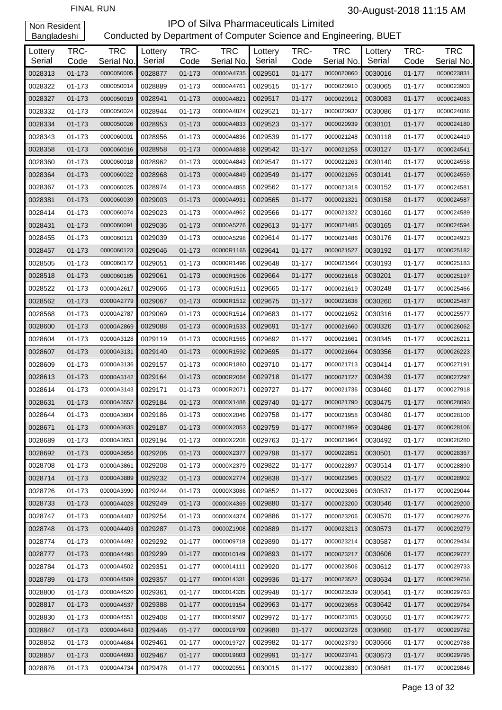| Lottery<br>Serial | TRC-           | <b>TRC</b><br>Serial No. | Lottery<br>Serial | TRC-           | <b>TRC</b><br>Serial No. | Lottery<br>Serial | TRC-               | <b>TRC</b><br>Serial No. | Lottery<br>Serial | TRC-<br>Code | <b>TRC</b><br>Serial No. |
|-------------------|----------------|--------------------------|-------------------|----------------|--------------------------|-------------------|--------------------|--------------------------|-------------------|--------------|--------------------------|
| 0028313           | Code<br>01-173 | 0000050005               | 0028877           | Code<br>01-173 | 00000A4735               | 0029501           | Code<br>$01 - 177$ | 0000020860               | 0030016           | $01 - 177$   | 0000023831               |
| 0028322           | 01-173         | 0000050014               | 0028889           | 01-173         | 00000A4761               | 0029515           | 01-177             | 0000020910               | 0030065           | $01 - 177$   | 0000023903               |
| 0028327           | 01-173         | 0000050019               | 0028941           | 01-173         | 00000A4821               | 0029517           | $01 - 177$         | 0000020912               | 0030083           | $01 - 177$   | 0000024083               |
| 0028332           | 01-173         | 0000050024               | 0028944           | 01-173         | 00000A4824               | 0029521           | 01-177             | 0000020937               | 0030086           | $01 - 177$   | 0000024086               |
|                   |                |                          |                   |                |                          |                   | $01 - 177$         |                          |                   |              |                          |
| 0028334           | 01-173         | 0000050026               | 0028953           | 01-173         | 00000A4833               | 0029523           |                    | 0000020939               | 0030101           | $01 - 177$   | 0000024180               |
| 0028343           | 01-173         | 0000060001               | 0028956           | 01-173         | 00000A4836               | 0029539           | 01-177             | 0000021248               | 0030118           | $01 - 177$   | 0000024410               |
| 0028358           | 01-173         | 0000060016               | 0028958           | 01-173         | 00000A4838               | 0029542           | $01 - 177$         | 0000021258               | 0030127           | $01 - 177$   | 0000024541               |
| 0028360           | 01-173         | 0000060018               | 0028962           | 01-173         | 00000A4843               | 0029547           | 01-177             | 0000021263               | 0030140           | 01-177       | 0000024558               |
| 0028364           | 01-173         | 0000060022               | 0028968           | 01-173         | 00000A4849               | 0029549           | 01-177             | 0000021265               | 0030141           | $01 - 177$   | 0000024559               |
| 0028367           | 01-173         | 0000060025               | 0028974           | 01-173         | 00000A4855               | 0029562           | 01-177             | 0000021318               | 0030152           | $01 - 177$   | 0000024581               |
| 0028381           | 01-173         | 0000060039               | 0029003           | 01-173         | 00000A4931               | 0029565           | $01 - 177$         | 0000021321               | 0030158           | $01 - 177$   | 0000024587               |
| 0028414           | 01-173         | 0000060074               | 0029023           | 01-173         | 00000A4962               | 0029566           | 01-177             | 0000021322               | 0030160           | 01-177       | 0000024589               |
| 0028431           | 01-173         | 0000060091               | 0029036           | 01-173         | 00000A5276               | 0029613           | 01-177             | 0000021485               | 0030165           | $01 - 177$   | 0000024594               |
| 0028455           | 01-173         | 0000060121               | 0029039           | 01-173         | 00000A5298               | 0029614           | 01-177             | 0000021486               | 0030176           | 01-177       | 0000024923               |
| 0028457           | 01-173         | 0000060123               | 0029046           | 01-173         | 00000R1165               | 0029641           | $01 - 177$         | 0000021527               | 0030192           | $01 - 177$   | 0000025182               |
| 0028505           | 01-173         | 0000060172               | 0029051           | 01-173         | 00000R1496               | 0029648           | 01-177             | 0000021564               | 0030193           | $01 - 177$   | 0000025183               |
| 0028518           | 01-173         | 0000060185               | 0029061           | 01-173         | 00000R1506               | 0029664           | $01 - 177$         | 0000021618               | 0030201           | $01 - 177$   | 0000025197               |
| 0028522           | 01-173         | 00000A2617               | 0029066           | 01-173         | 00000R1511               | 0029665           | 01-177             | 0000021619               | 0030248           | $01 - 177$   | 0000025466               |
| 0028562           | 01-173         | 00000A2779               | 0029067           | 01-173         | 00000R1512               | 0029675           | $01 - 177$         | 0000021638               | 0030260           | $01 - 177$   | 0000025487               |
| 0028568           | 01-173         | 00000A2787               | 0029069           | 01-173         | 00000R1514               | 0029683           | 01-177             | 0000021652               | 0030316           | 01-177       | 0000025577               |
| 0028600           | 01-173         | 00000A2869               | 0029088           | 01-173         | 00000R1533               | 0029691           | 01-177             | 0000021660               | 0030326           | $01 - 177$   | 0000026062               |
| 0028604           | 01-173         | 00000A3128               | 0029119           | 01-173         | 00000R1565               | 0029692           | 01-177             | 0000021661               | 0030345           | $01 - 177$   | 0000026211               |
| 0028607           | 01-173         | 00000A3131               | 0029140           | 01-173         | 00000R1592               | 0029695           | $01 - 177$         | 0000021664               | 0030356           | $01 - 177$   | 0000026223               |
| 0028609           | 01-173         | 00000A3136               | 0029157           | 01-173         | 00000R1860               | 0029710           | 01-177             | 0000021713               | 0030414           | 01-177       | 0000027191               |
| 0028613           | 01-173         | 00000A3142               | 0029164           | 01-173         | 00000R2064               | 0029718           | 01-177             | 0000021727               | 0030439           | $01 - 177$   | 0000027297               |
| 0028614           | 01-173         | 00000A3143               | 0029171           | 01-173         | 00000R2071               | 0029727           | 01-177             | 0000021736               | 0030460           | 01-177       | 0000027918               |
| 0028631           | 01-173         | 00000A3557               | 0029184           | 01-173         | 00000X1486               | 0029740           | $01 - 177$         | 0000021790               | 0030475           | $01 - 177$   | 0000028093               |
| 0028644           | 01-173         | 00000A3604               | 0029186           | 01-173         | 00000X2046               | 0029758           | 01-177             | 0000021958               | 0030480           | $01 - 177$   | 0000028100               |
| 0028671           | 01-173         | 00000A3635               | 0029187           | $01 - 173$     | 00000X2053               | 0029759           | $01 - 177$         | 0000021959               | 0030486           | $01 - 177$   | 0000028106               |
| 0028689           | 01-173         | 00000A3653               | 0029194           | 01-173         | 00000X2208               | 0029763           | 01-177             | 0000021964               | 0030492           | $01 - 177$   | 0000028280               |
| 0028692           | $01 - 173$     | 00000A3656               | 0029206           | 01-173         | 00000X2377               | 0029798           | $01 - 177$         | 0000022851               | 0030501           | $01 - 177$   | 0000028367               |
| 0028708           | 01-173         | 00000A3861               | 0029208           | 01-173         | 00000X2379               | 0029822           | 01-177             | 0000022897               | 0030514           | 01-177       | 0000028890               |
| 0028714           | 01-173         | 00000A3889               | 0029232           | 01-173         | 00000X2774               | 0029838           | $01 - 177$         | 0000022965               | 0030522           | $01 - 177$   | 0000028902               |
| 0028726           | 01-173         | 00000A3990               | 0029244           | 01-173         | 00000X3086               | 0029852           | 01-177             | 0000023066               | 0030537           | $01 - 177$   | 0000029044               |
| 0028733           | 01-173         | 00000A4028               | 0029249           | 01-173         | 00000X4369               | 0029880           | $01 - 177$         | 0000023200               | 0030546           | $01 - 177$   | 0000029200               |
| 0028747           | 01-173         | 00000A4402               | 0029254           | 01-173         | 00000X4374               | 0029886           | 01-177             | 0000023206               | 0030570           | 01-177       | 0000029276               |
| 0028748           | 01-173         | 00000A4403               | 0029287           | 01-173         | 00000Z1908               | 0029889           | $01 - 177$         | 0000023213               | 0030573           | $01 - 177$   | 0000029279               |
| 0028774           | 01-173         | 00000A4492               | 0029292           | 01-177         | 0000009718               | 0029890           | 01-177             | 0000023214               | 0030587           | 01-177       | 0000029434               |
| 0028777           | 01-173         | 00000A4495               | 0029299           | $01 - 177$     | 0000010149               | 0029893           | $01 - 177$         | 0000023217               | 0030606           | $01 - 177$   | 0000029727               |
| 0028784           | 01-173         | 00000A4502               | 0029351           | $01 - 177$     | 0000014111               | 0029920           | 01-177             | 0000023506               | 0030612           | 01-177       | 0000029733               |
| 0028789           | 01-173         | 00000A4509               | 0029357           | 01-177         | 0000014331               | 0029936           | $01 - 177$         | 0000023522               | 0030634           | $01 - 177$   | 0000029756               |
| 0028800           | 01-173         | 00000A4520               | 0029361           | 01-177         | 0000014335               | 0029948           | 01-177             | 0000023539               | 0030641           | $01 - 177$   | 0000029763               |
| 0028817           | 01-173         | 00000A4537               | 0029388           | $01 - 177$     | 0000019154               | 0029963           | $01 - 177$         | 0000023658               | 0030642           | $01 - 177$   | 0000029764               |
| 0028830           | 01-173         | 00000A4551               | 0029408           | 01-177         | 0000019507               | 0029972           | 01-177             | 0000023705               | 0030650           | 01-177       | 0000029772               |
| 0028847           | 01-173         | 00000A4643               | 0029446           | 01-177         | 0000019709               | 0029980           | $01 - 177$         | 0000023728               | 0030660           | $01 - 177$   | 0000029782               |
| 0028852           | 01-173         | 00000A4684               | 0029461           | 01-177         | 0000019727               | 0029982           | 01-177             | 0000023730               | 0030666           | $01 - 177$   | 0000029788               |
| 0028857           | 01-173         | 00000A4693               | 0029467           | $01 - 177$     | 0000019803               | 0029991           | $01 - 177$         | 0000023741               | 0030673           | $01 - 177$   | 0000029795               |
| 0028876           | 01-173         | 00000A4734               | 0029478           | $01 - 177$     | 0000020551               | 0030015           | 01-177             | 0000023830               | 0030681           | $01 - 177$   | 0000029846               |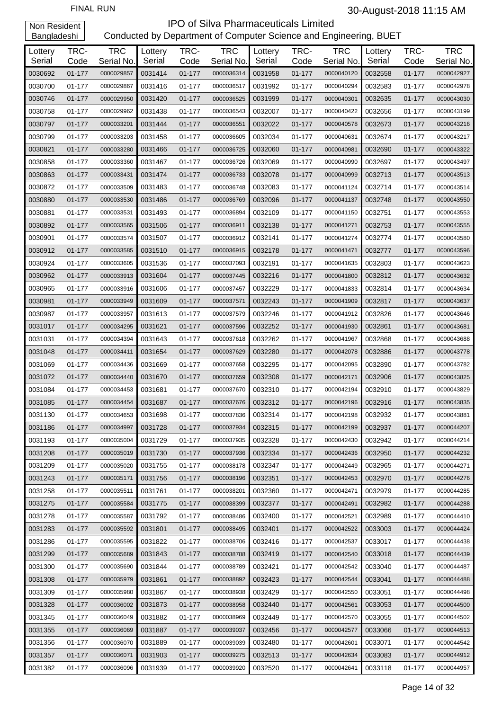| Lottery<br>Serial | TRC-<br>Code | <b>TRC</b><br>Serial No. | Lottery<br>Serial | TRC-<br>Code | <b>TRC</b><br>Serial No. | Lottery<br>Serial | TRC-<br>Code | <b>TRC</b><br>Serial No. | Lottery<br>Serial | TRC-<br>Code | <b>TRC</b><br>Serial No. |
|-------------------|--------------|--------------------------|-------------------|--------------|--------------------------|-------------------|--------------|--------------------------|-------------------|--------------|--------------------------|
| 0030692           | $01 - 177$   | 0000029857               | 0031414           | $01 - 177$   | 0000036314               | 0031958           | 01-177       | 0000040120               | 0032558           | $01 - 177$   | 0000042927               |
| 0030700           | 01-177       | 0000029867               | 0031416           | 01-177       | 0000036517               | 0031992           | 01-177       | 0000040294               | 0032583           | 01-177       | 0000042978               |
| 0030746           | 01-177       | 0000029950               | 0031420           | 01-177       | 0000036525               | 0031999           | 01-177       | 0000040301               | 0032635           | 01-177       | 0000043030               |
| 0030758           | 01-177       | 0000029962               | 0031438           | 01-177       | 0000036543               | 0032007           | 01-177       | 0000040422               | 0032656           | 01-177       | 0000043199               |
| 0030797           | 01-177       | 0000033201               | 0031444           | 01-177       | 0000036551               | 0032022           | 01-177       | 0000040578               | 0032673           | $01 - 177$   | 0000043216               |
| 0030799           | 01-177       | 0000033203               | 0031458           | 01-177       | 0000036605               | 0032034           | 01-177       | 0000040631               | 0032674           | 01-177       | 0000043217               |
| 0030821           | 01-177       | 0000033280               | 0031466           | $01 - 177$   | 0000036725               | 0032060           | 01-177       | 0000040981               | 0032690           | 01-177       | 0000043322               |
| 0030858           | 01-177       | 0000033360               | 0031467           | 01-177       | 0000036726               | 0032069           | 01-177       | 0000040990               | 0032697           | 01-177       | 0000043497               |
| 0030863           | 01-177       | 0000033431               | 0031474           | 01-177       | 0000036733               | 0032078           | 01-177       | 0000040999               | 0032713           | 01-177       | 0000043513               |
| 0030872           | 01-177       | 0000033509               | 0031483           | 01-177       | 0000036748               | 0032083           | 01-177       | 0000041124               | 0032714           | 01-177       | 0000043514               |
| 0030880           | 01-177       | 0000033530               | 0031486           | 01-177       | 0000036769               | 0032096           | 01-177       | 0000041137               | 0032748           | 01-177       | 0000043550               |
| 0030881           | 01-177       | 0000033531               | 0031493           | 01-177       | 0000036894               | 0032109           | 01-177       | 0000041150               | 0032751           | 01-177       | 0000043553               |
| 0030892           | 01-177       | 0000033565               | 0031506           | 01-177       | 0000036911               | 0032138           | 01-177       | 0000041271               | 0032753           | 01-177       | 0000043555               |
| 0030901           | 01-177       | 0000033574               | 0031507           | 01-177       | 0000036912               | 0032141           | 01-177       | 0000041274               | 0032774           | 01-177       | 0000043580               |
| 0030912           | 01-177       | 0000033585               | 0031510           | $01 - 177$   | 0000036915               | 0032178           | 01-177       | 0000041471               | 0032777           | 01-177       | 0000043596               |
| 0030924           | 01-177       | 0000033605               | 0031536           | 01-177       | 0000037093               | 0032191           | 01-177       | 0000041635               | 0032803           | 01-177       | 0000043623               |
| 0030962           | 01-177       | 0000033913               | 0031604           | 01-177       | 0000037445               | 0032216           | 01-177       | 0000041800               | 0032812           | 01-177       | 0000043632               |
| 0030965           | 01-177       | 0000033916               | 0031606           | 01-177       | 0000037457               | 0032229           | 01-177       | 0000041833               | 0032814           | 01-177       | 0000043634               |
| 0030981           | 01-177       | 0000033949               | 0031609           | 01-177       | 0000037571               | 0032243           | 01-177       | 0000041909               | 0032817           | 01-177       | 0000043637               |
| 0030987           | 01-177       | 0000033957               | 0031613           | 01-177       | 0000037579               | 0032246           | 01-177       | 0000041912               | 0032826           | 01-177       | 0000043646               |
| 0031017           | 01-177       | 0000034295               | 0031621           | 01-177       | 0000037596               | 0032252           | 01-177       | 0000041930               | 0032861           | 01-177       | 0000043681               |
| 0031031           | 01-177       | 0000034394               | 0031643           | 01-177       | 0000037618               | 0032262           | 01-177       | 0000041967               | 0032868           | 01-177       | 0000043688               |
| 0031048           | 01-177       | 0000034411               | 0031654           | 01-177       | 0000037629               | 0032280           | 01-177       | 0000042078               | 0032886           | 01-177       | 0000043778               |
| 0031069           | 01-177       | 0000034436               | 0031669           | 01-177       | 0000037658               | 0032295           | 01-177       | 0000042095               | 0032890           | 01-177       | 0000043782               |
| 0031072           | 01-177       | 0000034440               | 0031670           | 01-177       | 0000037659               | 0032308           | 01-177       | 0000042171               | 0032906           | 01-177       | 0000043825               |
| 0031084           | 01-177       | 0000034453               | 0031681           | 01-177       | 0000037670               | 0032310           | 01-177       | 0000042194               | 0032910           | 01-177       | 0000043829               |
| 0031085           | 01-177       | 0000034454               | 0031687           | $01 - 177$   | 0000037676               | 0032312           | 01-177       | 0000042196               | 0032916           | 01-177       | 0000043835               |
| 0031130           | 01-177       | 0000034653               | 0031698           | 01-177       | 0000037836               | 0032314           | 01-177       | 0000042198               | 0032932           | 01-177       | 0000043881               |
| 0031186           | $01 - 177$   | 0000034997               | 0031728           | 01-177       | 0000037934               | 0032315           | $01 - 177$   | 0000042199               | 0032937           | 01-177       | 0000044207               |
| 0031193           | 01-177       | 0000035004               | 0031729           | $01 - 177$   | 0000037935               | 0032328           | 01-177       | 0000042430               | 0032942           | 01-177       | 0000044214               |
| 0031208           | 01-177       | 0000035019               | 0031730           | $01 - 177$   | 0000037936               | 0032334           | $01 - 177$   | 0000042436               | 0032950           | $01 - 177$   | 0000044232               |
| 0031209           | 01-177       | 0000035020               | 0031755           | $01 - 177$   | 0000038178               | 0032347           | 01-177       | 0000042449               | 0032965           | 01-177       | 0000044271               |
| 0031243           | 01-177       | 0000035171               | 0031756           | 01-177       | 0000038196               | 0032351           | 01-177       | 0000042453               | 0032970           | 01-177       | 0000044276               |
| 0031258           | 01-177       | 0000035511               | 0031761           | 01-177       | 0000038201               | 0032360           | 01-177       | 0000042471               | 0032979           | 01-177       | 0000044285               |
| 0031275           | 01-177       | 0000035584               | 0031775           | $01 - 177$   | 0000038399               | 0032377           | 01-177       | 0000042491               | 0032982           | 01-177       | 0000044288               |
| 0031278           | 01-177       | 0000035587               | 0031792           | 01-177       | 0000038486               | 0032400           | 01-177       | 0000042521               | 0032989           | 01-177       | 0000044410               |
| 0031283           | 01-177       | 0000035592               | 0031801           | 01-177       | 0000038495               | 0032401           | 01-177       | 0000042522               | 0033003           | 01-177       | 0000044424               |
| 0031286           | 01-177       | 0000035595               | 0031822           | 01-177       | 0000038706               | 0032416           | 01-177       | 0000042537               | 0033017           | 01-177       | 0000044438               |
| 0031299           | 01-177       | 0000035689               | 0031843           | 01-177       | 0000038788               | 0032419           | 01-177       | 0000042540               | 0033018           | 01-177       | 0000044439               |
| 0031300           | 01-177       | 0000035690               | 0031844           | 01-177       | 0000038789               | 0032421           | 01-177       | 0000042542               | 0033040           | 01-177       | 0000044487               |
| 0031308           | 01-177       | 0000035979               | 0031861           | 01-177       | 0000038892               | 0032423           | 01-177       | 0000042544               | 0033041           | 01-177       | 0000044488               |
| 0031309           | 01-177       | 0000035980               | 0031867           | 01-177       | 0000038938               | 0032429           | 01-177       | 0000042550               | 0033051           | 01-177       | 0000044498               |
| 0031328           | 01-177       | 0000036002               | 0031873           | 01-177       | 0000038958               | 0032440           | 01-177       | 0000042561               | 0033053           | 01-177       | 0000044500               |
| 0031345           | 01-177       | 0000036049               | 0031882           | 01-177       | 0000038969               | 0032449           | 01-177       | 0000042570               | 0033055           | 01-177       | 0000044502               |
| 0031355           | 01-177       | 0000036069               | 0031887           | 01-177       | 0000039037               | 0032456           | 01-177       | 0000042577               | 0033066           | 01-177       | 0000044513               |
| 0031356           | 01-177       | 0000036070               | 0031889           | 01-177       | 0000039039               | 0032480           | 01-177       | 0000042601               | 0033071           | 01-177       | 0000044542               |
| 0031357           | 01-177       | 0000036071               | 0031903           | 01-177       | 0000039275               | 0032513           | 01-177       | 0000042634               | 0033083           | 01-177       | 0000044912               |
| 0031382           | $01 - 177$   | 0000036096               | 0031939           | $01 - 177$   | 0000039920               | 0032520           | 01-177       | 0000042641               | 0033118           | 01-177       | 0000044957               |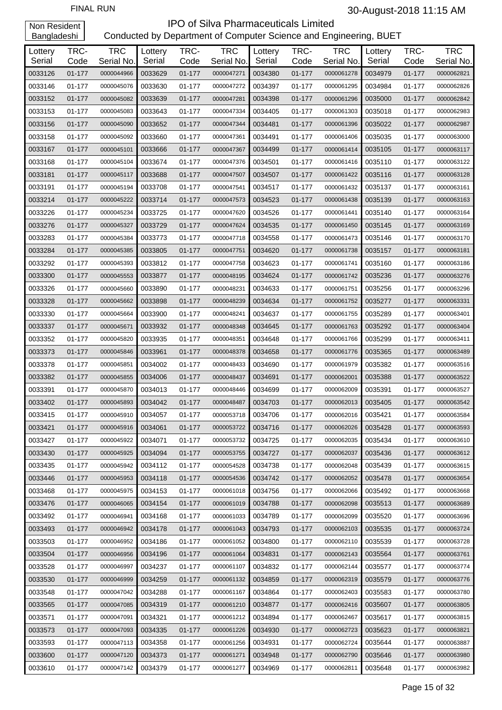| Lottery<br>Serial | TRC-<br>Code | <b>TRC</b><br>Serial No. | Lottery<br>Serial | TRC-<br>Code | <b>TRC</b><br>Serial No. | Lottery<br>Serial | TRC-<br>Code | <b>TRC</b><br>Serial No. | Lottery<br>Serial | TRC-<br>Code | <b>TRC</b><br>Serial No. |
|-------------------|--------------|--------------------------|-------------------|--------------|--------------------------|-------------------|--------------|--------------------------|-------------------|--------------|--------------------------|
| 0033126           | $01 - 177$   | 0000044966               | 0033629           | $01 - 177$   | 0000047271               | 0034380           | $01 - 177$   | 0000061278               | 0034979           | $01 - 177$   | 0000062821               |
| 0033146           | 01-177       | 0000045076               | 0033630           | 01-177       | 0000047272               | 0034397           | 01-177       | 0000061295               | 0034984           | 01-177       | 0000062826               |
| 0033152           | $01 - 177$   | 0000045082               | 0033639           | 01-177       | 0000047281               | 0034398           | $01 - 177$   | 0000061296               | 0035000           | 01-177       | 0000062842               |
| 0033153           | 01-177       | 0000045083               | 0033643           | 01-177       | 0000047334               | 0034405           | 01-177       | 0000061303               | 0035018           | 01-177       | 0000062983               |
| 0033156           | $01 - 177$   | 0000045090               | 0033652           | 01-177       | 0000047344               | 0034481           | $01 - 177$   | 0000061396               | 0035022           | $01 - 177$   | 0000062987               |
| 0033158           | 01-177       | 0000045092               | 0033660           | 01-177       | 0000047361               | 0034491           | 01-177       | 0000061406               | 0035035           | 01-177       | 0000063000               |
| 0033167           | $01 - 177$   | 0000045101               | 0033666           | 01-177       | 0000047367               | 0034499           | $01 - 177$   | 0000061414               | 0035105           | $01 - 177$   | 0000063117               |
| 0033168           | 01-177       | 0000045104               | 0033674           | 01-177       | 0000047376               | 0034501           | 01-177       | 0000061416               | 0035110           | 01-177       | 0000063122               |
| 0033181           | $01 - 177$   | 0000045117               | 0033688           | 01-177       | 0000047507               | 0034507           | 01-177       | 0000061422               | 0035116           | 01-177       | 0000063128               |
| 0033191           | 01-177       | 0000045194               | 0033708           | 01-177       | 0000047541               | 0034517           | 01-177       | 0000061432               | 0035137           | 01-177       | 0000063161               |
| 0033214           | $01 - 177$   | 0000045222               | 0033714           | 01-177       | 0000047573               | 0034523           | $01 - 177$   | 0000061438               | 0035139           | $01 - 177$   | 0000063163               |
| 0033226           | 01-177       | 0000045234               | 0033725           | 01-177       | 0000047620               | 0034526           | 01-177       | 0000061441               | 0035140           | 01-177       | 0000063164               |
| 0033276           | $01 - 177$   | 0000045327               | 0033729           | 01-177       | 0000047624               | 0034535           | 01-177       | 0000061450               | 0035145           | 01-177       | 0000063169               |
| 0033283           | 01-177       | 0000045384               | 0033773           | 01-177       | 0000047718               | 0034558           | 01-177       | 0000061473               | 0035146           | 01-177       | 0000063170               |
| 0033284           | $01 - 177$   | 0000045385               | 0033805           | 01-177       | 0000047751               | 0034620           | $01 - 177$   | 0000061738               | 0035157           | $01 - 177$   | 0000063181               |
| 0033292           | 01-177       | 0000045393               | 0033812           | 01-177       | 0000047758               | 0034623           | 01-177       | 0000061741               | 0035160           | 01-177       | 0000063186               |
| 0033300           | $01 - 177$   | 0000045553               | 0033877           | 01-177       | 0000048195               | 0034624           | 01-177       | 0000061742               | 0035236           | $01 - 177$   | 0000063276               |
| 0033326           | 01-177       | 0000045660               | 0033890           | 01-177       | 0000048231               | 0034633           | 01-177       | 0000061751               | 0035256           | $01 - 177$   | 0000063296               |
| 0033328           | $01 - 177$   | 0000045662               | 0033898           | 01-177       | 0000048239               | 0034634           | $01 - 177$   | 0000061752               | 0035277           | $01 - 177$   | 0000063331               |
| 0033330           | 01-177       | 0000045664               | 0033900           | 01-177       | 0000048241               | 0034637           | 01-177       | 0000061755               | 0035289           | 01-177       | 0000063401               |
| 0033337           | $01 - 177$   | 0000045671               | 0033932           | 01-177       | 0000048348               | 0034645           | 01-177       | 0000061763               | 0035292           | 01-177       | 0000063404               |
| 0033352           | 01-177       | 0000045820               | 0033935           | 01-177       | 0000048351               | 0034648           | 01-177       | 0000061766               | 0035299           | 01-177       | 0000063411               |
| 0033373           | $01 - 177$   | 0000045846               | 0033961           | 01-177       | 0000048378               | 0034658           | $01 - 177$   | 0000061776               | 0035365           | 01-177       | 0000063489               |
| 0033378           | 01-177       | 0000045851               | 0034002           | 01-177       | 0000048433               | 0034690           | 01-177       | 0000061979               | 0035382           | 01-177       | 0000063516               |
| 0033382           | $01 - 177$   | 0000045855               | 0034006           | 01-177       | 0000048437               | 0034691           | 01-177       | 0000062001               | 0035388           | 01-177       | 0000063522               |
| 0033391           | 01-177       | 0000045870               | 0034013           | 01-177       | 0000048446               | 0034699           | 01-177       | 0000062009               | 0035391           | 01-177       | 0000063527               |
| 0033402           | $01 - 177$   | 0000045893               | 0034042           | 01-177       | 0000048487               | 0034703           | 01-177       | 0000062013               | 0035405           | 01-177       | 0000063542               |
| 0033415           | 01-177       | 0000045910               | 0034057           | 01-177       | 0000053718               | 0034706           | 01-177       | 0000062016               | 0035421           | 01-177       | 0000063584               |
| 0033421           | $01 - 177$   | 0000045916               | 0034061           | 01-177       | 0000053722               | 0034716           | $01 - 177$   | 0000062026               | 0035428           | 01-177       | 0000063593               |
| 0033427           | 01-177       | 0000045922               | 0034071           | 01-177       | 0000053732               | 0034725           | 01-177       | 0000062035               | 0035434           | $01 - 177$   | 0000063610               |
| 0033430           | 01-177       | 0000045925               | 0034094           | $01 - 177$   | 0000053755               | 0034727           | $01 - 177$   | 0000062037               | 0035436           | $01 - 177$   | 0000063612               |
| 0033435           | 01-177       | 0000045942               | 0034112           | 01-177       | 0000054528               | 0034738           | 01-177       | 0000062048               | 0035439           | $01 - 177$   | 0000063615               |
| 0033446           | $01 - 177$   | 0000045953               | 0034118           | $01 - 177$   | 0000054536               | 0034742           | $01 - 177$   | 0000062052               | 0035478           | $01 - 177$   | 0000063654               |
| 0033468           | $01 - 177$   | 0000045975               | 0034153           | 01-177       | 0000061018               | 0034756           | 01-177       | 0000062066               | 0035492           | 01-177       | 0000063668               |
| 0033476           | 01-177       | 0000046065               | 0034154           | 01-177       | 0000061019               | 0034788           | $01 - 177$   | 0000062098               | 0035513           | 01-177       | 0000063689               |
| 0033492           | 01-177       | 0000046941               | 0034168           | 01-177       | 0000061033               | 0034789           | 01-177       | 0000062099               | 0035520           | 01-177       | 0000063696               |
| 0033493           | $01 - 177$   | 0000046942               | 0034178           | 01-177       | 0000061043               | 0034793           | $01 - 177$   | 0000062103               | 0035535           | $01 - 177$   | 0000063724               |
| 0033503           | 01-177       | 0000046952               | 0034186           | 01-177       | 0000061052               | 0034800           | 01-177       | 0000062110               | 0035539           | 01-177       | 0000063728               |
| 0033504           | 01-177       | 0000046956               | 0034196           | $01 - 177$   | 0000061064               | 0034831           | $01 - 177$   | 0000062143               | 0035564           | 01-177       | 0000063761               |
| 0033528           | 01-177       | 0000046997               | 0034237           | 01-177       | 0000061107               | 0034832           | 01-177       | 0000062144               | 0035577           | 01-177       | 0000063774               |
| 0033530           | 01-177       | 0000046999               | 0034259           | $01 - 177$   | 0000061132               | 0034859           | $01 - 177$   | 0000062319               | 0035579           | $01 - 177$   | 0000063776               |
| 0033548           | 01-177       | 0000047042               | 0034288           | 01-177       | 0000061167               | 0034864           | 01-177       | 0000062403               | 0035583           | 01-177       | 0000063780               |
| 0033565           | 01-177       | 0000047085               | 0034319           | 01-177       | 0000061210               | 0034877           | $01 - 177$   | 0000062416               | 0035607           | 01-177       | 0000063805               |
| 0033571           | 01-177       | 0000047091               | 0034321           | 01-177       | 0000061212               | 0034894           | 01-177       | 0000062467               | 0035617           | 01-177       | 0000063815               |
| 0033573           | 01-177       | 0000047093               | 0034335           | 01-177       | 0000061226               | 0034930           | $01 - 177$   | 0000062723               | 0035623           | 01-177       | 0000063821               |
| 0033593           | 01-177       | 0000047113               | 0034358           | 01-177       | 0000061256               | 0034931           | 01-177       | 0000062724               | 0035644           | 01-177       | 0000063887               |
| 0033600           | 01-177       | 0000047120               | 0034373           | 01-177       | 0000061271               | 0034948           | $01 - 177$   | 0000062790               | 0035646           | 01-177       | 0000063980               |
| 0033610           | 01-177       | 0000047142               | 0034379           | 01-177       | 0000061277               | 0034969           | 01-177       | 0000062811               | 0035648           | $01 - 177$   | 0000063982               |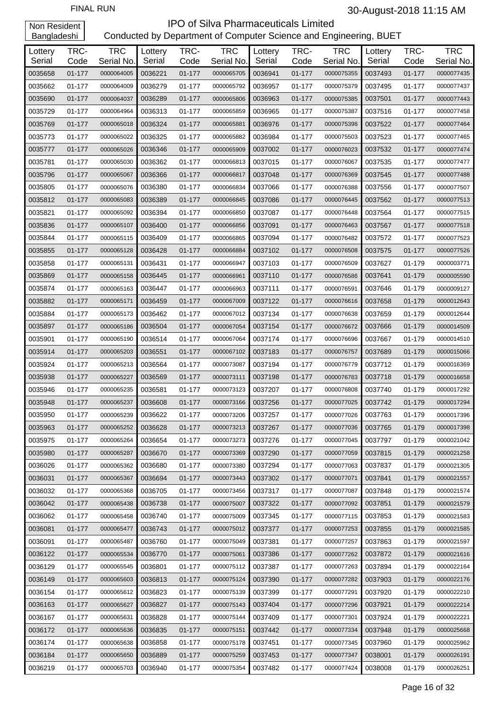| Lottery<br>Serial | TRC-<br>Code | <b>TRC</b><br>Serial No. | Lottery<br>Serial | TRC-<br>Code | <b>TRC</b><br>Serial No. | Lottery<br>Serial | TRC-<br>Code | <b>TRC</b><br>Serial No. | Lottery<br>Serial | TRC-<br>Code | <b>TRC</b><br>Serial No. |
|-------------------|--------------|--------------------------|-------------------|--------------|--------------------------|-------------------|--------------|--------------------------|-------------------|--------------|--------------------------|
| 0035658           | 01-177       | 0000064005               | 0036221           | $01 - 177$   | 0000065705               | 0036941           | $01 - 177$   | 0000075355               | 0037493           | $01 - 177$   | 0000077435               |
| 0035662           | 01-177       | 0000064009               | 0036279           | 01-177       | 0000065792               | 0036957           | 01-177       | 0000075379               | 0037495           | 01-177       | 0000077437               |
| 0035690           | $01 - 177$   | 0000064037               | 0036289           | $01 - 177$   | 0000065806               | 0036963           | $01 - 177$   | 0000075385               | 0037501           | 01-177       | 0000077443               |
| 0035729           | 01-177       | 0000064964               | 0036313           | 01-177       | 0000065859               | 0036965           | 01-177       | 0000075387               | 0037516           | 01-177       | 0000077458               |
| 0035769           | 01-177       | 0000065018               | 0036324           | 01-177       | 0000065881               | 0036976           | 01-177       | 0000075398               | 0037522           | 01-177       | 0000077464               |
| 0035773           | 01-177       | 0000065022               | 0036325           | 01-177       | 0000065882               | 0036984           | 01-177       | 0000075503               | 0037523           | 01-177       | 0000077465               |
| 0035777           | 01-177       | 0000065026               | 0036346           | $01 - 177$   | 0000065909               | 0037002           | 01-177       | 0000076023               | 0037532           | 01-177       | 0000077474               |
| 0035781           | 01-177       | 0000065030               | 0036362           | 01-177       | 0000066813               | 0037015           | 01-177       | 0000076067               | 0037535           | 01-177       | 0000077477               |
| 0035796           | 01-177       | 0000065067               | 0036366           | 01-177       | 0000066817               | 0037048           | 01-177       | 0000076369               | 0037545           | 01-177       | 0000077488               |
| 0035805           | 01-177       | 0000065076               | 0036380           | 01-177       | 0000066834               | 0037066           | 01-177       | 0000076388               | 0037556           | 01-177       | 0000077507               |
| 0035812           | 01-177       | 0000065083               | 0036389           | 01-177       | 0000066845               | 0037086           | 01-177       | 0000076445               | 0037562           | 01-177       | 0000077513               |
| 0035821           | 01-177       | 0000065092               | 0036394           | 01-177       | 0000066850               | 0037087           | 01-177       | 0000076448               | 0037564           | 01-177       | 0000077515               |
| 0035836           | 01-177       | 0000065107               | 0036400           | 01-177       | 0000066856               | 0037091           | 01-177       | 0000076463               | 0037567           | 01-177       | 0000077518               |
| 0035844           | 01-177       | 0000065115               | 0036409           | 01-177       | 0000066865               | 0037094           | 01-177       | 0000076482               | 0037572           | 01-177       | 0000077523               |
| 0035855           | 01-177       | 0000065128               | 0036428           | $01 - 177$   | 0000066884               | 0037102           | 01-177       | 0000076508               | 0037575           | 01-177       | 0000077526               |
| 0035858           | 01-177       | 0000065131               | 0036431           | 01-177       | 0000066947               | 0037103           | 01-177       | 0000076509               | 0037627           | 01-179       | 0000003771               |
| 0035869           | 01-177       | 0000065158               | 0036445           | 01-177       | 0000066961               | 0037110           | 01-177       | 0000076586               | 0037641           | 01-179       | 0000005590               |
| 0035874           | 01-177       | 0000065163               | 0036447           | 01-177       | 0000066963               | 0037111           | 01-177       | 0000076591               | 0037646           | 01-179       | 0000009127               |
| 0035882           | 01-177       | 0000065171               | 0036459           | 01-177       | 0000067009               | 0037122           | 01-177       | 0000076616               | 0037658           | 01-179       | 0000012643               |
| 0035884           | 01-177       | 0000065173               | 0036462           | 01-177       | 0000067012               | 0037134           | 01-177       | 0000076638               | 0037659           | 01-179       | 0000012644               |
| 0035897           | 01-177       | 0000065186               | 0036504           | 01-177       | 0000067054               | 0037154           | 01-177       | 0000076672               | 0037666           | 01-179       | 0000014509               |
| 0035901           | 01-177       | 0000065190               | 0036514           | 01-177       | 0000067064               | 0037174           | 01-177       | 0000076696               | 0037667           | 01-179       | 0000014510               |
| 0035914           | 01-177       | 0000065203               | 0036551           | 01-177       | 0000067102               | 0037183           | 01-177       | 0000076757               | 0037689           | 01-179       | 0000015066               |
| 0035924           | 01-177       | 0000065213               | 0036564           | 01-177       | 0000073087               | 0037194           | 01-177       | 0000076779               | 0037712           | 01-179       | 0000016369               |
| 0035938           | 01-177       | 0000065227               | 0036569           | 01-177       | 0000073111               | 0037198           | 01-177       | 0000076783               | 0037718           | 01-179       | 0000016658               |
| 0035946           | 01-177       | 0000065235               | 0036581           | 01-177       | 0000073123               | 0037207           | 01-177       | 0000076808               | 0037740           | 01-179       | 0000017292               |
| 0035948           | 01-177       | 0000065237               | 0036608           | 01-177       | 0000073166               | 0037256           | 01-177       | 0000077025               | 0037742           | 01-179       | 0000017294               |
| 0035950           | 01-177       | 0000065239               | 0036622           | $01 - 177$   | 0000073206               | 0037257           | 01-177       | 0000077026               | 0037763           | 01-179       | 0000017396               |
| 0035963           | $01 - 177$   | 0000065252               | 0036628           | 01-177       | 0000073213               | 0037267           | 01-177       | 0000077036               | 0037765           | 01-179       | 0000017398               |
| 0035975           | 01-177       | 0000065264               | 0036654           | 01-177       | 0000073273               | 0037276           | 01-177       | 0000077045               | 0037797           | 01-179       | 0000021042               |
| 0035980           | 01-177       | 0000065287               | 0036670           | 01-177       | 0000073369               | 0037290           | 01-177       | 0000077059               | 0037815           | 01-179       | 0000021258               |
| 0036026           | 01-177       | 0000065362               | 0036680           | 01-177       | 0000073380               | 0037294           | 01-177       | 0000077063               | 0037837           | 01-179       | 0000021305               |
| 0036031           | 01-177       | 0000065367               | 0036694           | 01-177       | 0000073443               | 0037302           | 01-177       | 0000077071               | 0037841           | 01-179       | 0000021557               |
| 0036032           | 01-177       | 0000065368               | 0036705           | 01-177       | 0000073456               | 0037317           | 01-177       | 0000077087               | 0037848           | 01-179       | 0000021574               |
| 0036042           | 01-177       | 0000065438               | 0036738           | 01-177       | 0000075007               | 0037322           | 01-177       | 0000077092               | 0037851           | 01-179       | 0000021579               |
| 0036062           | 01-177       | 0000065458               | 0036740           | 01-177       | 0000075009               | 0037345           | 01-177       | 0000077115               | 0037853           | 01-179       | 0000021583               |
| 0036081           | 01-177       | 0000065477               | 0036743           | 01-177       | 0000075012               | 0037377           | 01-177       | 0000077253               | 0037855           | 01-179       | 0000021585               |
| 0036091           | 01-177       | 0000065487               | 0036760           | 01-177       | 0000075049               | 0037381           | 01-177       | 0000077257               | 0037863           | 01-179       | 0000021597               |
| 0036122           | 01-177       | 0000065534               | 0036770           | 01-177       | 0000075061               | 0037386           | 01-177       | 0000077262               | 0037872           | 01-179       | 0000021616               |
| 0036129           | 01-177       | 0000065545               | 0036801           | 01-177       | 0000075112               | 0037387           | 01-177       | 0000077263               | 0037894           | 01-179       | 0000022164               |
| 0036149           | 01-177       | 0000065603               | 0036813           | 01-177       | 0000075124               | 0037390           | 01-177       | 0000077282               | 0037903           | 01-179       | 0000022176               |
| 0036154           | 01-177       | 0000065612               | 0036823           | 01-177       | 0000075139               | 0037399           | 01-177       | 0000077291               | 0037920           | 01-179       | 0000022210               |
| 0036163           | 01-177       | 0000065627               | 0036827           | 01-177       | 0000075143               | 0037404           | 01-177       | 0000077296               | 0037921           | 01-179       | 0000022214               |
| 0036167           | 01-177       | 0000065631               | 0036828           | 01-177       | 0000075144               | 0037409           | 01-177       | 0000077301               | 0037924           | 01-179       | 0000022221               |
| 0036172           | 01-177       | 0000065636               | 0036835           | 01-177       | 0000075151               | 0037442           | 01-177       | 0000077334               | 0037948           | 01-179       | 0000025668               |
| 0036174           | 01-177       | 0000065638               | 0036858           | 01-177       | 0000075178               | 0037451           | 01-177       | 0000077345               | 0037960           | 01-179       | 0000025962               |
| 0036184           | 01-177       | 0000065650               | 0036889           | 01-177       | 0000075259               | 0037453           | 01-177       | 0000077347               | 0038001           | 01-179       | 0000026191               |
| 0036219           | 01-177       | 0000065703               | 0036940           | 01-177       | 0000075354               | 0037482           | 01-177       | 0000077424               | 0038008           | 01-179       | 0000026251               |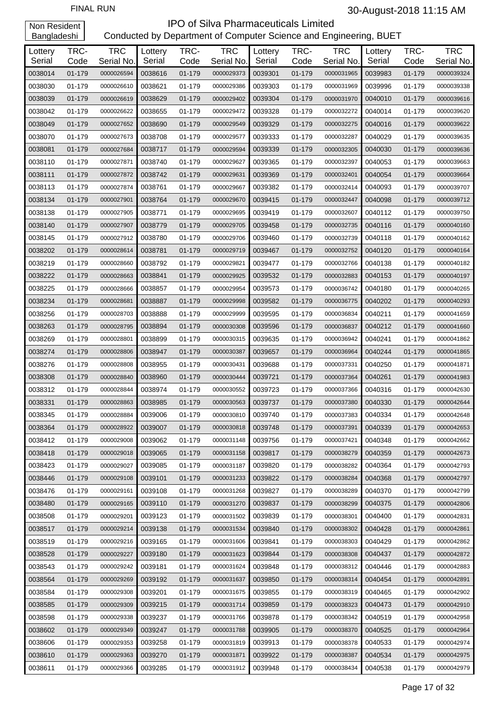| Lottery<br>Serial | TRC-<br>Code | <b>TRC</b><br>Serial No. | Lottery<br>Serial | TRC-<br>Code | <b>TRC</b><br>Serial No. | Lottery<br>Serial | TRC-<br>Code | <b>TRC</b><br>Serial No. | Lottery<br>Serial | TRC-<br>Code | <b>TRC</b><br>Serial No. |
|-------------------|--------------|--------------------------|-------------------|--------------|--------------------------|-------------------|--------------|--------------------------|-------------------|--------------|--------------------------|
| 0038014           | 01-179       | 0000026594               | 0038616           | 01-179       | 0000029373               | 0039301           | 01-179       | 0000031965               | 0039983           | 01-179       | 0000039324               |
| 0038030           | 01-179       | 0000026610               | 0038621           | 01-179       | 0000029386               | 0039303           | 01-179       | 0000031969               | 0039996           | 01-179       | 0000039338               |
| 0038039           | 01-179       | 0000026619               | 0038629           | 01-179       | 0000029402               | 0039304           | 01-179       | 0000031970               | 0040010           | 01-179       | 0000039616               |
| 0038042           | 01-179       | 0000026622               | 0038655           | 01-179       | 0000029472               | 0039328           | 01-179       | 0000032272               | 0040014           | 01-179       | 0000039620               |
| 0038049           | 01-179       | 0000027652               | 0038690           | 01-179       | 0000029549               | 0039329           | 01-179       | 0000032275               | 0040016           | 01-179       | 0000039622               |
| 0038070           | 01-179       | 0000027673               | 0038708           | 01-179       | 0000029577               | 0039333           | 01-179       | 0000032287               | 0040029           | 01-179       | 0000039635               |
| 0038081           | 01-179       | 0000027684               | 0038717           | 01-179       | 0000029594               | 0039339           | 01-179       | 0000032305               | 0040030           | 01-179       | 0000039636               |
| 0038110           | 01-179       | 0000027871               | 0038740           | 01-179       | 0000029627               | 0039365           | 01-179       | 0000032397               | 0040053           | 01-179       | 0000039663               |
| 0038111           | 01-179       | 0000027872               | 0038742           | 01-179       | 0000029631               | 0039369           | 01-179       | 0000032401               | 0040054           | 01-179       | 0000039664               |
| 0038113           | 01-179       | 0000027874               | 0038761           | 01-179       | 0000029667               | 0039382           | 01-179       | 0000032414               | 0040093           | 01-179       | 0000039707               |
| 0038134           | 01-179       | 0000027901               | 0038764           | 01-179       | 0000029670               | 0039415           | 01-179       | 0000032447               | 0040098           | 01-179       | 0000039712               |
| 0038138           | 01-179       | 0000027905               | 0038771           | 01-179       | 0000029695               | 0039419           | 01-179       | 0000032607               | 0040112           | 01-179       | 0000039750               |
| 0038140           | 01-179       | 0000027907               | 0038779           | 01-179       | 0000029705               | 0039458           | 01-179       | 0000032735               | 0040116           | 01-179       | 0000040160               |
| 0038145           | 01-179       | 0000027912               | 0038780           | 01-179       | 0000029706               | 0039460           | 01-179       | 0000032739               | 0040118           | 01-179       | 0000040162               |
| 0038202           | 01-179       | 0000028614               | 0038781           | 01-179       | 0000029719               | 0039467           | 01-179       | 0000032752               | 0040120           | 01-179       | 0000040164               |
| 0038219           | 01-179       | 0000028660               | 0038792           | 01-179       | 0000029821               | 0039477           | 01-179       | 0000032766               | 0040138           | 01-179       | 0000040182               |
| 0038222           | 01-179       | 0000028663               | 0038841           | 01-179       | 0000029925               | 0039532           | 01-179       | 0000032883               | 0040153           | 01-179       | 0000040197               |
| 0038225           | 01-179       | 0000028666               | 0038857           | 01-179       | 0000029954               | 0039573           | 01-179       | 0000036742               | 0040180           | 01-179       | 0000040265               |
| 0038234           | 01-179       | 0000028681               | 0038887           | 01-179       | 0000029998               | 0039582           | 01-179       | 0000036775               | 0040202           | 01-179       | 0000040293               |
| 0038256           | 01-179       | 0000028703               | 0038888           | 01-179       | 0000029999               | 0039595           | 01-179       | 0000036834               | 0040211           | 01-179       | 0000041659               |
| 0038263           | 01-179       | 0000028795               | 0038894           | 01-179       | 0000030308               | 0039596           | 01-179       | 0000036837               | 0040212           | 01-179       | 0000041660               |
| 0038269           | 01-179       | 0000028801               | 0038899           | 01-179       | 0000030315               | 0039635           | 01-179       | 0000036942               | 0040241           | 01-179       | 0000041862               |
| 0038274           | 01-179       | 0000028806               | 0038947           | 01-179       | 0000030387               | 0039657           | 01-179       | 0000036964               | 0040244           | 01-179       | 0000041865               |
| 0038276           | 01-179       | 0000028808               | 0038955           | 01-179       | 0000030431               | 0039688           | 01-179       | 0000037331               | 0040250           | 01-179       | 0000041871               |
| 0038308           | 01-179       | 0000028840               | 0038960           | 01-179       | 0000030444               | 0039721           | 01-179       | 0000037364               | 0040261           | 01-179       | 0000041983               |
| 0038312           | 01-179       | 0000028844               | 0038974           | 01-179       | 0000030552               | 0039723           | 01-179       | 0000037366               | 0040316           | 01-179       | 0000042630               |
| 0038331           | 01-179       | 0000028863               | 0038985           | 01-179       | 0000030563               | 0039737           | 01-179       | 0000037380               | 0040330           | 01-179       | 0000042644               |
| 0038345           | 01-179       | 0000028884               | 0039006           | 01-179       | 0000030810               | 0039740           | 01-179       | 0000037383               | 0040334           | 01-179       | 0000042648               |
| 0038364           | 01-179       | 0000028922               | 0039007           | 01-179       | 0000030818               | 0039748           | 01-179       | 0000037391               | 0040339           | 01-179       | 0000042653               |
| 0038412           | 01-179       | 0000029008               | 0039062           | 01-179       | 0000031148               | 0039756           | 01-179       | 0000037421               | 0040348           | 01-179       | 0000042662               |
| 0038418           | 01-179       | 0000029018               | 0039065           | 01-179       | 0000031158               | 0039817           | 01-179       | 0000038279               | 0040359           | 01-179       | 0000042673               |
| 0038423           | 01-179       | 0000029027               | 0039085           | 01-179       | 0000031187               | 0039820           | 01-179       | 0000038282               | 0040364           | 01-179       | 0000042793               |
| 0038446           | 01-179       | 0000029108               | 0039101           | 01-179       | 0000031233               | 0039822           | 01-179       | 0000038284               | 0040368           | 01-179       | 0000042797               |
| 0038476           | 01-179       | 0000029161               | 0039108           | 01-179       | 0000031268               | 0039827           | 01-179       | 0000038289               | 0040370           | 01-179       | 0000042799               |
| 0038480           | 01-179       | 0000029165               | 0039110           | 01-179       | 0000031270               | 0039837           | 01-179       | 0000038299               | 0040375           | 01-179       | 0000042806               |
| 0038508           | 01-179       | 0000029201               | 0039123           | 01-179       | 0000031502               | 0039839           | 01-179       | 0000038301               | 0040400           | 01-179       | 0000042831               |
| 0038517           | 01-179       | 0000029214               | 0039138           | 01-179       | 0000031534               | 0039840           | 01-179       | 0000038302               | 0040428           | 01-179       | 0000042861               |
| 0038519           | 01-179       | 0000029216               | 0039165           | 01-179       | 0000031606               | 0039841           | 01-179       | 0000038303               | 0040429           | 01-179       | 0000042862               |
| 0038528           | 01-179       | 0000029227               | 0039180           | 01-179       | 0000031623               | 0039844           | 01-179       | 0000038308               | 0040437           | 01-179       | 0000042872               |
| 0038543           | 01-179       | 0000029242               | 0039181           | 01-179       | 0000031624               | 0039848           | 01-179       | 0000038312               | 0040446           | 01-179       | 0000042883               |
| 0038564           | 01-179       | 0000029269               | 0039192           | 01-179       | 0000031637               | 0039850           | 01-179       | 0000038314               | 0040454           | 01-179       | 0000042891               |
| 0038584           | 01-179       | 0000029308               | 0039201           | 01-179       | 0000031675               | 0039855           | 01-179       | 0000038319               | 0040465           | 01-179       | 0000042902               |
| 0038585           | 01-179       | 0000029309               | 0039215           | 01-179       | 0000031714               | 0039859           | 01-179       | 0000038323               | 0040473           | 01-179       | 0000042910               |
| 0038598           | 01-179       | 0000029338               | 0039237           | 01-179       | 0000031766               | 0039878           | 01-179       | 0000038342               | 0040519           | 01-179       | 0000042958               |
| 0038602           | 01-179       | 0000029349               | 0039247           | 01-179       | 0000031788               | 0039905           | 01-179       | 0000038370               | 0040525           | 01-179       | 0000042964               |
| 0038606           | 01-179       | 0000029353               | 0039258           | 01-179       | 0000031819               | 0039913           | 01-179       | 0000038378               | 0040533           | 01-179       | 0000042974               |
| 0038610           | 01-179       | 0000029363               | 0039270           | 01-179       | 0000031871               | 0039922           | 01-179       | 0000038387               | 0040534           | 01-179       | 0000042975               |
| 0038611           | 01-179       | 0000029366               | 0039285           | 01-179       | 0000031912               | 0039948           | 01-179       | 0000038434               | 0040538           | 01-179       | 0000042979               |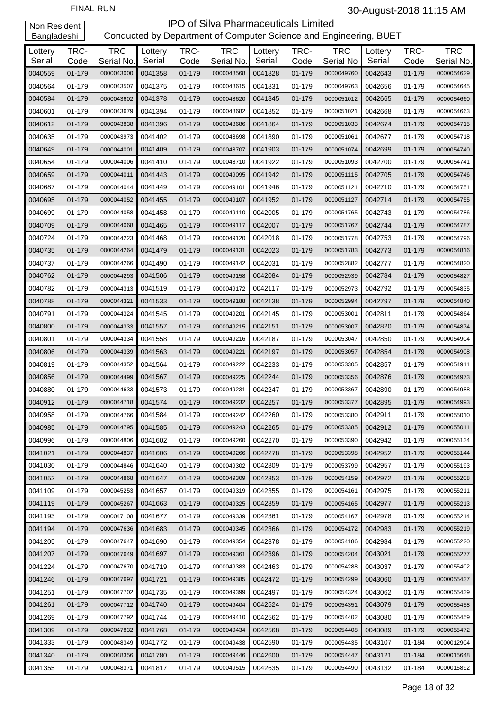| Lottery<br>Serial | TRC-<br>Code | <b>TRC</b><br>Serial No. | Lottery<br>Serial | TRC-<br>Code | <b>TRC</b><br>Serial No. | Lottery<br>Serial | TRC-<br>Code     | <b>TRC</b><br>Serial No. | Lottery<br>Serial | TRC-<br>Code | <b>TRC</b><br>Serial No. |
|-------------------|--------------|--------------------------|-------------------|--------------|--------------------------|-------------------|------------------|--------------------------|-------------------|--------------|--------------------------|
| 0040559           | 01-179       | 0000043000               | 0041358           | 01-179       | 0000048568               | 0041828           | 01-179           | 0000049760               | 0042643           | 01-179       | 0000054629               |
| 0040564           | 01-179       | 0000043507               | 0041375           | 01-179       | 0000048615               | 0041831           | 01-179           | 0000049763               | 0042656           | 01-179       | 0000054645               |
| 0040584           | 01-179       | 0000043602               | 0041378           | 01-179       | 0000048620               | 0041845           | 01-179           | 0000051012               | 0042665           | 01-179       | 0000054660               |
| 0040601           | 01-179       | 0000043679               | 0041394           | 01-179       | 0000048682               | 0041852           | 01-179           | 0000051021               | 0042668           | 01-179       | 0000054663               |
| 0040612           | 01-179       | 0000043838               | 0041396           | 01-179       | 0000048686               | 0041864           | 01-179           | 0000051033               | 0042674           | 01-179       | 0000054715               |
| 0040635           | 01-179       | 0000043973               | 0041402           | 01-179       | 0000048698               | 0041890           | 01-179           | 0000051061               | 0042677           | 01-179       | 0000054718               |
| 0040649           | 01-179       | 0000044001               | 0041409           | 01-179       | 0000048707               | 0041903           | 01-179           | 0000051074               | 0042699           | 01-179       | 0000054740               |
| 0040654           | 01-179       | 0000044006               | 0041410           | 01-179       | 0000048710               | 0041922           | 01-179           | 0000051093               | 0042700           | 01-179       | 0000054741               |
| 0040659           | 01-179       | 0000044011               | 0041443           | 01-179       | 0000049095               | 0041942           | 01-179           | 0000051115               | 0042705           | 01-179       | 0000054746               |
| 0040687           | 01-179       | 0000044044               | 0041449           | 01-179       | 0000049101               | 0041946           | 01-179           | 0000051121               | 0042710           | 01-179       | 0000054751               |
| 0040695           | 01-179       | 0000044052               | 0041455           | 01-179       | 0000049107               | 0041952           | 01-179           | 0000051127               | 0042714           | 01-179       | 0000054755               |
| 0040699           | 01-179       | 0000044058               | 0041458           | 01-179       | 0000049110               | 0042005           | 01-179           | 0000051765               | 0042743           | 01-179       | 0000054786               |
| 0040709           | 01-179       | 0000044068               | 0041465           | 01-179       |                          | 0042007           | 01-179           | 0000051767               | 0042744           | 01-179       | 0000054787               |
| 0040724           | 01-179       | 0000044223               | 0041468           | 01-179       | 0000049117<br>0000049120 | 0042018           | 01-179           | 0000051778               | 0042753           |              | 0000054796               |
| 0040735           |              | 0000044264               | 0041479           |              | 0000049131               | 0042023           |                  |                          | 0042773           | 01-179       |                          |
| 0040737           | 01-179       |                          |                   | 01-179       |                          |                   | 01-179<br>01-179 | 0000051783<br>0000052882 |                   | 01-179       | 0000054816<br>0000054820 |
|                   | 01-179       | 0000044266               | 0041490           | 01-179       | 0000049142               | 0042031           |                  |                          | 0042777           | 01-179       |                          |
| 0040762           | 01-179       | 0000044293               | 0041506           | 01-179       | 0000049158               | 0042084           | 01-179           | 0000052939               | 0042784           | 01-179       | 0000054827               |
| 0040782           | 01-179       | 0000044313               | 0041519           | 01-179       | 0000049172               | 0042117           | 01-179           | 0000052973               | 0042792           | 01-179       | 0000054835               |
| 0040788           | 01-179       | 0000044321               | 0041533           | 01-179       | 0000049188               | 0042138           | 01-179           | 0000052994               | 0042797           | 01-179       | 0000054840               |
| 0040791           | 01-179       | 0000044324               | 0041545           | 01-179       | 0000049201               | 0042145           | 01-179           | 0000053001               | 0042811           | 01-179       | 0000054864               |
| 0040800           | 01-179       | 0000044333               | 0041557           | 01-179       | 0000049215               | 0042151           | 01-179           | 0000053007               | 0042820           | 01-179       | 0000054874               |
| 0040801           | 01-179       | 0000044334               | 0041558           | 01-179       | 0000049216               | 0042187           | 01-179           | 0000053047               | 0042850           | 01-179       | 0000054904               |
| 0040806           | 01-179       | 0000044339               | 0041563           | 01-179       | 0000049221               | 0042197           | 01-179           | 0000053057               | 0042854           | 01-179       | 0000054908               |
| 0040819           | 01-179       | 0000044352               | 0041564           | 01-179       | 0000049222               | 0042233           | 01-179           | 0000053305               | 0042857           | 01-179       | 0000054911               |
| 0040856           | 01-179       | 0000044499               | 0041567           | 01-179       | 0000049225               | 0042244           | 01-179           | 0000053356               | 0042876           | 01-179       | 0000054973               |
| 0040880           | 01-179       | 0000044633               | 0041573           | 01-179       | 0000049231               | 0042247           | 01-179           | 0000053367               | 0042890           | 01-179       | 0000054988               |
| 0040912           | 01-179       | 0000044718               | 0041574           | 01-179       | 0000049232               | 0042257           | 01-179           | 0000053377               | 0042895           | 01-179       | 0000054993               |
| 0040958           | 01-179       | 0000044766               | 0041584           | 01-179       | 0000049242               | 0042260           | 01-179           | 0000053380               | 0042911           | 01-179       | 0000055010               |
| 0040985           | 01-179       | 0000044795               | 0041585           | 01-179       | 0000049243               | 0042265           | $01 - 179$       | 0000053385               | 0042912           | 01-179       | 0000055011               |
| 0040996           | 01-179       | 0000044806               | 0041602           | 01-179       | 0000049260               | 0042270           | 01-179           | 0000053390               | 0042942           | 01-179       | 0000055134               |
| 0041021           | 01-179       | 0000044837               | 0041606           | 01-179       | 0000049266               | 0042278           | 01-179           | 0000053398               | 0042952           | 01-179       | 0000055144               |
| 0041030           | 01-179       | 0000044846               | 0041640           | 01-179       | 0000049302               | 0042309           | 01-179           | 0000053799               | 0042957           | 01-179       | 0000055193               |
| 0041052           | 01-179       | 0000044868               | 0041647           | 01-179       | 0000049309               | 0042353           | 01-179           | 0000054159               | 0042972           | 01-179       | 0000055208               |
| 0041109           | 01-179       | 0000045253               | 0041657           | 01-179       | 0000049319               | 0042355           | 01-179           | 0000054161               | 0042975           | 01-179       | 0000055211               |
| 0041119           | 01-179       | 0000045267               | 0041663           | 01-179       | 0000049325               | 0042359           | $01 - 179$       | 0000054165               | 0042977           | 01-179       | 0000055213               |
| 0041193           | 01-179       | 0000047108               | 0041677           | 01-179       | 0000049339               | 0042361           | 01-179           | 0000054167               | 0042978           | 01-179       | 0000055214               |
| 0041194           | 01-179       | 0000047636               | 0041683           | 01-179       | 0000049345               | 0042366           | 01-179           | 0000054172               | 0042983           | 01-179       | 0000055219               |
| 0041205           | 01-179       | 0000047647               | 0041690           | 01-179       | 0000049354               | 0042378           | 01-179           | 0000054186               | 0042984           | 01-179       | 0000055220               |
| 0041207           | 01-179       | 0000047649               | 0041697           | 01-179       | 0000049361               | 0042396           | 01-179           | 0000054204               | 0043021           | 01-179       | 0000055277               |
| 0041224           | 01-179       | 0000047670               | 0041719           | 01-179       | 0000049383               | 0042463           | 01-179           | 0000054288               | 0043037           | 01-179       | 0000055402               |
| 0041246           | 01-179       | 0000047697               | 0041721           | 01-179       | 0000049385               | 0042472           | 01-179           | 0000054299               | 0043060           | 01-179       | 0000055437               |
| 0041251           | 01-179       | 0000047702               | 0041735           | 01-179       | 0000049399               | 0042497           | 01-179           | 0000054324               | 0043062           | 01-179       | 0000055439               |
| 0041261           | 01-179       | 0000047712               | 0041740           | 01-179       | 0000049404               | 0042524           | 01-179           | 0000054351               | 0043079           | 01-179       | 0000055458               |
| 0041269           | 01-179       | 0000047792               | 0041744           | 01-179       | 0000049410               | 0042562           | 01-179           | 0000054402               | 0043080           | 01-179       | 0000055459               |
| 0041309           | 01-179       | 0000047832               | 0041768           | 01-179       | 0000049434               | 0042568           | 01-179           | 0000054408               | 0043089           | 01-179       | 0000055472               |
| 0041333           | 01-179       | 0000048349               | 0041772           | 01-179       | 0000049438               | 0042590           | 01-179           | 0000054435               | 0043107           | 01-184       | 0000012904               |
| 0041340           | 01-179       | 0000048356               | 0041780           | 01-179       | 0000049446               | 0042600           | 01-179           | 0000054447               | 0043121           | $01 - 184$   | 0000015648               |
| 0041355           | 01-179       | 0000048371               | 0041817           | 01-179       | 0000049515               | 0042635           | 01-179           | 0000054490               | 0043132           | 01-184       | 0000015892               |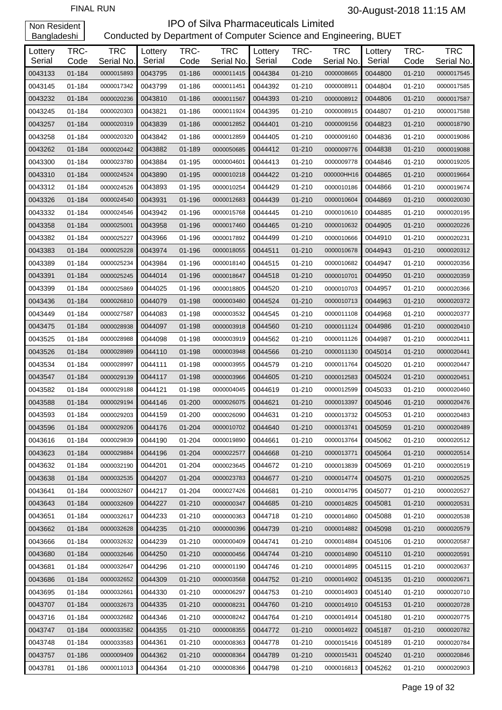| Lottery | TRC-   | <b>TRC</b> | Lottery | TRC-       | <b>TRC</b>               | Lottery            | TRC-       | <b>TRC</b> | Lottery | TRC-       | <b>TRC</b> |
|---------|--------|------------|---------|------------|--------------------------|--------------------|------------|------------|---------|------------|------------|
| Serial  | Code   | Serial No. | Serial  | Code       | Serial No.               | Serial             | Code       | Serial No. | Serial  | Code       | Serial No. |
| 0043133 | 01-184 | 0000015893 | 0043795 | 01-186     | 0000011415<br>0000011451 | 0044384<br>0044392 | $01 - 210$ | 0000008665 | 0044800 | $01 - 210$ | 0000017545 |
| 0043145 | 01-184 | 0000017342 | 0043799 | 01-186     |                          |                    | 01-210     | 0000008911 | 0044804 | $01 - 210$ | 0000017585 |
| 0043232 | 01-184 | 0000020236 | 0043810 | 01-186     | 0000011567               | 0044393            | 01-210     | 0000008912 | 0044806 | 01-210     | 0000017587 |
| 0043245 | 01-184 | 0000020303 | 0043821 | 01-186     | 0000011924               | 0044395            | 01-210     | 0000008915 | 0044807 | 01-210     | 0000017588 |
| 0043257 | 01-184 | 0000020319 | 0043839 | 01-186     | 0000012852               | 0044401            | 01-210     | 0000009156 | 0044823 | 01-210     | 0000018790 |
| 0043258 | 01-184 | 0000020320 | 0043842 | 01-186     | 0000012859               | 0044405            | 01-210     | 0000009160 | 0044836 | 01-210     | 0000019086 |
| 0043262 | 01-184 | 0000020442 | 0043882 | 01-189     | 0000050685               | 0044412            | 01-210     | 0000009776 | 0044838 | 01-210     | 0000019088 |
| 0043300 | 01-184 | 0000023780 | 0043884 | 01-195     | 0000004601               | 0044413            | 01-210     | 0000009778 | 0044846 | $01 - 210$ | 0000019205 |
| 0043310 | 01-184 | 0000024524 | 0043890 | 01-195     | 0000010218               | 0044422            | $01 - 210$ | 000000HH16 | 0044865 | 01-210     | 0000019664 |
| 0043312 | 01-184 | 0000024526 | 0043893 | 01-195     | 0000010254               | 0044429            | 01-210     | 0000010186 | 0044866 | 01-210     | 0000019674 |
| 0043326 | 01-184 | 0000024540 | 0043931 | 01-196     | 0000012683               | 0044439            | 01-210     | 0000010604 | 0044869 | 01-210     | 0000020030 |
| 0043332 | 01-184 | 0000024546 | 0043942 | 01-196     | 0000015768               | 0044445            | 01-210     | 0000010610 | 0044885 | 01-210     | 0000020195 |
| 0043358 | 01-184 | 0000025001 | 0043958 | 01-196     | 0000017460               | 0044465            | 01-210     | 0000010632 | 0044905 | $01 - 210$ | 0000020226 |
| 0043382 | 01-184 | 0000025227 | 0043966 | 01-196     | 0000017892               | 0044499            | 01-210     | 0000010666 | 0044910 | $01 - 210$ | 0000020231 |
| 0043383 | 01-184 | 0000025228 | 0043974 | 01-196     | 0000018055               | 0044511            | 01-210     | 0000010678 | 0044943 | 01-210     | 0000020312 |
| 0043389 | 01-184 | 0000025234 | 0043984 | 01-196     | 0000018140               | 0044515            | 01-210     | 0000010682 | 0044947 | 01-210     | 0000020356 |
| 0043391 | 01-184 | 0000025245 | 0044014 | 01-196     | 0000018647               | 0044518            | $01 - 210$ | 0000010701 | 0044950 | 01-210     | 0000020359 |
| 0043399 | 01-184 | 0000025869 | 0044025 | 01-196     | 0000018805               | 0044520            | 01-210     | 0000010703 | 0044957 | 01-210     | 0000020366 |
| 0043436 | 01-184 | 0000026810 | 0044079 | 01-198     | 0000003480               | 0044524            | 01-210     | 0000010713 | 0044963 | 01-210     | 0000020372 |
| 0043449 | 01-184 | 0000027587 | 0044083 | 01-198     | 0000003532               | 0044545            | 01-210     | 0000011108 | 0044968 | 01-210     | 0000020377 |
| 0043475 | 01-184 | 0000028938 | 0044097 | 01-198     | 0000003918               | 0044560            | 01-210     | 0000011124 | 0044986 | 01-210     | 0000020410 |
| 0043525 | 01-184 | 0000028988 | 0044098 | 01-198     | 0000003919               | 0044562            | 01-210     | 0000011126 | 0044987 | 01-210     | 0000020411 |
| 0043526 | 01-184 | 0000028989 | 0044110 | 01-198     | 0000003948               | 0044566            | 01-210     | 0000011130 | 0045014 | 01-210     | 0000020441 |
| 0043534 | 01-184 | 0000028997 | 0044111 | 01-198     | 0000003955               | 0044579            | 01-210     | 0000011764 | 0045020 | 01-210     | 0000020447 |
| 0043547 | 01-184 | 0000029139 | 0044117 | 01-198     | 0000003966               | 0044605            | 01-210     | 0000012583 | 0045024 | $01 - 210$ | 0000020451 |
| 0043582 | 01-184 | 0000029188 | 0044121 | 01-198     | 0000004045               | 0044619            | 01-210     | 0000012599 | 0045033 | 01-210     | 0000020460 |
| 0043588 | 01-184 | 0000029194 | 0044146 | 01-200     | 0000026075               | 0044621            | 01-210     | 0000013397 | 0045046 | $01 - 210$ | 0000020476 |
| 0043593 | 01-184 | 0000029203 | 0044159 | 01-200     | 0000026090               | 0044631            | 01-210     | 0000013732 | 0045053 | 01-210     | 0000020483 |
| 0043596 | 01-184 | 0000029206 | 0044176 | 01-204     | 0000010702               | 0044640            | 01-210     | 0000013741 | 0045059 | 01-210     | 0000020489 |
| 0043616 | 01-184 | 0000029839 | 0044190 | 01-204     | 0000019890               | 0044661            | 01-210     | 0000013764 | 0045062 | 01-210     | 0000020512 |
| 0043623 | 01-184 | 0000029884 | 0044196 | 01-204     | 0000022577               | 0044668            | 01-210     | 0000013771 | 0045064 | $01 - 210$ | 0000020514 |
| 0043632 | 01-184 | 0000032190 | 0044201 | 01-204     | 0000023645               | 0044672            | 01-210     | 0000013839 | 0045069 | 01-210     | 0000020519 |
| 0043638 | 01-184 | 0000032535 | 0044207 | 01-204     | 0000023783               | 0044677            | 01-210     | 0000014774 | 0045075 | 01-210     | 0000020525 |
| 0043641 | 01-184 | 0000032607 | 0044217 | 01-204     | 0000027426               | 0044681            | 01-210     | 0000014795 | 0045077 | 01-210     | 0000020527 |
| 0043643 | 01-184 | 0000032609 | 0044227 | 01-210     | 0000000347               | 0044685            | 01-210     | 0000014825 | 0045081 | $01 - 210$ | 0000020531 |
| 0043651 | 01-184 | 0000032617 | 0044233 | 01-210     | 0000000363               | 0044718            | 01-210     | 0000014860 | 0045088 | 01-210     | 0000020538 |
| 0043662 | 01-184 | 0000032628 | 0044235 | 01-210     | 0000000396               | 0044739            | $01 - 210$ | 0000014882 | 0045098 | 01-210     | 0000020579 |
| 0043666 | 01-184 | 0000032632 | 0044239 | 01-210     | 0000000409               | 0044741            | 01-210     | 0000014884 | 0045106 | 01-210     | 0000020587 |
| 0043680 | 01-184 | 0000032646 | 0044250 | 01-210     | 0000000456               | 0044744            | 01-210     | 0000014890 | 0045110 | 01-210     | 0000020591 |
| 0043681 | 01-184 | 0000032647 | 0044296 | 01-210     | 0000001190               | 0044746            | 01-210     | 0000014895 | 0045115 | 01-210     | 0000020637 |
| 0043686 | 01-184 | 0000032652 | 0044309 | 01-210     | 0000003568               | 0044752            | $01 - 210$ | 0000014902 | 0045135 | 01-210     | 0000020671 |
| 0043695 | 01-184 | 0000032661 | 0044330 | 01-210     | 0000006297               | 0044753            | 01-210     | 0000014903 | 0045140 | 01-210     | 0000020710 |
| 0043707 | 01-184 | 0000032673 | 0044335 | 01-210     | 0000008231               | 0044760            | 01-210     | 0000014910 | 0045153 | 01-210     | 0000020728 |
| 0043716 | 01-184 | 0000032682 | 0044346 | 01-210     | 0000008242               | 0044764            | 01-210     | 0000014914 | 0045180 | 01-210     | 0000020775 |
| 0043747 | 01-184 | 0000033582 | 0044355 | 01-210     | 0000008355               | 0044772            | 01-210     | 0000014922 | 0045187 | 01-210     | 0000020782 |
| 0043748 | 01-184 | 0000033583 | 0044361 | 01-210     | 0000008363               | 0044778            | 01-210     | 0000015416 | 0045189 | 01-210     | 0000020784 |
| 0043757 | 01-186 | 0000009409 | 0044362 | $01 - 210$ | 0000008364               | 0044789            | $01 - 210$ | 0000015431 | 0045240 | 01-210     | 0000020846 |
| 0043781 | 01-186 | 0000011013 | 0044364 | 01-210     | 0000008366               | 0044798            | 01-210     | 0000016813 | 0045262 | 01-210     | 0000020903 |
|         |        |            |         |            |                          |                    |            |            |         |            |            |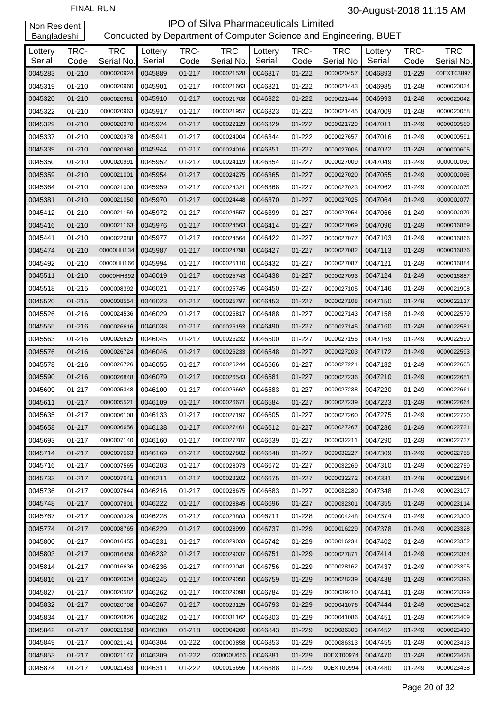| Lottery<br>Serial | TRC-<br>Code | <b>TRC</b><br>Serial No. | Lottery<br>Serial | TRC-<br>Code | <b>TRC</b><br>Serial No. | Lottery<br>Serial | TRC-<br>Code | <b>TRC</b><br>Serial No. | Lottery<br>Serial | TRC-<br>Code | <b>TRC</b><br>Serial No. |
|-------------------|--------------|--------------------------|-------------------|--------------|--------------------------|-------------------|--------------|--------------------------|-------------------|--------------|--------------------------|
| 0045283           | $01 - 210$   | 0000020924               | 0045889           | $01 - 217$   | 0000021528               | 0046317           | 01-222       | 0000020457               | 0046893           | 01-229       | 00EXT03897               |
| 0045319           | 01-210       | 0000020960               | 0045901           | 01-217       | 0000021663               | 0046321           | 01-222       | 0000021443               | 0046985           | 01-248       | 0000020034               |
| 0045320           | $01 - 210$   | 0000020961               | 0045910           | $01 - 217$   | 0000021708               | 0046322           | 01-222       | 0000021444               | 0046993           | 01-248       | 0000020042               |
| 0045322           | 01-210       | 0000020963               | 0045917           | 01-217       | 0000021957               | 0046323           | 01-222       | 0000021445               | 0047009           | 01-248       | 0000020058               |
| 0045329           | 01-210       | 0000020970               | 0045924           | 01-217       | 0000022129               | 0046329           | 01-222       | 0000021729               | 0047011           | 01-249       | 0000000580               |
| 0045337           | 01-210       | 0000020978               | 0045941           | 01-217       | 0000024004               | 0046344           | 01-222       | 0000027657               | 0047016           | 01-249       | 0000000591               |
| 0045339           | $01 - 210$   | 0000020980               | 0045944           | 01-217       | 0000024016               | 0046351           | $01 - 227$   | 0000027006               | 0047022           | 01-249       | 0000000605               |
| 0045350           | 01-210       | 0000020991               | 0045952           | 01-217       | 0000024119               | 0046354           | 01-227       | 0000027009               | 0047049           | 01-249       | 000000J060               |
| 0045359           | 01-210       | 0000021001               | 0045954           | 01-217       | 0000024275               | 0046365           | 01-227       | 0000027020               | 0047055           | 01-249       | 000000J066               |
| 0045364           | 01-210       | 0000021008               | 0045959           | 01-217       | 0000024321               | 0046368           | 01-227       | 0000027023               | 0047062           | 01-249       | 000000J075               |
| 0045381           | $01 - 210$   | 0000021050               | 0045970           | 01-217       | 0000024448               | 0046370           | $01 - 227$   | 0000027025               | 0047064           | 01-249       | 000000J077               |
| 0045412           | $01 - 210$   | 0000021159               | 0045972           | 01-217       | 0000024557               | 0046399           | 01-227       | 0000027054               | 0047066           | 01-249       | 000000J079               |
| 0045416           | 01-210       | 0000021163               | 0045976           | 01-217       | 0000024563               | 0046414           | 01-227       | 0000027069               | 0047096           | 01-249       | 0000016859               |
| 0045441           | $01 - 210$   | 0000022088               | 0045977           | 01-217       | 0000024564               | 0046422           | 01-227       | 0000027077               | 0047103           | 01-249       | 0000016866               |
| 0045474           | $01 - 210$   | 00000HH134               | 0045987           | 01-217       | 0000024798               | 0046427           | 01-227       | 0000027082               | 0047113           | 01-249       | 0000016876               |
| 0045492           | $01 - 210$   | 00000HH166               | 0045994           | 01-217       | 0000025110               | 0046432           | 01-227       | 0000027087               | 0047121           | 01-249       | 0000016884               |
| 0045511           | $01 - 210$   | 00000HH392               | 0046019           | 01-217       | 0000025743               | 0046438           | 01-227       | 0000027093               | 0047124           | 01-249       | 0000016887               |
| 0045518           | $01 - 215$   | 0000008392               | 0046021           | 01-217       | 0000025745               | 0046450           | 01-227       | 0000027105               | 0047146           | 01-249       | 0000021908               |
| 0045520           | $01 - 215$   | 0000008554               | 0046023           | 01-217       | 0000025797               | 0046453           | 01-227       | 0000027108               | 0047150           | 01-249       | 0000022117               |
| 0045526           | 01-216       | 0000024536               | 0046029           | 01-217       | 0000025817               | 0046488           | 01-227       | 0000027143               | 0047158           | 01-249       | 0000022579               |
| 0045555           | 01-216       | 0000026616               | 0046038           | 01-217       | 0000026153               | 0046490           | 01-227       | 0000027145               | 0047160           | 01-249       | 0000022581               |
| 0045563           | 01-216       | 0000026625               | 0046045           | 01-217       | 0000026232               | 0046500           | 01-227       | 0000027155               | 0047169           | 01-249       | 0000022590               |
| 0045576           | 01-216       | 0000026724               | 0046046           | 01-217       | 0000026233               | 0046548           | 01-227       | 0000027203               | 0047172           | 01-249       | 0000022593               |
| 0045578           | 01-216       | 0000026726               | 0046055           | 01-217       | 0000026244               | 0046566           | 01-227       | 0000027221               | 0047182           | 01-249       | 0000022605               |
| 0045590           | 01-216       | 0000026848               | 0046079           | 01-217       | 0000026543               | 0046581           | 01-227       | 0000027236               | 0047210           | 01-249       | 0000022651               |
| 0045609           | 01-217       | 0000005348               | 0046100           | 01-217       | 0000026662               | 0046583           | 01-227       | 0000027238               | 0047220           | 01-249       | 0000022661               |
| 0045611           | 01-217       | 0000005521               | 0046109           | 01-217       | 0000026671               | 0046584           | $01 - 227$   | 0000027239               | 0047223           | 01-249       | 0000022664               |
| 0045635           | 01-217       | 0000006108               | 0046133           | 01-217       | 0000027197               | 0046605           | 01-227       | 0000027260               | 0047275           | 01-249       | 0000022720               |
| 0045658           | 01-217       | 0000006656               | 0046138           | 01-217       | 0000027461               | 0046612           | $01 - 227$   | 0000027267               | 0047286           | 01-249       | 0000022731               |
| 0045693           | 01-217       | 0000007140               | 0046160           | 01-217       | 0000027787               | 0046639           | 01-227       | 0000032211               | 0047290           | 01-249       | 0000022737               |
| 0045714           | 01-217       | 0000007563               | 0046169           | 01-217       | 0000027802               | 0046648           | 01-227       | 0000032227               | 0047309           | 01-249       | 0000022758               |
| 0045716           | 01-217       | 0000007565               | 0046203           | 01-217       | 0000028073               | 0046672           | 01-227       | 0000032269               | 0047310           | 01-249       | 0000022759               |
| 0045733           | 01-217       | 0000007641               | 0046211           | 01-217       | 0000028202               | 0046675           | 01-227       | 0000032272               | 0047331           | 01-249       | 0000022984               |
| 0045736           | 01-217       | 0000007644               | 0046216           | 01-217       | 0000028675               | 0046683           | 01-227       | 0000032280               | 0047348           | 01-249       | 0000023107               |
| 0045748           | 01-217       | 0000007801               | 0046222           | 01-217       | 0000028845               | 0046696           | 01-227       | 0000032301               | 0047355           | 01-249       | 0000023114               |
| 0045767           | 01-217       | 0000008329               | 0046228           | 01-217       | 0000028883               | 0046711           | 01-228       | 0000004248               | 0047374           | 01-249       | 0000023300               |
| 0045774           | 01-217       | 0000008765               | 0046229           | 01-217       | 0000028999               | 0046737           | 01-229       | 0000016229               | 0047378           | 01-249       | 0000023328               |
| 0045800           | 01-217       | 0000016455               | 0046231           | 01-217       | 0000029033               | 0046742           | 01-229       | 0000016234               | 0047402           | 01-249       | 0000023352               |
| 0045803           | 01-217       | 0000016459               | 0046232           | 01-217       | 0000029037               | 0046751           | 01-229       | 0000027871               | 0047414           | 01-249       | 0000023364               |
| 0045814           | 01-217       | 0000016636               | 0046236           | 01-217       | 0000029041               | 0046756           | 01-229       | 0000028162               | 0047437           | 01-249       | 0000023395               |
| 0045816           | 01-217       | 0000020004               | 0046245           | 01-217       | 0000029050               | 0046759           | 01-229       | 0000028239               | 0047438           | $01 - 249$   | 0000023396               |
| 0045827           | 01-217       | 0000020582               | 0046262           | 01-217       | 0000029098               | 0046784           | 01-229       | 0000039210               | 0047441           | 01-249       | 0000023399               |
| 0045832           | 01-217       | 0000020708               | 0046267           | 01-217       | 0000029125               | 0046793           | 01-229       | 0000041076               | 0047444           | 01-249       | 0000023402               |
| 0045834           | 01-217       | 0000020826               | 0046282           | 01-217       | 0000031162               | 0046803           | 01-229       | 0000041086               | 0047451           | 01-249       | 0000023409               |
| 0045842           | 01-217       | 0000021058               | 0046300           | 01-218       | 0000004260               | 0046843           | 01-229       | 0000086303               | 0047452           | $01 - 249$   | 0000023410               |
| 0045849           | 01-217       | 0000021141               | 0046304           | 01-222       | 0000009858               | 0046853           | 01-229       | 0000086313               | 0047455           | 01-249       | 0000023413               |
| 0045853           | 01-217       | 0000021147               | 0046309           | 01-222       | 000000U656               | 0046881           | 01-229       | 00EXT00974               | 0047470           | 01-249       | 0000023428               |
| 0045874           | 01-217       | 0000021453               | 0046311           | 01-222       | 0000015656               | 0046888           | 01-229       | 00EXT00994               | 0047480           | 01-249       | 0000023438               |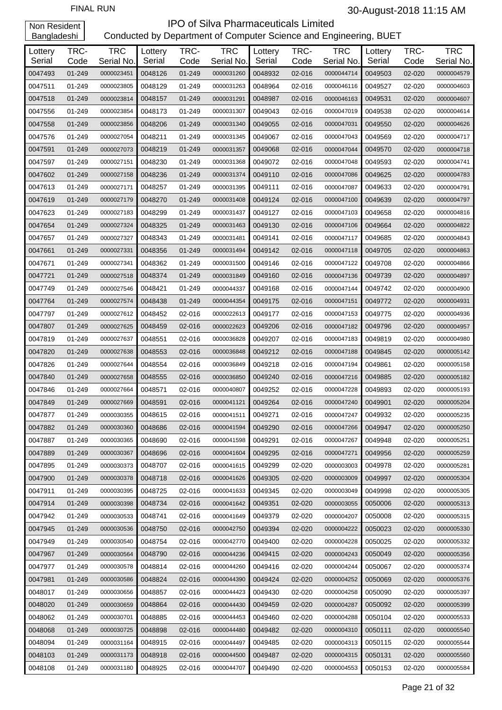| Lottery<br>Serial | TRC-<br>Code | <b>TRC</b><br>Serial No. | Lottery<br>Serial | TRC-<br>Code | <b>TRC</b><br>Serial No. | Lottery<br>Serial | TRC-<br>Code | <b>TRC</b><br>Serial No. | Lottery<br>Serial | TRC-<br>Code | <b>TRC</b><br>Serial No. |
|-------------------|--------------|--------------------------|-------------------|--------------|--------------------------|-------------------|--------------|--------------------------|-------------------|--------------|--------------------------|
| 0047493           | 01-249       | 0000023451               | 0048126           | 01-249       | 0000031260               | 0048932           | 02-016       | 0000044714               | 0049503           | 02-020       | 0000004579               |
| 0047511           | 01-249       | 0000023805               | 0048129           | 01-249       | 0000031263               | 0048964           | 02-016       | 0000046116               | 0049527           | 02-020       | 0000004603               |
| 0047518           | 01-249       | 0000023814               | 0048157           | 01-249       | 0000031291               | 0048987           | 02-016       | 0000046163               | 0049531           | 02-020       | 0000004607               |
| 0047556           | 01-249       | 0000023854               | 0048173           | 01-249       | 0000031307               | 0049043           | 02-016       | 0000047019               | 0049538           | 02-020       | 0000004614               |
| 0047558           | 01-249       | 0000023856               | 0048206           | 01-249       | 0000031340               | 0049055           | 02-016       | 0000047031               | 0049550           | 02-020       | 0000004626               |
| 0047576           | 01-249       | 0000027054               | 0048211           | 01-249       | 0000031345               | 0049067           | 02-016       | 0000047043               | 0049569           | 02-020       | 0000004717               |
| 0047591           | 01-249       | 0000027073               | 0048219           | 01-249       |                          | 0049068           | 02-016       | 0000047044               | 0049570           | 02-020       |                          |
| 0047597           | 01-249       |                          | 0048230           |              | 0000031357               | 0049072           | 02-016       |                          | 0049593           |              | 0000004718               |
|                   |              | 0000027151               |                   | 01-249       | 0000031368               |                   |              | 0000047048               |                   | 02-020       | 0000004741               |
| 0047602           | 01-249       | 0000027158               | 0048236           | 01-249       | 0000031374               | 0049110           | 02-016       | 0000047086               | 0049625           | 02-020       | 0000004783               |
| 0047613           | 01-249       | 0000027171               | 0048257           | 01-249       | 0000031395               | 0049111           | 02-016       | 0000047087               | 0049633           | 02-020       | 0000004791               |
| 0047619           | 01-249       | 0000027179               | 0048270           | 01-249       | 0000031408               | 0049124           | 02-016       | 0000047100               | 0049639           | 02-020       | 0000004797               |
| 0047623           | 01-249       | 0000027183               | 0048299           | 01-249       | 0000031437               | 0049127           | 02-016       | 0000047103               | 0049658           | 02-020       | 0000004816               |
| 0047654           | 01-249       | 0000027324               | 0048325           | 01-249       | 0000031463               | 0049130           | 02-016       | 0000047106               | 0049664           | 02-020       | 0000004822               |
| 0047657           | 01-249       | 0000027327               | 0048343           | 01-249       | 0000031481               | 0049141           | 02-016       | 0000047117               | 0049685           | 02-020       | 0000004843               |
| 0047661           | 01-249       | 0000027331               | 0048356           | 01-249       | 0000031494               | 0049142           | 02-016       | 0000047118               | 0049705           | 02-020       | 0000004863               |
| 0047671           | 01-249       | 0000027341               | 0048362           | 01-249       | 0000031500               | 0049146           | 02-016       | 0000047122               | 0049708           | 02-020       | 0000004866               |
| 0047721           | 01-249       | 0000027518               | 0048374           | 01-249       | 0000031849               | 0049160           | 02-016       | 0000047136               | 0049739           | 02-020       | 0000004897               |
| 0047749           | 01-249       | 0000027546               | 0048421           | 01-249       | 0000044337               | 0049168           | 02-016       | 0000047144               | 0049742           | 02-020       | 0000004900               |
| 0047764           | 01-249       | 0000027574               | 0048438           | 01-249       | 0000044354               | 0049175           | 02-016       | 0000047151               | 0049772           | 02-020       | 0000004931               |
| 0047797           | 01-249       | 0000027612               | 0048452           | 02-016       | 0000022613               | 0049177           | 02-016       | 0000047153               | 0049775           | 02-020       | 0000004936               |
| 0047807           | 01-249       | 0000027625               | 0048459           | 02-016       | 0000022623               | 0049206           | 02-016       | 0000047182               | 0049796           | 02-020       | 0000004957               |
| 0047819           | 01-249       | 0000027637               | 0048551           | 02-016       | 0000036828               | 0049207           | 02-016       | 0000047183               | 0049819           | 02-020       | 0000004980               |
| 0047820           | 01-249       | 0000027638               | 0048553           | 02-016       | 0000036848               | 0049212           | 02-016       | 0000047188               | 0049845           | 02-020       | 0000005142               |
| 0047826           | 01-249       | 0000027644               | 0048554           | 02-016       | 0000036849               | 0049218           | 02-016       | 0000047194               | 0049861           | 02-020       | 0000005158               |
| 0047840           | 01-249       | 0000027658               | 0048555           | 02-016       | 0000036850               | 0049240           | 02-016       | 0000047216               | 0049885           | 02-020       | 0000005182               |
| 0047846           | 01-249       | 0000027664               | 0048571           | 02-016       | 0000040807               | 0049252           | 02-016       | 0000047228               | 0049893           | 02-020       | 0000005193               |
| 0047849           | 01-249       | 0000027669               | 0048591           | 02-016       | 0000041121               | 0049264           | 02-016       | 0000047240               | 0049901           | 02-020       | 0000005204               |
| 0047877           | 01-249       | 0000030355               | 0048615           | 02-016       | 0000041511               | 0049271           | 02-016       | 0000047247               | 0049932           | 02-020       | 0000005235               |
| 0047882           | 01-249       | 0000030360               | 0048686           | 02-016       | 0000041594               | 0049290           | 02-016       | 0000047266               | 0049947           | 02-020       | 0000005250               |
| 0047887           | 01-249       | 0000030365               | 0048690           | 02-016       | 0000041598               | 0049291           | 02-016       | 0000047267               | 0049948           | 02-020       | 0000005251               |
| 0047889           | 01-249       | 0000030367               | 0048696           | 02-016       | 0000041604               | 0049295           | 02-016       | 0000047271               | 0049956           | 02-020       | 0000005259               |
| 0047895           | 01-249       | 0000030373               | 0048707           | 02-016       | 0000041615               | 0049299           | 02-020       | 0000003003               | 0049978           | 02-020       | 0000005281               |
| 0047900           | 01-249       | 0000030378               | 0048718           | 02-016       | 0000041626               | 0049305           | 02-020       | 0000003009               | 0049997           | 02-020       | 0000005304               |
| 0047911           | 01-249       | 0000030395               | 0048725           | 02-016       | 0000041633               | 0049345           | 02-020       | 0000003049               | 0049998           | 02-020       | 0000005305               |
| 0047914           | 01-249       | 0000030398               | 0048734           | 02-016       | 0000041642               | 0049351           | 02-020       | 0000003055               | 0050006           | 02-020       | 0000005313               |
| 0047942           | 01-249       | 0000030533               | 0048741           | 02-016       | 0000041649               | 0049379           | 02-020       | 0000004207               | 0050008           | 02-020       | 0000005315               |
| 0047945           | 01-249       | 0000030536               | 0048750           | 02-016       | 0000042750               | 0049394           | 02-020       | 0000004222               | 0050023           | 02-020       | 0000005330               |
| 0047949           | 01-249       | 0000030540               | 0048754           | 02-016       | 0000042770               | 0049400           | 02-020       | 0000004228               | 0050025           | 02-020       | 0000005332               |
| 0047967           | 01-249       | 0000030564               | 0048790           | 02-016       | 0000044236               | 0049415           | 02-020       | 0000004243               | 0050049           | 02-020       | 0000005356               |
| 0047977           | 01-249       | 0000030578               | 0048814           | 02-016       | 0000044260               | 0049416           | 02-020       | 0000004244               | 0050067           | 02-020       | 0000005374               |
| 0047981           | 01-249       | 0000030586               | 0048824           | 02-016       | 0000044390               | 0049424           | 02-020       | 0000004252               | 0050069           | 02-020       | 0000005376               |
| 0048017           | 01-249       | 0000030656               | 0048857           | 02-016       | 0000044423               | 0049430           | 02-020       | 0000004258               | 0050090           | 02-020       | 0000005397               |
| 0048020           | 01-249       | 0000030659               | 0048864           | 02-016       | 0000044430               | 0049459           | 02-020       | 0000004287               | 0050092           | 02-020       | 0000005399               |
| 0048062           | 01-249       | 0000030701               | 0048885           | 02-016       | 0000044453               | 0049460           | 02-020       | 0000004288               | 0050104           | 02-020       | 0000005533               |
| 0048068           | 01-249       | 0000030725               | 0048898           | 02-016       | 0000044480               | 0049482           | 02-020       | 0000004310               | 0050111           | 02-020       | 0000005540               |
| 0048094           | 01-249       | 0000031164               | 0048915           | 02-016       | 0000044497               | 0049485           | 02-020       | 0000004313               | 0050115           | 02-020       | 0000005544               |
| 0048103           | 01-249       | 0000031173               | 0048918           | 02-016       | 0000044500               | 0049487           | 02-020       | 0000004315               | 0050131           | 02-020       | 0000005560               |
| 0048108           | 01-249       | 0000031180               | 0048925           | 02-016       | 0000044707               | 0049490           | 02-020       | 0000004553               | 0050153           | 02-020       | 0000005584               |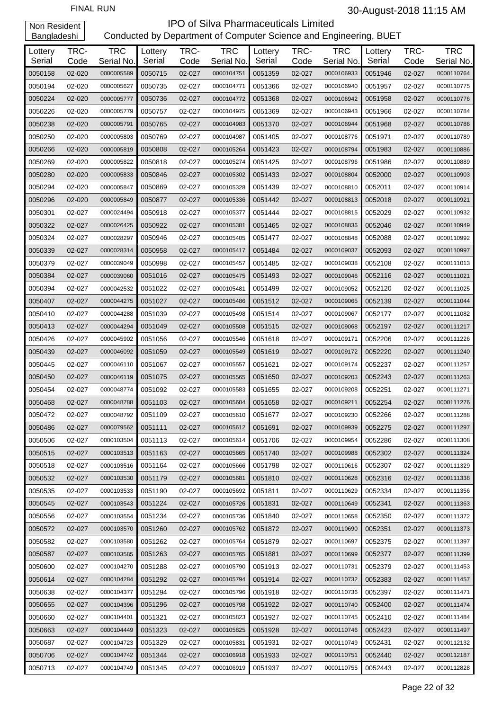| Lottery<br>Serial | TRC-<br>Code | <b>TRC</b><br>Serial No. | Lottery<br>Serial | TRC-<br>Code | <b>TRC</b><br>Serial No. | Lottery<br>Serial | TRC-<br>Code | <b>TRC</b><br>Serial No. | Lottery<br>Serial | TRC-<br>Code | <b>TRC</b><br>Serial No. |
|-------------------|--------------|--------------------------|-------------------|--------------|--------------------------|-------------------|--------------|--------------------------|-------------------|--------------|--------------------------|
| 0050158           | 02-020       | 0000005589               | 0050715           | 02-027       | 0000104751               | 0051359           | 02-027       | 0000106933               | 0051946           | 02-027       | 0000110764               |
| 0050194           | 02-020       | 0000005627               | 0050735           | 02-027       | 0000104771               | 0051366           | 02-027       | 0000106940               | 0051957           | 02-027       | 0000110775               |
| 0050224           | 02-020       | 0000005777               | 0050736           | 02-027       | 0000104772               | 0051368           | 02-027       | 0000106942               | 0051958           | 02-027       | 0000110776               |
| 0050226           | 02-020       | 0000005779               | 0050757           | 02-027       | 0000104975               | 0051369           | 02-027       | 0000106943               | 0051966           | 02-027       | 0000110784               |
| 0050238           | 02-020       | 0000005791               | 0050765           | 02-027       | 0000104983               | 0051370           | 02-027       | 0000106944               | 0051968           | 02-027       | 0000110786               |
| 0050250           | 02-020       | 0000005803               | 0050769           | 02-027       | 0000104987               | 0051405           | 02-027       | 0000108776               | 0051971           | 02-027       | 0000110789               |
| 0050266           | 02-020       |                          |                   | 02-027       |                          | 0051423           | 02-027       | 0000108794               | 0051983           | 02-027       |                          |
|                   |              | 0000005819               | 0050808           |              | 0000105264               |                   |              |                          |                   |              | 0000110886               |
| 0050269           | 02-020       | 0000005822               | 0050818           | 02-027       | 0000105274               | 0051425           | 02-027       | 0000108796               | 0051986           | 02-027       | 0000110889               |
| 0050280           | 02-020       | 0000005833               | 0050846           | 02-027       | 0000105302               | 0051433           | 02-027       | 0000108804               | 0052000           | 02-027       | 0000110903               |
| 0050294           | 02-020       | 0000005847               | 0050869           | 02-027       | 0000105328               | 0051439           | 02-027       | 0000108810               | 0052011           | 02-027       | 0000110914               |
| 0050296           | 02-020       | 0000005849               | 0050877           | 02-027       | 0000105336               | 0051442           | 02-027       | 0000108813               | 0052018           | 02-027       | 0000110921               |
| 0050301           | 02-027       | 0000024494               | 0050918           | 02-027       | 0000105377               | 0051444           | 02-027       | 0000108815               | 0052029           | 02-027       | 0000110932               |
| 0050322           | 02-027       | 0000026425               | 0050922           | 02-027       | 0000105381               | 0051465           | 02-027       | 0000108836               | 0052046           | 02-027       | 0000110949               |
| 0050324           | 02-027       | 0000028297               | 0050946           | 02-027       | 0000105405               | 0051477           | 02-027       | 0000108848               | 0052088           | 02-027       | 0000110992               |
| 0050339           | 02-027       | 0000028314               | 0050958           | 02-027       | 0000105417               | 0051484           | 02-027       | 0000109037               | 0052093           | 02-027       | 0000110997               |
| 0050379           | 02-027       | 0000039049               | 0050998           | 02-027       | 0000105457               | 0051485           | 02-027       | 0000109038               | 0052108           | 02-027       | 0000111013               |
| 0050384           | 02-027       | 0000039060               | 0051016           | 02-027       | 0000105475               | 0051493           | 02-027       | 0000109046               | 0052116           | 02-027       | 0000111021               |
| 0050394           | 02-027       | 0000042532               | 0051022           | 02-027       | 0000105481               | 0051499           | 02-027       | 0000109052               | 0052120           | 02-027       | 0000111025               |
| 0050407           | 02-027       | 0000044275               | 0051027           | 02-027       | 0000105486               | 0051512           | 02-027       | 0000109065               | 0052139           | 02-027       | 0000111044               |
| 0050410           | 02-027       | 0000044288               | 0051039           | 02-027       | 0000105498               | 0051514           | 02-027       | 0000109067               | 0052177           | 02-027       | 0000111082               |
| 0050413           | 02-027       | 0000044294               | 0051049           | 02-027       | 0000105508               | 0051515           | 02-027       | 0000109068               | 0052197           | 02-027       | 0000111217               |
| 0050426           | 02-027       | 0000045902               | 0051056           | 02-027       | 0000105546               | 0051618           | 02-027       | 0000109171               | 0052206           | 02-027       | 0000111226               |
| 0050439           | 02-027       | 0000046092               | 0051059           | 02-027       | 0000105549               | 0051619           | 02-027       | 0000109172               | 0052220           | 02-027       | 0000111240               |
| 0050445           | 02-027       | 0000046110               | 0051067           | 02-027       | 0000105557               | 0051621           | 02-027       | 0000109174               | 0052237           | 02-027       | 0000111257               |
| 0050450           | 02-027       | 0000046119               | 0051075           | 02-027       | 0000105565               | 0051650           | 02-027       | 0000109203               | 0052243           | 02-027       | 0000111263               |
| 0050454           | 02-027       | 0000048774               | 0051092           | 02-027       | 0000105583               | 0051655           | 02-027       | 0000109208               | 0052251           | 02-027       | 0000111271               |
| 0050468           | 02-027       | 0000048788               | 0051103           | 02-027       | 0000105604               | 0051658           | 02-027       | 0000109211               | 0052254           | 02-027       | 0000111276               |
| 0050472           | 02-027       | 0000048792               | 0051109           | 02-027       | 0000105610               | 0051677           | 02-027       | 0000109230               | 0052266           | 02-027       | 0000111288               |
| 0050486           | 02-027       | 0000079562               | 0051111           | 02-027       | 0000105612               | 0051691           | 02-027       | 0000109939               | 0052275           | 02-027       | 0000111297               |
| 0050506           | 02-027       | 0000103504               | 0051113           | 02-027       | 0000105614               | 0051706           | 02-027       | 0000109954               | 0052286           | 02-027       | 0000111308               |
| 0050515           | 02-027       | 0000103513               | 0051163           | 02-027       | 0000105665               | 0051740           | 02-027       | 0000109988               | 0052302           | 02-027       | 0000111324               |
| 0050518           | 02-027       | 0000103516               | 0051164           | 02-027       | 0000105666               | 0051798           | 02-027       | 0000110616               | 0052307           | 02-027       | 0000111329               |
| 0050532           | 02-027       | 0000103530               | 0051179           | 02-027       | 0000105681               | 0051810           | 02-027       | 0000110628               | 0052316           | 02-027       | 0000111338               |
| 0050535           | 02-027       | 0000103533               | 0051190           | 02-027       | 0000105692               | 0051811           | 02-027       | 0000110629               | 0052334           | 02-027       | 0000111356               |
| 0050545           | 02-027       | 0000103543               | 0051224           | 02-027       | 0000105726               | 0051831           | 02-027       | 0000110649               | 0052341           | 02-027       | 0000111363               |
| 0050556           | 02-027       | 0000103554               | 0051234           | 02-027       | 0000105736               | 0051840           | 02-027       | 0000110658               | 0052350           | 02-027       | 0000111372               |
| 0050572           | 02-027       | 0000103570               | 0051260           | 02-027       | 0000105762               | 0051872           | 02-027       | 0000110690               | 0052351           | 02-027       | 0000111373               |
| 0050582           | 02-027       | 0000103580               | 0051262           | 02-027       | 0000105764               | 0051879           | 02-027       | 0000110697               | 0052375           | 02-027       | 0000111397               |
| 0050587           | 02-027       | 0000103585               | 0051263           | 02-027       | 0000105765               | 0051881           | 02-027       | 0000110699               | 0052377           | 02-027       | 0000111399               |
| 0050600           | 02-027       | 0000104270               | 0051288           | 02-027       | 0000105790               | 0051913           | 02-027       | 0000110731               | 0052379           | 02-027       | 0000111453               |
| 0050614           | 02-027       | 0000104284               | 0051292           | 02-027       | 0000105794               | 0051914           | 02-027       | 0000110732               | 0052383           | 02-027       | 0000111457               |
| 0050638           | 02-027       | 0000104377               | 0051294           | 02-027       | 0000105796               | 0051918           | 02-027       | 0000110736               | 0052397           | 02-027       | 0000111471               |
| 0050655           | 02-027       | 0000104396               | 0051296           | 02-027       | 0000105798               | 0051922           | 02-027       | 0000110740               | 0052400           | 02-027       | 0000111474               |
| 0050660           | 02-027       | 0000104401               | 0051321           | 02-027       | 0000105823               | 0051927           | 02-027       | 0000110745               | 0052410           | 02-027       | 0000111484               |
| 0050663           | 02-027       | 0000104449               | 0051323           | 02-027       | 0000105825               | 0051928           | 02-027       | 0000110746               | 0052423           | 02-027       | 0000111497               |
| 0050687           | 02-027       | 0000104723               | 0051329           | 02-027       | 0000105831               | 0051931           | 02-027       | 0000110749               | 0052431           | 02-027       | 0000112132               |
| 0050706           | 02-027       | 0000104742               | 0051344           | 02-027       | 0000106918               | 0051933           | 02-027       | 0000110751               | 0052440           | 02-027       | 0000112187               |
| 0050713           | 02-027       | 0000104749               | 0051345           | 02-027       | 0000106919               | 0051937           | 02-027       | 0000110755               | 0052443           | 02-027       | 0000112828               |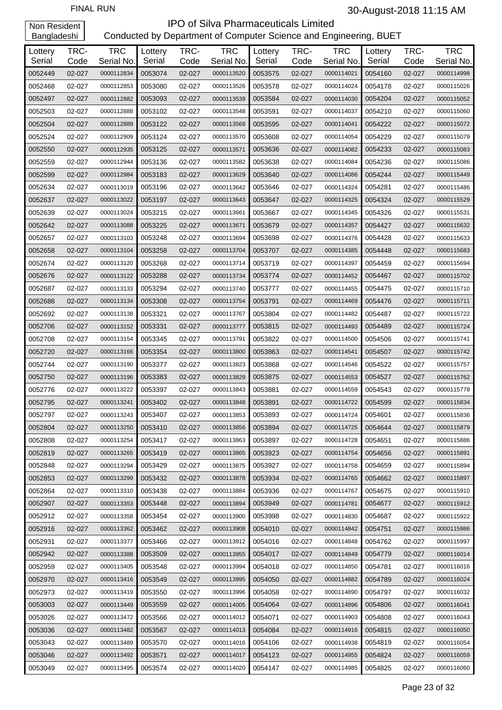# FINAL RUN 30-August-2018 11:15 AM

Non Resident Bangladeshi

| Lottery<br>Serial | TRC-<br>Code     | <b>TRC</b><br>Serial No. | Lottery<br>Serial | TRC-<br>Code | <b>TRC</b><br>Serial No. | Lottery<br>Serial | TRC-<br>Code | <b>TRC</b><br>Serial No. | Lottery<br>Serial | TRC-<br>Code | <b>TRC</b><br>Serial No. |
|-------------------|------------------|--------------------------|-------------------|--------------|--------------------------|-------------------|--------------|--------------------------|-------------------|--------------|--------------------------|
| 0052449           | 02-027           | 0000112834               | 0053074           | 02-027       | 0000113520               | 0053575           | 02-027       | 0000114021               | 0054160           | 02-027       | 0000114998               |
| 0052468           | 02-027           | 0000112853               | 0053080           | 02-027       | 0000113526               | 0053578           | 02-027       | 0000114024               | 0054178           | 02-027       | 0000115026               |
| 0052497           | 02-027           | 0000112882               | 0053093           | 02-027       | 0000113539               | 0053584           | 02-027       | 0000114030               | 0054204           | 02-027       | 0000115052               |
| 0052503           | 02-027           | 0000112888               | 0053102           | 02-027       | 0000113548               | 0053591           | 02-027       | 0000114037               | 0054210           | 02-027       | 0000115060               |
| 0052504           | 02-027           | 0000112889               | 0053122           | 02-027       | 0000113568               | 0053595           | 02-027       | 0000114041               | 0054222           | 02-027       | 0000115072               |
| 0052524           | 02-027           | 0000112909               | 0053124           | 02-027       | 0000113570               | 0053608           | 02-027       | 0000114054               | 0054229           | 02-027       | 0000115079               |
| 0052550           | 02-027           | 0000112935               | 0053125           | 02-027       | 0000113571               | 0053636           | 02-027       | 0000114082               | 0054233           | 02-027       | 0000115083               |
| 0052559           | 02-027           | 0000112944               | 0053136           | 02-027       | 0000113582               | 0053638           | 02-027       | 0000114084               | 0054236           | 02-027       | 0000115086               |
| 0052599           |                  | 0000112984               | 0053183           | 02-027       | 0000113629               | 0053640           | 02-027       | 0000114086               | 0054244           | 02-027       | 0000115449               |
| 0052634           | 02-027<br>02-027 | 0000113019               | 0053196           | 02-027       | 0000113642               | 0053646           | 02-027       | 0000114324               | 0054281           | 02-027       | 0000115486               |
|                   | 02-027           |                          |                   | 02-027       |                          | 0053647           |              |                          | 0054324           |              |                          |
| 0052637           |                  | 0000113022               | 0053197           |              | 0000113643               |                   | 02-027       | 0000114325               |                   | 02-027       | 0000115529               |
| 0052639           | 02-027           | 0000113024               | 0053215           | 02-027       | 0000113661               | 0053667           | 02-027       | 0000114345               | 0054326           | 02-027       | 0000115531               |
| 0052642           | 02-027           | 0000113088               | 0053225           | 02-027       | 0000113671               | 0053679           | 02-027       | 0000114357               | 0054427           | 02-027       | 0000115632               |
| 0052657           | 02-027           | 0000113103               | 0053248           | 02-027       | 0000113694               | 0053698           | 02-027       | 0000114376               | 0054428           | 02-027       | 0000115633               |
| 0052658           | 02-027           | 0000113104               | 0053258           | 02-027       | 0000113704               | 0053707           | 02-027       | 0000114385               | 0054448           | 02-027       | 0000115683               |
| 0052674           | 02-027           | 0000113120               | 0053268           | 02-027       | 0000113714               | 0053719           | 02-027       | 0000114397               | 0054459           | 02-027       | 0000115694               |
| 0052676           | 02-027           | 0000113122               | 0053288           | 02-027       | 0000113734               | 0053774           | 02-027       | 0000114452               | 0054467           | 02-027       | 0000115702               |
| 0052687           | 02-027           | 0000113133               | 0053294           | 02-027       | 0000113740               | 0053777           | 02-027       | 0000114455               | 0054475           | 02-027       | 0000115710               |
| 0052688           | 02-027           | 0000113134               | 0053308           | 02-027       | 0000113754               | 0053791           | 02-027       | 0000114469               | 0054476           | 02-027       | 0000115711               |
| 0052692           | 02-027           | 0000113138               | 0053321           | 02-027       | 0000113767               | 0053804           | 02-027       | 0000114482               | 0054487           | 02-027       | 0000115722               |
| 0052706           | 02-027           | 0000113152               | 0053331           | 02-027       | 0000113777               | 0053815           | 02-027       | 0000114493               | 0054489           | 02-027       | 0000115724               |
| 0052708           | 02-027           | 0000113154               | 0053345           | 02-027       | 0000113791               | 0053822           | 02-027       | 0000114500               | 0054506           | 02-027       | 0000115741               |
| 0052720           | 02-027           | 0000113166               | 0053354           | 02-027       | 0000113800               | 0053863           | 02-027       | 0000114541               | 0054507           | 02-027       | 0000115742               |
| 0052744           | 02-027           | 0000113190               | 0053377           | 02-027       | 0000113823               | 0053868           | 02-027       | 0000114546               | 0054522           | 02-027       | 0000115757               |
| 0052750           | 02-027           | 0000113196               | 0053383           | 02-027       | 0000113829               | 0053875           | 02-027       | 0000114553               | 0054527           | 02-027       | 0000115762               |
| 0052776           | 02-027           | 0000113222               | 0053397           | 02-027       | 0000113843               | 0053881           | 02-027       | 0000114559               | 0054543           | 02-027       | 0000115778               |
| 0052795           | 02-027           | 0000113241               | 0053402           | 02-027       | 0000113848               | 0053891           | 02-027       | 0000114722               | 0054599           | 02-027       | 0000115834               |
| 0052797           | 02-027           | 0000113243               | 0053407           | 02-027       | 0000113853               | 0053893           | 02-027       | 0000114724               | 0054601           | 02-027       | 0000115836               |
| 0052804           | 02-027           | 0000113250               | 0053410           | 02-027       | 0000113856               | 0053894           | 02-027       | 0000114725               | 0054644           | 02-027       | 0000115879               |
| 0052808           | 02-027           | 0000113254               | 0053417           | 02-027       | 0000113863               | 0053897           | 02-027       | 0000114728               | 0054651           | 02-027       | 0000115886               |
| 0052819           | 02-027           | 0000113265               | 0053419           | 02-027       | 0000113865               | 0053923           | 02-027       | 0000114754               | 0054656           | 02-027       | 0000115891               |
| 0052848           | 02-027           | 0000113294               | 0053429           | 02-027       | 0000113875               | 0053927           | 02-027       | 0000114758               | 0054659           | 02-027       | 0000115894               |
| 0052853           | 02-027           | 0000113299               | 0053432           | 02-027       | 0000113878               | 0053934           | 02-027       | 0000114765               | 0054662           | 02-027       | 0000115897               |
| 0052864           | 02-027           | 0000113310               | 0053438           | 02-027       | 0000113884               | 0053936           | 02-027       | 0000114767               | 0054675           | 02-027       | 0000115910               |
| 0052907           | 02-027           | 0000113353               | 0053448           | 02-027       | 0000113894               | 0053949           | 02-027       | 0000114781               | 0054677           | 02-027       | 0000115912               |
| 0052912           | 02-027           | 0000113358               | 0053454           | 02-027       | 0000113900               | 0053998           | 02-027       | 0000114830               | 0054687           | 02-027       | 0000115922               |
| 0052916           | 02-027           | 0000113362               | 0053462           | 02-027       | 0000113908               | 0054010           | 02-027       | 0000114842               | 0054751           | 02-027       | 0000115986               |
| 0052931           | 02-027           | 0000113377               | 0053466           | 02-027       | 0000113912               | 0054016           | 02-027       | 0000114848               | 0054762           | 02-027       | 0000115997               |
| 0052942           | 02-027           | 0000113388               | 0053509           | 02-027       | 0000113955               | 0054017           | 02-027       | 0000114849               | 0054779           | 02-027       | 0000116014               |
| 0052959           | 02-027           | 0000113405               | 0053548           | 02-027       | 0000113994               | 0054018           | 02-027       | 0000114850               | 0054781           | 02-027       | 0000116016               |
| 0052970           | 02-027           | 0000113416               | 0053549           | 02-027       | 0000113995               | 0054050           | 02-027       | 0000114882               | 0054789           | 02-027       | 0000116024               |
| 0052973           | 02-027           | 0000113419               | 0053550           | 02-027       | 0000113996               | 0054058           | 02-027       | 0000114890               | 0054797           | 02-027       | 0000116032               |
| 0053003           | 02-027           | 0000113449               | 0053559           | 02-027       | 0000114005               | 0054064           | 02-027       | 0000114896               | 0054806           | 02-027       | 0000116041               |
| 0053026           | 02-027           | 0000113472               | 0053566           | 02-027       | 0000114012               | 0054071           | 02-027       | 0000114903               | 0054808           | 02-027       | 0000116043               |
| 0053036           | 02-027           | 0000113482               | 0053567           | 02-027       | 0000114013               | 0054084           | 02-027       | 0000114916               | 0054815           | 02-027       | 0000116050               |
| 0053043           | 02-027           | 0000113489               | 0053570           | 02-027       | 0000114016               | 0054106           | 02-027       | 0000114938               | 0054819           | 02-027       | 0000116054               |
| 0053046           | 02-027           | 0000113492               | 0053571           | 02-027       | 0000114017               | 0054123           | 02-027       | 0000114955               | 0054824           | 02-027       | 0000116059               |
| 0053049           | 02-027           | 0000113495               | 0053574           | 02-027       | 0000114020               | 0054147           | 02-027       | 0000114985               | 0054825           | 02-027       | 0000116060               |
|                   |                  |                          |                   |              |                          |                   |              |                          |                   |              |                          |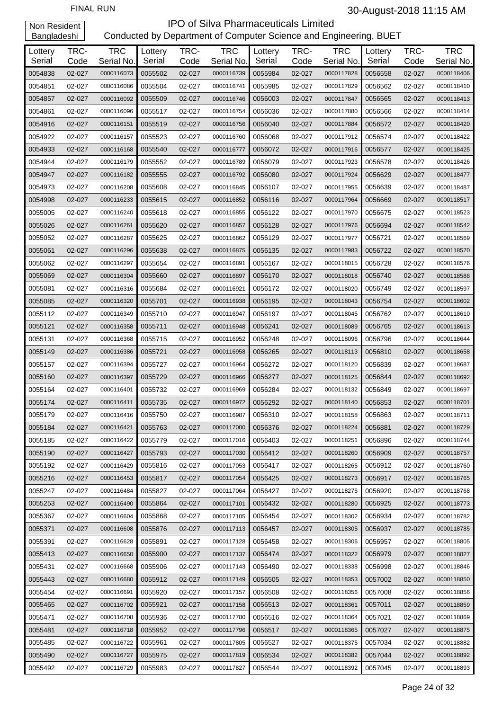| Lottery<br>Serial | TRC-<br>Code     | <b>TRC</b><br>Serial No. | Lottery<br>Serial | TRC-<br>Code | <b>TRC</b><br>Serial No. | Lottery<br>Serial | TRC-<br>Code     | <b>TRC</b><br>Serial No. | Lottery<br>Serial | TRC-<br>Code | <b>TRC</b><br>Serial No. |
|-------------------|------------------|--------------------------|-------------------|--------------|--------------------------|-------------------|------------------|--------------------------|-------------------|--------------|--------------------------|
| 0054838           | 02-027           | 0000116073               | 0055502           | 02-027       | 0000116739               | 0055984           | 02-027           | 0000117828               | 0056558           | 02-027       | 0000118406               |
| 0054851           | 02-027           | 0000116086               | 0055504           | 02-027       | 0000116741               | 0055985           | 02-027           | 0000117829               | 0056562           | 02-027       | 0000118410               |
| 0054857           | 02-027           | 0000116092               | 0055509           | 02-027       | 0000116746               | 0056003           | 02-027           | 0000117847               | 0056565           | 02-027       | 0000118413               |
| 0054861           | 02-027           | 0000116096               | 0055517           | 02-027       | 0000116754               | 0056036           | 02-027           | 0000117880               | 0056566           | 02-027       | 0000118414               |
| 0054916           | 02-027           | 0000116151               | 0055519           | 02-027       | 0000116756               | 0056040           | 02-027           | 0000117884               | 0056572           | 02-027       | 0000118420               |
| 0054922           | 02-027           | 0000116157               | 0055523           | 02-027       | 0000116760               | 0056068           | 02-027           | 0000117912               | 0056574           | 02-027       | 0000118422               |
| 0054933           | 02-027           | 0000116168               | 0055540           | 02-027       | 0000116777               | 0056072           | 02-027           | 0000117916               | 0056577           | 02-027       | 0000118425               |
| 0054944           | 02-027           | 0000116179               | 0055552           | 02-027       | 0000116789               | 0056079           | 02-027           | 0000117923               | 0056578           | 02-027       | 0000118426               |
| 0054947           | 02-027           | 0000116182               | 0055555           | 02-027       | 0000116792               | 0056080           | 02-027           | 0000117924               | 0056629           | 02-027       | 0000118477               |
| 0054973           | 02-027           | 0000116208               | 0055608           | 02-027       | 0000116845               | 0056107           | 02-027           | 0000117955               | 0056639           | 02-027       | 0000118487               |
| 0054998           | 02-027           | 0000116233               | 0055615           | 02-027       | 0000116852               | 0056116           | 02-027           | 0000117964               | 0056669           | 02-027       | 0000118517               |
| 0055005           | 02-027           | 0000116240               | 0055618           | 02-027       | 0000116855               | 0056122           | 02-027           | 0000117970               | 0056675           | 02-027       | 0000118523               |
| 0055026           |                  | 0000116261               | 0055620           | 02-027       | 0000116857               | 0056128           | 02-027           | 0000117976               | 0056694           | 02-027       | 0000118542               |
| 0055052           | 02-027<br>02-027 | 0000116287               | 0055625           | 02-027       | 0000116862               | 0056129           |                  | 0000117977               | 0056721           | 02-027       | 0000118569               |
| 0055061           | 02-027           | 0000116296               | 0055638           | 02-027       | 0000116875               | 0056135           | 02-027<br>02-027 | 0000117983               | 0056722           | 02-027       | 0000118570               |
| 0055062           | 02-027           | 0000116297               | 0055654           | 02-027       | 0000116891               | 0056167           | 02-027           | 0000118015               | 0056728           | 02-027       | 0000118576               |
| 0055069           |                  |                          |                   |              |                          |                   | 02-027           |                          |                   | 02-027       |                          |
| 0055081           | 02-027           | 0000116304               | 0055660           | 02-027       | 0000116897               | 0056170           |                  | 0000118018               | 0056740           |              | 0000118588               |
|                   | 02-027           | 0000116316               | 0055684           | 02-027       | 0000116921               | 0056172           | 02-027           | 0000118020               | 0056749           | 02-027       | 0000118597               |
| 0055085           | 02-027           | 0000116320               | 0055701           | 02-027       | 0000116938               | 0056195           | 02-027           | 0000118043               | 0056754           | 02-027       | 0000118602               |
| 0055112           | 02-027           | 0000116349               | 0055710           | 02-027       | 0000116947               | 0056197           | 02-027           | 0000118045               | 0056762           | 02-027       | 0000118610               |
| 0055121           | 02-027           | 0000116358               | 0055711           | 02-027       | 0000116948               | 0056241           | 02-027           | 0000118089               | 0056765           | 02-027       | 0000118613               |
| 0055131           | 02-027           | 0000116368               | 0055715           | 02-027       | 0000116952               | 0056248           | 02-027           | 0000118096               | 0056796           | 02-027       | 0000118644               |
| 0055149           | 02-027           | 0000116386               | 0055721           | 02-027       | 0000116958               | 0056265           | 02-027           | 0000118113               | 0056810           | 02-027       | 0000118658               |
| 0055157           | 02-027           | 0000116394               | 0055727           | 02-027       | 0000116964               | 0056272           | 02-027           | 0000118120               | 0056839           | 02-027       | 0000118687               |
| 0055160           | 02-027           | 0000116397               | 0055729           | 02-027       | 0000116966               | 0056277           | 02-027           | 0000118125               | 0056844           | 02-027       | 0000118692               |
| 0055164           | 02-027           | 0000116401               | 0055732           | 02-027       | 0000116969               | 0056284           | 02-027           | 0000118132               | 0056849           | 02-027       | 0000118697               |
| 0055174           | 02-027           | 0000116411               | 0055735           | 02-027       | 0000116972               | 0056292           | 02-027           | 0000118140               | 0056853           | 02-027       | 0000118701               |
| 0055179           | 02-027           | 0000116416               | 0055750           | 02-027       | 0000116987               | 0056310           | 02-027           | 0000118158               | 0056863           | 02-027       | 0000118711               |
| 0055184           | 02-027           | 0000116421               | 0055763           | 02-027       | 0000117000               | 0056376           | 02-027           | 0000118224               | 0056881           | 02-027       | 0000118729               |
| 0055185           | 02-027           | 0000116422               | 0055779           | 02-027       | 0000117016               | 0056403           | 02-027           | 0000118251               | 0056896           | 02-027       | 0000118744               |
| 0055190           | 02-027           | 0000116427               | 0055793           | 02-027       | 0000117030               | 0056412           | 02-027           | 0000118260               | 0056909           | 02-027       | 0000118757               |
| 0055192           | 02-027           | 0000116429               | 0055816           | 02-027       | 0000117053               | 0056417           | 02-027           | 0000118265               | 0056912           | 02-027       | 0000118760               |
| 0055216           | 02-027           | 0000116453               | 0055817           | 02-027       | 0000117054               | 0056425           | 02-027           | 0000118273               | 0056917           | 02-027       | 0000118765               |
| 0055247           | 02-027           | 0000116484               | 0055827           | 02-027       | 0000117064               | 0056427           | 02-027           | 0000118275               | 0056920           | 02-027       | 0000118768               |
| 0055253           | 02-027           | 0000116490               | 0055864           | 02-027       | 0000117101               | 0056432           | 02-027           | 0000118280               | 0056925           | 02-027       | 0000118773               |
| 0055367           | 02-027           | 0000116604               | 0055868           | 02-027       | 0000117105               | 0056454           | 02-027           | 0000118302               | 0056934           | 02-027       | 0000118782               |
| 0055371           | 02-027           | 0000116608               | 0055876           | 02-027       | 0000117113               | 0056457           | 02-027           | 0000118305               | 0056937           | 02-027       | 0000118785               |
| 0055391           | 02-027           | 0000116628               | 0055891           | 02-027       | 0000117128               | 0056458           | 02-027           | 0000118306               | 0056957           | 02-027       | 0000118805               |
| 0055413           | 02-027           | 0000116650               | 0055900           | 02-027       | 0000117137               | 0056474           | 02-027           | 0000118322               | 0056979           | 02-027       | 0000118827               |
| 0055431           | 02-027           | 0000116668               | 0055906           | 02-027       | 0000117143               | 0056490           | 02-027           | 0000118338               | 0056998           | 02-027       | 0000118846               |
| 0055443           | 02-027           | 0000116680               | 0055912           | 02-027       | 0000117149               | 0056505           | 02-027           | 0000118353               | 0057002           | 02-027       | 0000118850               |
| 0055454           | 02-027           | 0000116691               | 0055920           | 02-027       | 0000117157               | 0056508           | 02-027           | 0000118356               | 0057008           | 02-027       | 0000118856               |
| 0055465           | 02-027           | 0000116702               | 0055921           | 02-027       | 0000117158               | 0056513           | 02-027           | 0000118361               | 0057011           | 02-027       | 0000118859               |
| 0055471           | 02-027           | 0000116708               | 0055936           | 02-027       | 0000117780               | 0056516           | 02-027           | 0000118364               | 0057021           | 02-027       | 0000118869               |
| 0055481           | 02-027           | 0000116718               | 0055952           | 02-027       | 0000117796               | 0056517           | 02-027           | 0000118365               | 0057027           | 02-027       | 0000118875               |
| 0055485           | 02-027           | 0000116722               | 0055961           | 02-027       | 0000117805               | 0056527           | 02-027           | 0000118375               | 0057034           | 02-027       | 0000118882               |
| 0055490           | 02-027           | 0000116727               | 0055975           | 02-027       | 0000117819               | 0056534           | 02-027           | 0000118382               | 0057044           | 02-027       | 0000118892               |
| 0055492           | 02-027           | 0000116729               | 0055983           | 02-027       | 0000117827               | 0056544           | 02-027           | 0000118392               | 0057045           | 02-027       | 0000118893               |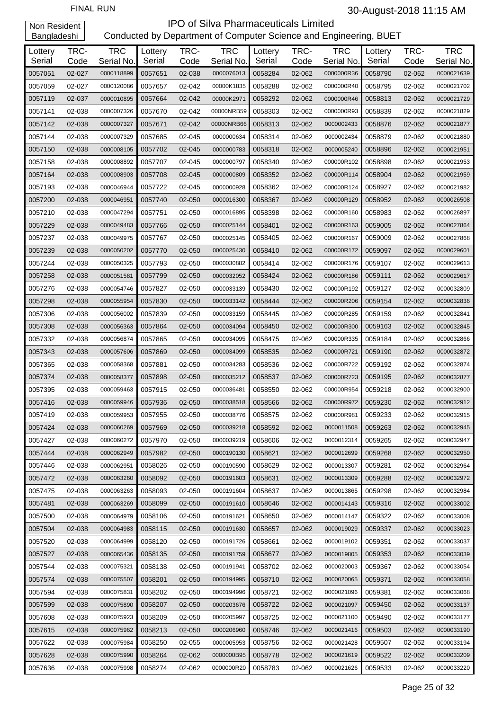| Lottery | TRC-   | <b>TRC</b> | Lottery | TRC-   | <b>TRC</b> | Lottery | TRC-   | <b>TRC</b> | Lottery | TRC-   | <b>TRC</b> |
|---------|--------|------------|---------|--------|------------|---------|--------|------------|---------|--------|------------|
| Serial  | Code   | Serial No. | Serial  | Code   | Serial No. | Serial  | Code   | Serial No. | Serial  | Code   | Serial No. |
| 0057051 | 02-027 | 0000118899 | 0057651 | 02-038 | 0000076013 | 0058284 | 02-062 | 0000000R36 | 0058790 | 02-062 | 0000021639 |
| 0057059 | 02-027 | 0000120086 | 0057657 | 02-042 | 00000K1835 | 0058288 | 02-062 | 0000000R40 | 0058795 | 02-062 | 0000021702 |
| 0057119 | 02-037 | 0000010895 | 0057664 | 02-042 | 00000K2971 | 0058292 | 02-062 | 0000000R46 | 0058813 | 02-062 | 0000021729 |
| 0057141 | 02-038 | 0000007326 | 0057670 | 02-042 | 00000NRB59 | 0058303 | 02-062 | 0000000R93 | 0058839 | 02-062 | 0000021829 |
| 0057142 | 02-038 | 0000007327 | 0057671 | 02-042 | 00000NRB66 | 0058313 | 02-062 | 0000002433 | 0058876 | 02-062 | 0000021877 |
| 0057144 | 02-038 | 0000007329 | 0057685 | 02-045 | 0000000634 | 0058314 | 02-062 | 0000002434 | 0058879 | 02-062 | 0000021880 |
| 0057150 | 02-038 | 0000008105 | 0057702 | 02-045 | 0000000783 | 0058318 | 02-062 | 0000005240 | 0058896 | 02-062 | 0000021951 |
| 0057158 | 02-038 | 0000008892 | 0057707 | 02-045 | 0000000797 | 0058340 | 02-062 | 000000R102 | 0058898 | 02-062 | 0000021953 |
| 0057164 | 02-038 | 0000008903 | 0057708 | 02-045 | 0000000809 | 0058352 | 02-062 | 000000R114 | 0058904 | 02-062 | 0000021959 |
| 0057193 | 02-038 | 0000046944 | 0057722 | 02-045 | 0000000928 | 0058362 | 02-062 | 000000R124 | 0058927 | 02-062 | 0000021982 |
| 0057200 | 02-038 | 0000046951 | 0057740 | 02-050 | 0000016300 | 0058367 | 02-062 | 000000R129 | 0058952 | 02-062 | 0000026508 |
| 0057210 | 02-038 | 0000047294 | 0057751 | 02-050 | 0000016895 | 0058398 | 02-062 | 000000R160 | 0058983 | 02-062 | 0000026897 |
| 0057229 | 02-038 | 0000049483 | 0057766 | 02-050 | 0000025144 | 0058401 | 02-062 | 000000R163 | 0059005 | 02-062 | 0000027864 |
| 0057237 | 02-038 | 0000049975 | 0057767 | 02-050 | 0000025145 | 0058405 | 02-062 | 000000R167 | 0059009 | 02-062 | 0000027868 |
| 0057239 | 02-038 | 0000050202 | 0057770 | 02-050 | 0000025430 | 0058410 | 02-062 | 000000R172 | 0059097 | 02-062 | 0000029601 |
| 0057244 | 02-038 | 0000050325 | 0057793 | 02-050 | 0000030882 | 0058414 | 02-062 | 000000R176 | 0059107 | 02-062 | 0000029613 |
| 0057258 | 02-038 | 0000051581 | 0057799 | 02-050 | 0000032052 | 0058424 | 02-062 | 000000R186 | 0059111 | 02-062 | 0000029617 |
| 0057276 | 02-038 | 0000054746 | 0057827 | 02-050 | 0000033139 | 0058430 | 02-062 | 000000R192 | 0059127 | 02-062 | 0000032809 |
| 0057298 | 02-038 | 0000055954 | 0057830 | 02-050 | 0000033142 | 0058444 | 02-062 | 000000R206 | 0059154 | 02-062 | 0000032836 |
| 0057306 | 02-038 | 0000056002 | 0057839 | 02-050 | 0000033159 | 0058445 | 02-062 | 000000R285 | 0059159 | 02-062 | 0000032841 |
| 0057308 | 02-038 | 0000056363 | 0057864 | 02-050 | 0000034094 | 0058450 | 02-062 | 000000R300 | 0059163 | 02-062 | 0000032845 |
| 0057332 | 02-038 | 0000056874 | 0057865 | 02-050 | 0000034095 | 0058475 | 02-062 | 000000R335 | 0059184 | 02-062 | 0000032866 |
| 0057343 | 02-038 | 0000057606 | 0057869 | 02-050 | 0000034099 | 0058535 | 02-062 | 000000R721 | 0059190 | 02-062 | 0000032872 |
| 0057365 | 02-038 | 0000058368 | 0057881 | 02-050 | 0000034283 | 0058536 | 02-062 | 000000R722 | 0059192 | 02-062 | 0000032874 |
| 0057374 | 02-038 | 0000058377 | 0057898 | 02-050 | 0000035212 | 0058537 | 02-062 | 000000R723 | 0059195 | 02-062 | 0000032877 |
| 0057395 | 02-038 | 0000059463 | 0057915 | 02-050 | 0000036481 | 0058550 | 02-062 | 000000R954 | 0059218 | 02-062 | 0000032900 |
| 0057416 | 02-038 | 0000059946 | 0057936 | 02-050 | 0000038518 | 0058566 | 02-062 | 000000R972 | 0059230 | 02-062 | 0000032912 |
| 0057419 | 02-038 | 0000059953 | 0057955 | 02-050 | 0000038776 | 0058575 | 02-062 | 000000R981 | 0059233 | 02-062 | 0000032915 |
| 0057424 | 02-038 | 0000060269 | 0057969 | 02-050 | 0000039218 | 0058592 | 02-062 | 0000011508 | 0059263 | 02-062 | 0000032945 |
| 0057427 | 02-038 | 0000060272 | 0057970 | 02-050 | 0000039219 | 0058606 | 02-062 | 0000012314 | 0059265 | 02-062 | 0000032947 |
| 0057444 | 02-038 | 0000062949 | 0057982 | 02-050 | 0000190130 | 0058621 | 02-062 | 0000012699 | 0059268 | 02-062 | 0000032950 |
| 0057446 | 02-038 | 0000062951 | 0058026 | 02-050 | 0000190590 | 0058629 | 02-062 | 0000013307 | 0059281 | 02-062 | 0000032964 |
| 0057472 | 02-038 | 0000063260 | 0058092 | 02-050 | 0000191603 | 0058631 | 02-062 | 0000013309 | 0059288 | 02-062 | 0000032972 |
| 0057475 | 02-038 | 0000063263 | 0058093 | 02-050 | 0000191604 | 0058637 | 02-062 | 0000013865 | 0059298 | 02-062 | 0000032984 |
| 0057481 | 02-038 | 0000063269 | 0058099 | 02-050 | 0000191610 | 0058646 | 02-062 | 0000014143 | 0059316 | 02-062 | 0000033002 |
| 0057500 | 02-038 | 0000064979 | 0058106 | 02-050 | 0000191621 | 0058650 | 02-062 | 0000014147 | 0059322 | 02-062 | 0000033008 |
| 0057504 | 02-038 | 0000064983 | 0058115 | 02-050 | 0000191630 | 0058657 | 02-062 | 0000019029 | 0059337 | 02-062 | 0000033023 |
| 0057520 | 02-038 | 0000064999 | 0058120 | 02-050 | 0000191726 | 0058661 | 02-062 | 0000019102 | 0059351 | 02-062 | 0000033037 |
| 0057527 | 02-038 | 0000065436 | 0058135 | 02-050 | 0000191759 | 0058677 | 02-062 | 0000019805 | 0059353 | 02-062 | 0000033039 |
| 0057544 | 02-038 | 0000075321 | 0058138 | 02-050 | 0000191941 | 0058702 | 02-062 | 0000020003 | 0059367 | 02-062 | 0000033054 |
| 0057574 | 02-038 | 0000075507 | 0058201 | 02-050 | 0000194995 | 0058710 | 02-062 | 0000020065 | 0059371 | 02-062 | 0000033058 |
| 0057594 | 02-038 | 0000075831 | 0058202 | 02-050 | 0000194996 | 0058721 | 02-062 | 0000021096 | 0059381 | 02-062 | 0000033068 |
| 0057599 | 02-038 | 0000075890 | 0058207 | 02-050 | 0000203676 | 0058722 | 02-062 | 0000021097 | 0059450 | 02-062 | 0000033137 |
| 0057608 | 02-038 | 0000075923 | 0058209 | 02-050 | 0000205997 | 0058725 | 02-062 | 0000021100 | 0059490 | 02-062 | 0000033177 |
| 0057615 | 02-038 | 0000075962 | 0058213 | 02-050 | 0000206960 | 0058746 | 02-062 | 0000021416 | 0059503 | 02-062 | 0000033190 |
| 0057622 | 02-038 | 0000075984 | 0058250 | 02-055 | 0000005953 | 0058756 | 02-062 | 0000021428 | 0059507 | 02-062 | 0000033194 |
| 0057628 | 02-038 | 0000075990 | 0058264 | 02-062 | 0000000B95 | 0058778 | 02-062 | 0000021619 | 0059522 | 02-062 | 0000033209 |
| 0057636 | 02-038 | 0000075998 | 0058274 | 02-062 | 0000000R20 | 0058783 | 02-062 | 0000021626 | 0059533 | 02-062 | 0000033220 |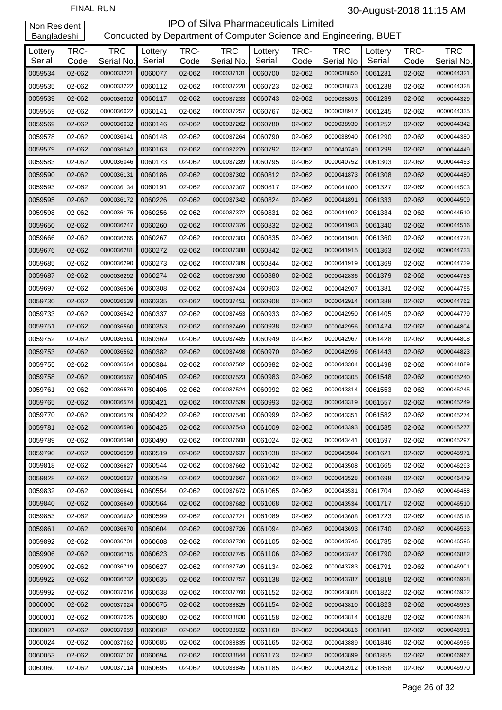| Lottery<br>Serial | TRC-<br>Code | <b>TRC</b><br>Serial No. | Lottery<br>Serial | TRC-<br>Code | <b>TRC</b><br>Serial No. | Lottery<br>Serial | TRC-<br>Code | <b>TRC</b><br>Serial No. | Lottery<br>Serial | TRC-<br>Code | <b>TRC</b><br>Serial No. |
|-------------------|--------------|--------------------------|-------------------|--------------|--------------------------|-------------------|--------------|--------------------------|-------------------|--------------|--------------------------|
| 0059534           | 02-062       | 0000033221               | 0060077           | 02-062       | 0000037131               | 0060700           | 02-062       | 0000038850               | 0061231           | 02-062       | 0000044321               |
| 0059535           | 02-062       | 0000033222               | 0060112           | 02-062       | 0000037228               | 0060723           | 02-062       | 0000038873               | 0061238           | 02-062       | 0000044328               |
| 0059539           | 02-062       | 0000036002               | 0060117           | 02-062       | 0000037233               | 0060743           | 02-062       | 0000038893               | 0061239           | 02-062       | 0000044329               |
| 0059559           | 02-062       | 0000036022               | 0060141           | 02-062       | 0000037257               | 0060767           | 02-062       | 0000038917               | 0061245           | 02-062       | 0000044335               |
| 0059569           | 02-062       | 0000036032               | 0060146           | 02-062       | 0000037262               | 0060780           | 02-062       | 0000038930               | 0061252           | 02-062       | 0000044342               |
| 0059578           | 02-062       | 0000036041               | 0060148           | 02-062       | 0000037264               | 0060790           | 02-062       | 0000038940               | 0061290           | 02-062       | 0000044380               |
| 0059579           | 02-062       | 0000036042               | 0060163           | 02-062       | 0000037279               | 0060792           | 02-062       | 0000040749               | 0061299           | 02-062       | 0000044449               |
| 0059583           | 02-062       | 0000036046               | 0060173           | 02-062       | 0000037289               | 0060795           | 02-062       | 0000040752               | 0061303           | 02-062       | 0000044453               |
| 0059590           | 02-062       | 0000036131               | 0060186           | 02-062       | 0000037302               | 0060812           | 02-062       | 0000041873               | 0061308           | 02-062       | 0000044480               |
| 0059593           | 02-062       | 0000036134               | 0060191           | 02-062       | 0000037307               | 0060817           | 02-062       | 0000041880               | 0061327           | 02-062       | 0000044503               |
| 0059595           | 02-062       | 0000036172               | 0060226           | 02-062       | 0000037342               | 0060824           | 02-062       | 0000041891               | 0061333           | 02-062       | 0000044509               |
| 0059598           | 02-062       | 0000036175               | 0060256           | 02-062       | 0000037372               | 0060831           | 02-062       | 0000041902               | 0061334           | 02-062       | 0000044510               |
| 0059650           | 02-062       | 0000036247               | 0060260           | 02-062       | 0000037376               | 0060832           | 02-062       | 0000041903               | 0061340           | 02-062       | 0000044516               |
| 0059666           | 02-062       | 0000036265               | 0060267           | 02-062       | 0000037383               | 0060835           | 02-062       | 0000041908               | 0061360           | 02-062       | 0000044728               |
| 0059676           | 02-062       | 0000036281               | 0060272           | 02-062       | 0000037388               | 0060842           | 02-062       | 0000041915               | 0061363           | 02-062       | 0000044733               |
| 0059685           | 02-062       | 0000036290               | 0060273           | 02-062       | 0000037389               | 0060844           | 02-062       | 0000041919               | 0061369           | 02-062       | 0000044739               |
| 0059687           | 02-062       | 0000036292               | 0060274           | 02-062       | 0000037390               | 0060880           | 02-062       | 0000042836               | 0061379           | 02-062       | 0000044753               |
| 0059697           | 02-062       | 0000036506               | 0060308           | 02-062       | 0000037424               | 0060903           | 02-062       | 0000042907               | 0061381           | 02-062       | 0000044755               |
| 0059730           | 02-062       | 0000036539               | 0060335           | 02-062       | 0000037451               | 0060908           | 02-062       | 0000042914               | 0061388           | 02-062       | 0000044762               |
| 0059733           | 02-062       | 0000036542               | 0060337           | 02-062       | 0000037453               | 0060933           | 02-062       | 0000042950               | 0061405           | 02-062       | 0000044779               |
| 0059751           | 02-062       | 0000036560               | 0060353           | 02-062       | 0000037469               | 0060938           | 02-062       | 0000042956               | 0061424           | 02-062       | 0000044804               |
| 0059752           | 02-062       | 0000036561               | 0060369           | 02-062       | 0000037485               | 0060949           | 02-062       | 0000042967               | 0061428           | 02-062       | 0000044808               |
| 0059753           | 02-062       | 0000036562               | 0060382           | 02-062       | 0000037498               | 0060970           | 02-062       | 0000042996               | 0061443           | 02-062       | 0000044823               |
| 0059755           | 02-062       | 0000036564               | 0060384           | 02-062       | 0000037502               | 0060982           | 02-062       | 0000043304               | 0061498           | 02-062       | 0000044889               |
| 0059758           | 02-062       | 0000036567               | 0060405           | 02-062       | 0000037523               | 0060983           | 02-062       | 0000043305               | 0061548           | 02-062       | 0000045240               |
| 0059761           | 02-062       | 0000036570               | 0060406           | 02-062       | 0000037524               | 0060992           | 02-062       | 0000043314               | 0061553           | 02-062       | 0000045245               |
| 0059765           | 02-062       | 0000036574               | 0060421           | 02-062       | 0000037539               | 0060993           | 02-062       | 0000043319               | 0061557           | 02-062       | 0000045249               |
| 0059770           | 02-062       | 0000036579               | 0060422           | 02-062       | 0000037540               | 0060999           | 02-062       | 0000043351               | 0061582           | 02-062       | 0000045274               |
| 0059781           | 02-062       | 0000036590               | 0060425           | 02-062       | 0000037543               | 0061009           | 02-062       | 0000043393               | 0061585           | 02-062       | 0000045277               |
| 0059789           | 02-062       | 0000036598               | 0060490           | 02-062       | 0000037608               | 0061024           | 02-062       | 0000043441               | 0061597           | 02-062       | 0000045297               |
| 0059790           | 02-062       | 0000036599               | 0060519           | 02-062       | 0000037637               | 0061038           | 02-062       | 0000043504               | 0061621           | 02-062       | 0000045971               |
| 0059818           | 02-062       | 0000036627               | 0060544           | 02-062       | 0000037662               | 0061042           | 02-062       | 0000043508               | 0061665           | 02-062       | 0000046293               |
| 0059828           | 02-062       | 0000036637               | 0060549           | 02-062       | 0000037667               | 0061062           | 02-062       | 0000043528               | 0061698           | 02-062       | 0000046479               |
| 0059832           | 02-062       | 0000036641               | 0060554           | 02-062       | 0000037672               | 0061065           | 02-062       | 0000043531               | 0061704           | 02-062       | 0000046488               |
| 0059840           | 02-062       | 0000036649               | 0060564           | 02-062       | 0000037682               | 0061068           | 02-062       | 0000043534               | 0061717           | 02-062       | 0000046510               |
| 0059853           | 02-062       | 0000036662               | 0060599           | 02-062       | 0000037721               | 0061089           | 02-062       | 0000043688               | 0061723           | 02-062       | 0000046516               |
| 0059861           | 02-062       | 0000036670               | 0060604           | 02-062       | 0000037726               | 0061094           | 02-062       | 0000043693               | 0061740           | 02-062       | 0000046533               |
| 0059892           | 02-062       | 0000036701               | 0060608           | 02-062       | 0000037730               | 0061105           | 02-062       | 0000043746               | 0061785           | 02-062       | 0000046596               |
| 0059906           | 02-062       | 0000036715               | 0060623           | 02-062       | 0000037745               | 0061106           | 02-062       | 0000043747               | 0061790           | 02-062       | 0000046882               |
| 0059909           | 02-062       | 0000036719               | 0060627           | 02-062       | 0000037749               | 0061134           | 02-062       | 0000043783               | 0061791           | 02-062       | 0000046901               |
| 0059922           | 02-062       | 0000036732               | 0060635           | 02-062       | 0000037757               | 0061138           | 02-062       | 0000043787               | 0061818           | 02-062       | 0000046928               |
| 0059992           | 02-062       | 0000037016               | 0060638           | 02-062       | 0000037760               | 0061152           | 02-062       | 0000043808               | 0061822           | 02-062       | 0000046932               |
| 0060000           | 02-062       | 0000037024               | 0060675           | 02-062       | 0000038825               | 0061154           | 02-062       | 0000043810               | 0061823           | 02-062       | 0000046933               |
| 0060001           | 02-062       | 0000037025               | 0060680           | 02-062       | 0000038830               | 0061158           | 02-062       | 0000043814               | 0061828           | 02-062       | 0000046938               |
| 0060021           | 02-062       | 0000037059               | 0060682           | 02-062       | 0000038832               | 0061160           | 02-062       | 0000043816               | 0061841           | 02-062       | 0000046951               |
| 0060024           | 02-062       | 0000037062               | 0060685           | 02-062       | 0000038835               | 0061165           | 02-062       | 0000043889               | 0061846           | 02-062       | 0000046956               |
| 0060053           | 02-062       | 0000037107               | 0060694           | 02-062       | 0000038844               | 0061173           | 02-062       | 0000043899               | 0061855           | 02-062       | 0000046967               |
| 0060060           | 02-062       | 0000037114               | 0060695           | 02-062       | 0000038845               | 0061185           | 02-062       | 0000043912               | 0061858           | 02-062       | 0000046970               |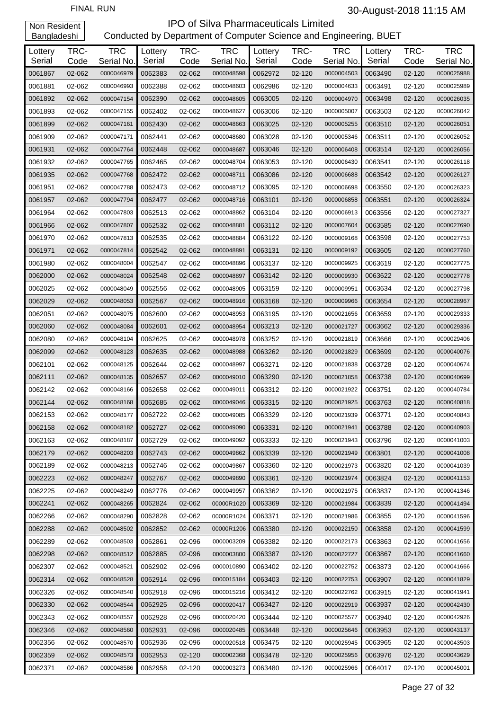| Lottery<br>Serial | TRC-<br>Code | <b>TRC</b><br>Serial No. | Lottery<br>Serial | TRC-<br>Code | <b>TRC</b><br>Serial No. | Lottery<br>Serial | TRC-<br>Code | <b>TRC</b><br>Serial No. | Lottery<br>Serial | TRC-<br>Code | <b>TRC</b><br>Serial No. |
|-------------------|--------------|--------------------------|-------------------|--------------|--------------------------|-------------------|--------------|--------------------------|-------------------|--------------|--------------------------|
| 0061867           | 02-062       | 0000046979               | 0062383           | 02-062       | 0000048598               | 0062972           | 02-120       | 0000004503               | 0063490           | 02-120       | 0000025988               |
| 0061881           | 02-062       | 0000046993               | 0062388           | 02-062       | 0000048603               | 0062986           | 02-120       | 0000004633               | 0063491           | 02-120       | 0000025989               |
| 0061892           | 02-062       | 0000047154               | 0062390           | 02-062       | 0000048605               | 0063005           | 02-120       | 0000004970               | 0063498           | 02-120       | 0000026035               |
| 0061893           | 02-062       | 0000047155               | 0062402           | 02-062       | 0000048627               | 0063006           | 02-120       | 0000005007               | 0063503           | 02-120       | 0000026042               |
| 0061899           | 02-062       | 0000047161               | 0062430           | 02-062       | 0000048663               | 0063025           | 02-120       | 0000005255               | 0063510           | 02-120       | 0000026051               |
| 0061909           | 02-062       | 0000047171               | 0062441           | 02-062       | 0000048680               | 0063028           | 02-120       | 0000005346               | 0063511           | 02-120       | 0000026052               |
| 0061931           | 02-062       | 0000047764               | 0062448           | 02-062       | 0000048687               | 0063046           | 02-120       | 0000006408               | 0063514           | 02-120       | 0000026056               |
| 0061932           | 02-062       | 0000047765               | 0062465           | 02-062       | 0000048704               | 0063053           | 02-120       | 0000006430               | 0063541           | 02-120       | 0000026118               |
| 0061935           | 02-062       | 0000047768               | 0062472           | 02-062       | 0000048711               | 0063086           | 02-120       | 0000006688               | 0063542           | 02-120       | 0000026127               |
| 0061951           | 02-062       | 0000047788               | 0062473           | 02-062       | 0000048712               | 0063095           | 02-120       | 0000006698               | 0063550           | 02-120       | 0000026323               |
| 0061957           | 02-062       | 0000047794               | 0062477           | 02-062       | 0000048716               | 0063101           | 02-120       | 0000006858               | 0063551           | 02-120       | 0000026324               |
| 0061964           | 02-062       | 0000047803               | 0062513           | 02-062       | 0000048862               | 0063104           | 02-120       | 0000006913               | 0063556           | 02-120       | 0000027327               |
| 0061966           | 02-062       | 0000047807               | 0062532           | 02-062       | 0000048881               | 0063112           | 02-120       | 0000007604               | 0063585           | 02-120       | 0000027690               |
| 0061970           | 02-062       | 0000047813               | 0062535           | 02-062       | 0000048884               | 0063122           | 02-120       | 0000009168               | 0063598           | 02-120       | 0000027753               |
| 0061971           | 02-062       | 0000047814               | 0062542           | 02-062       | 0000048891               | 0063131           | 02-120       | 0000009192               | 0063605           | 02-120       | 0000027760               |
| 0061980           | 02-062       | 0000048004               | 0062547           | 02-062       | 0000048896               | 0063137           | 02-120       | 0000009925               | 0063619           | 02-120       | 0000027775               |
| 0062000           | 02-062       | 0000048024               | 0062548           | 02-062       | 0000048897               | 0063142           | 02-120       | 0000009930               | 0063622           | 02-120       | 0000027778               |
| 0062025           | 02-062       | 0000048049               | 0062556           | 02-062       | 0000048905               | 0063159           | 02-120       | 0000009951               | 0063634           | 02-120       | 0000027798               |
| 0062029           | 02-062       | 0000048053               | 0062567           | 02-062       | 0000048916               | 0063168           | 02-120       | 0000009966               | 0063654           | 02-120       | 0000028967               |
| 0062051           | 02-062       | 0000048075               | 0062600           | 02-062       | 0000048953               | 0063195           | 02-120       | 0000021656               | 0063659           | 02-120       | 0000029333               |
| 0062060           | 02-062       | 0000048084               | 0062601           | 02-062       | 0000048954               | 0063213           | 02-120       | 0000021727               | 0063662           | 02-120       | 0000029336               |
| 0062080           | 02-062       | 0000048104               | 0062625           | 02-062       | 0000048978               | 0063252           | 02-120       | 0000021819               | 0063666           | 02-120       | 0000029406               |
| 0062099           | 02-062       | 0000048123               | 0062635           | 02-062       | 0000048988               | 0063262           | 02-120       | 0000021829               | 0063699           | 02-120       | 0000040076               |
| 0062101           | 02-062       | 0000048125               | 0062644           | 02-062       | 0000048997               | 0063271           | 02-120       | 0000021838               | 0063728           | 02-120       | 0000040674               |
| 0062111           | 02-062       | 0000048135               | 0062657           | 02-062       | 0000049010               | 0063290           | 02-120       | 0000021858               | 0063738           | 02-120       | 0000040699               |
| 0062142           | 02-062       | 0000048166               | 0062658           | 02-062       | 0000049011               | 0063312           | 02-120       | 0000021922               | 0063751           | 02-120       | 0000040784               |
| 0062144           | 02-062       | 0000048168               | 0062685           | 02-062       | 0000049046               | 0063315           | 02-120       | 0000021925               | 0063763           | 02-120       | 0000040818               |
| 0062153           | 02-062       | 0000048177               | 0062722           | 02-062       | 0000049085               | 0063329           | 02-120       | 0000021939               | 0063771           | 02-120       | 0000040843               |
| 0062158           | 02-062       | 0000048182               | 0062727           | 02-062       | 0000049090               | 0063331           | $02 - 120$   | 0000021941               | 0063788           | $02 - 120$   | 0000040903               |
| 0062163           | 02-062       | 0000048187               | 0062729           | 02-062       | 0000049092               | 0063333           | 02-120       | 0000021943               | 0063796           | 02-120       | 0000041003               |
| 0062179           | 02-062       | 0000048203               | 0062743           | 02-062       | 0000049862               | 0063339           | 02-120       | 0000021949               | 0063801           | 02-120       | 0000041008               |
| 0062189           | 02-062       | 0000048213               | 0062746           | 02-062       | 0000049867               | 0063360           | 02-120       | 0000021973               | 0063820           | 02-120       | 0000041039               |
| 0062223           | 02-062       | 0000048247               | 0062767           | 02-062       | 0000049890               | 0063361           | 02-120       | 0000021974               | 0063824           | 02-120       | 0000041153               |
| 0062225           | 02-062       | 0000048249               | 0062776           | 02-062       | 0000049957               | 0063362           | 02-120       | 0000021975               | 0063837           | 02-120       | 0000041346               |
| 0062241           | 02-062       | 0000048265               | 0062824           | 02-062       | 00000R1020               | 0063369           | 02-120       | 0000021984               | 0063839           | 02-120       | 0000041494               |
| 0062266           | 02-062       | 0000048290               | 0062828           | 02-062       | 00000R1024               | 0063371           | 02-120       | 0000021986               | 0063855           | 02-120       | 0000041596               |
| 0062288           | 02-062       | 0000048502               | 0062852           | 02-062       | 00000R1206               | 0063380           | 02-120       | 0000022150               | 0063858           | 02-120       | 0000041599               |
| 0062289           | 02-062       | 0000048503               | 0062861           | 02-096       | 0000003209               | 0063382           | 02-120       | 0000022173               | 0063863           | 02-120       | 0000041656               |
| 0062298           | 02-062       | 0000048512               | 0062885           | 02-096       | 0000003800               | 0063387           | 02-120       | 0000022727               | 0063867           | 02-120       | 0000041660               |
| 0062307           | 02-062       | 0000048521               | 0062902           | 02-096       | 0000010890               | 0063402           | 02-120       | 0000022752               | 0063873           | 02-120       | 0000041666               |
| 0062314           | 02-062       | 0000048528               | 0062914           | 02-096       | 0000015184               | 0063403           | 02-120       | 0000022753               | 0063907           | 02-120       | 0000041829               |
| 0062326           | 02-062       | 0000048540               | 0062918           | 02-096       | 0000015216               | 0063412           | 02-120       | 0000022762               | 0063915           | 02-120       | 0000041941               |
| 0062330           | 02-062       | 0000048544               | 0062925           | 02-096       | 0000020417               | 0063427           | 02-120       | 0000022919               | 0063937           | 02-120       | 0000042430               |
| 0062343           | 02-062       | 0000048557               | 0062928           | 02-096       | 0000020420               | 0063444           | 02-120       | 0000025577               | 0063940           | 02-120       | 0000042926               |
| 0062346           | 02-062       | 0000048560               | 0062931           | 02-096       | 0000020485               | 0063448           | 02-120       | 0000025646               | 0063953           | 02-120       | 0000043137               |
| 0062356           | 02-062       | 0000048570               | 0062936           | 02-096       | 0000020518               | 0063475           | 02-120       | 0000025945               | 0063965           | 02-120       | 0000043503               |
| 0062359           | 02-062       | 0000048573               | 0062953           | 02-120       | 0000002368               | 0063478           | 02-120       | 0000025956               | 0063976           | 02-120       | 0000043629               |
| 0062371           | 02-062       | 0000048586               | 0062958           | 02-120       | 0000003273               | 0063480           | 02-120       | 0000025966               | 0064017           | 02-120       | 0000045001               |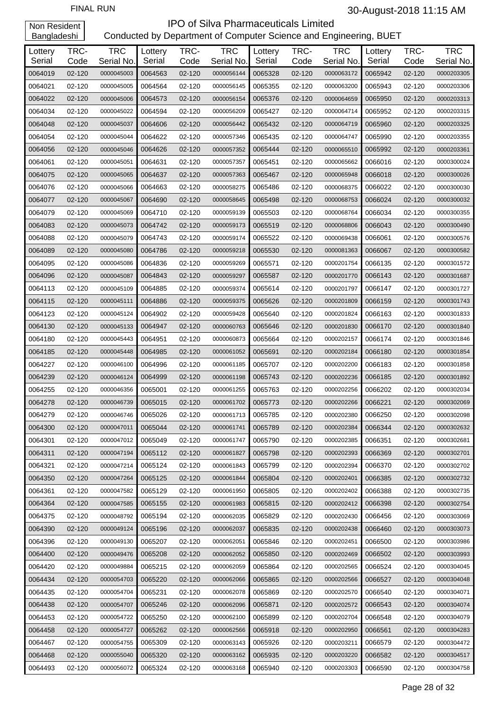| Lottery<br>Serial | TRC-<br>Code | <b>TRC</b><br>Serial No. | Lottery<br>Serial | TRC-<br>Code | <b>TRC</b><br>Serial No. | Lottery<br>Serial | TRC-<br>Code | <b>TRC</b><br>Serial No. | Lottery<br>Serial | TRC-<br>Code | <b>TRC</b><br>Serial No. |
|-------------------|--------------|--------------------------|-------------------|--------------|--------------------------|-------------------|--------------|--------------------------|-------------------|--------------|--------------------------|
| 0064019           | 02-120       | 0000045003               | 0064563           | 02-120       | 0000056144               | 0065328           | 02-120       | 0000063172               | 0065942           | 02-120       | 0000203305               |
| 0064021           | 02-120       | 0000045005               | 0064564           | 02-120       | 0000056145               | 0065355           | 02-120       | 0000063200               | 0065943           | 02-120       | 0000203306               |
| 0064022           | 02-120       | 0000045006               | 0064573           | 02-120       | 0000056154               | 0065376           | 02-120       | 0000064659               | 0065950           | 02-120       | 0000203313               |
| 0064034           | 02-120       | 0000045022               | 0064594           | 02-120       | 0000056209               | 0065427           | 02-120       | 0000064714               | 0065952           | 02-120       | 0000203315               |
| 0064048           | 02-120       | 0000045037               | 0064606           | 02-120       | 0000056442               | 0065432           | 02-120       | 0000064719               | 0065960           | 02-120       | 0000203325               |
| 0064054           | 02-120       | 0000045044               | 0064622           | 02-120       | 0000057346               | 0065435           | 02-120       | 0000064747               | 0065990           | 02-120       | 0000203355               |
| 0064056           | 02-120       | 0000045046               | 0064626           | 02-120       | 0000057352               | 0065444           | 02-120       | 0000065510               | 0065992           | 02-120       | 0000203361               |
| 0064061           | 02-120       | 0000045051               | 0064631           | 02-120       | 0000057357               | 0065451           | 02-120       | 0000065662               | 0066016           | 02-120       | 0000300024               |
| 0064075           | 02-120       | 0000045065               | 0064637           | 02-120       | 0000057363               | 0065467           | 02-120       | 0000065948               | 0066018           | 02-120       | 0000300026               |
| 0064076           | 02-120       | 0000045066               | 0064663           | 02-120       | 0000058275               | 0065486           | 02-120       | 0000068375               | 0066022           | 02-120       | 0000300030               |
| 0064077           | 02-120       | 0000045067               | 0064690           | 02-120       | 0000058645               | 0065498           | 02-120       | 0000068753               | 0066024           | 02-120       | 0000300032               |
| 0064079           | 02-120       | 0000045069               | 0064710           | 02-120       | 0000059139               | 0065503           | 02-120       | 0000068764               | 0066034           | 02-120       | 0000300355               |
| 0064083           | 02-120       | 0000045073               | 0064742           | 02-120       | 0000059173               | 0065519           | 02-120       | 0000068806               | 0066043           | 02-120       | 0000300490               |
| 0064088           | 02-120       | 0000045079               | 0064743           | 02-120       | 0000059174               | 0065522           | 02-120       | 0000069438               | 0066061           | 02-120       | 0000300576               |
| 0064089           | 02-120       | 0000045080               | 0064786           | 02-120       | 0000059218               | 0065530           | 02-120       | 0000081363               | 0066067           | 02-120       | 0000300582               |
| 0064095           | 02-120       | 0000045086               | 0064836           | 02-120       | 0000059269               | 0065571           | 02-120       | 0000201754               | 0066135           | 02-120       | 0000301572               |
| 0064096           | 02-120       | 0000045087               | 0064843           | 02-120       | 0000059297               | 0065587           | 02-120       | 0000201770               | 0066143           | 02-120       | 0000301687               |
| 0064113           | 02-120       | 0000045109               | 0064885           | 02-120       | 0000059374               | 0065614           | 02-120       | 0000201797               | 0066147           | 02-120       | 0000301727               |
| 0064115           | 02-120       | 0000045111               | 0064886           | 02-120       | 0000059375               | 0065626           | 02-120       | 0000201809               | 0066159           | 02-120       | 0000301743               |
| 0064123           | 02-120       | 0000045124               | 0064902           | 02-120       | 0000059428               | 0065640           | 02-120       | 0000201824               | 0066163           | 02-120       | 0000301833               |
| 0064130           | 02-120       | 0000045133               | 0064947           | 02-120       | 0000060763               | 0065646           | 02-120       | 0000201830               | 0066170           | 02-120       | 0000301840               |
| 0064180           | 02-120       | 0000045443               | 0064951           | 02-120       | 0000060873               | 0065664           | 02-120       | 0000202157               | 0066174           | 02-120       | 0000301846               |
| 0064185           | 02-120       | 0000045448               | 0064985           | 02-120       | 0000061052               | 0065691           | 02-120       | 0000202184               | 0066180           | 02-120       | 0000301854               |
| 0064227           | 02-120       | 0000046100               | 0064996           | 02-120       | 0000061185               | 0065707           | 02-120       | 0000202200               | 0066183           | 02-120       | 0000301858               |
| 0064239           | 02-120       | 0000046124               | 0064999           | 02-120       | 0000061198               | 0065743           | 02-120       | 0000202236               | 0066185           | 02-120       | 0000301892               |
| 0064255           | 02-120       | 0000046356               | 0065001           | 02-120       | 0000061255               | 0065763           | 02-120       | 0000202256               | 0066202           | 02-120       | 0000302034               |
| 0064278           | 02-120       | 0000046739               | 0065015           | 02-120       | 0000061702               | 0065773           | 02-120       | 0000202266               | 0066221           | 02-120       | 0000302069               |
| 0064279           | 02-120       | 0000046746               | 0065026           | 02-120       | 0000061713               | 0065785           | 02-120       | 0000202380               | 0066250           | 02-120       | 0000302098               |
| 0064300           | 02-120       | 0000047011               | 0065044           | 02-120       | 0000061741               | 0065789           | 02-120       | 0000202384               | 0066344           | 02-120       | 0000302632               |
| 0064301           | 02-120       | 0000047012               | 0065049           | 02-120       | 0000061747               | 0065790           | 02-120       | 0000202385               | 0066351           | 02-120       | 0000302681               |
| 0064311           | 02-120       | 0000047194               | 0065112           | 02-120       | 0000061827               | 0065798           | 02-120       | 0000202393               | 0066369           | 02-120       | 0000302701               |
| 0064321           | 02-120       | 0000047214               | 0065124           | 02-120       | 0000061843               | 0065799           | 02-120       | 0000202394               | 0066370           | 02-120       | 0000302702               |
| 0064350           | 02-120       | 0000047264               | 0065125           | 02-120       | 0000061844               | 0065804           | 02-120       | 0000202401               | 0066385           | 02-120       | 0000302732               |
| 0064361           | 02-120       | 0000047582               | 0065129           | 02-120       | 0000061950               | 0065805           | 02-120       | 0000202402               | 0066388           | 02-120       | 0000302735               |
| 0064364           | 02-120       | 0000047585               | 0065155           | 02-120       | 0000061983               | 0065815           | 02-120       | 0000202412               | 0066398           | 02-120       | 0000302754               |
| 0064375           | 02-120       | 0000048792               | 0065194           | 02-120       | 0000062035               | 0065829           | 02-120       | 0000202430               | 0066456           | 02-120       | 0000303069               |
| 0064390           | 02-120       | 0000049124               | 0065196           | 02-120       | 0000062037               | 0065835           | 02-120       | 0000202438               | 0066460           | 02-120       | 0000303073               |
| 0064396           | 02-120       | 0000049130               | 0065207           | 02-120       | 0000062051               | 0065846           | 02-120       | 0000202451               | 0066500           | 02-120       | 0000303986               |
| 0064400           | 02-120       | 0000049476               | 0065208           | 02-120       | 0000062052               | 0065850           | 02-120       | 0000202469               | 0066502           | 02-120       | 0000303993               |
| 0064420           | 02-120       | 0000049884               | 0065215           | 02-120       | 0000062059               | 0065864           | 02-120       | 0000202565               | 0066524           | 02-120       | 0000304045               |
| 0064434           | 02-120       | 0000054703               | 0065220           | 02-120       | 0000062066               | 0065865           | 02-120       | 0000202566               | 0066527           | 02-120       | 0000304048               |
| 0064435           | 02-120       | 0000054704               | 0065231           | 02-120       | 0000062078               | 0065869           | 02-120       | 0000202570               | 0066540           | 02-120       | 0000304071               |
| 0064438           | 02-120       | 0000054707               | 0065246           | 02-120       | 0000062096               | 0065871           | 02-120       | 0000202572               | 0066543           | 02-120       | 0000304074               |
| 0064453           | 02-120       | 0000054722               | 0065250           | 02-120       | 0000062100               | 0065899           | 02-120       | 0000202704               | 0066548           | 02-120       | 0000304079               |
| 0064458           | 02-120       | 0000054727               | 0065262           | 02-120       | 0000062566               | 0065918           | 02-120       | 0000202950               | 0066561           | 02-120       | 0000304283               |
| 0064467           | 02-120       | 0000054755               | 0065309           | 02-120       | 0000063143               | 0065926           | 02-120       | 0000203211               | 0066579           | 02-120       | 0000304472               |
| 0064468           | 02-120       | 0000055040               | 0065320           | 02-120       | 0000063162               | 0065935           | 02-120       | 0000203220               | 0066582           | 02-120       | 0000304517               |
| 0064493           | 02-120       | 0000056072               | 0065324           | 02-120       | 0000063168               | 0065940           | 02-120       | 0000203303               | 0066590           | 02-120       | 0000304758               |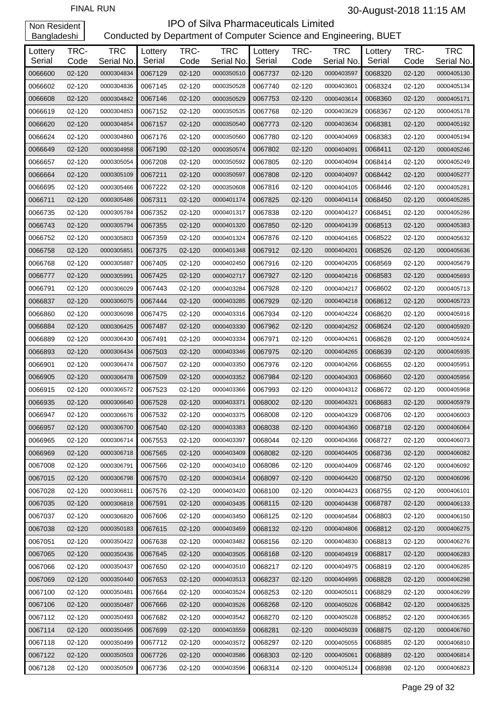| Lottery<br>Serial | TRC-<br>Code | <b>TRC</b><br>Serial No. | Lottery<br>Serial | TRC-<br>Code | <b>TRC</b><br>Serial No. | Lottery<br>Serial | TRC-<br>Code | <b>TRC</b><br>Serial No. | Lottery<br>Serial | TRC-<br>Code | <b>TRC</b><br>Serial No. |
|-------------------|--------------|--------------------------|-------------------|--------------|--------------------------|-------------------|--------------|--------------------------|-------------------|--------------|--------------------------|
| 0066600           | 02-120       | 0000304834               | 0067129           | 02-120       | 0000350510               | 0067737           | 02-120       | 0000403597               | 0068320           | 02-120       | 0000405130               |
| 0066602           | 02-120       | 0000304836               | 0067145           | 02-120       | 0000350528               | 0067740           | 02-120       | 0000403601               | 0068324           | 02-120       | 0000405134               |
| 0066608           | 02-120       | 0000304842               | 0067146           | 02-120       | 0000350529               | 0067753           | 02-120       | 0000403614               | 0068360           | 02-120       | 0000405171               |
| 0066619           | 02-120       | 0000304853               | 0067152           | 02-120       | 0000350535               | 0067768           | 02-120       | 0000403629               | 0068367           | 02-120       | 0000405178               |
| 0066620           | 02-120       | 0000304854               | 0067157           | 02-120       | 0000350540               | 0067773           | 02-120       | 0000403634               | 0068381           | 02-120       | 0000405192               |
| 0066624           | 02-120       | 0000304860               | 0067176           | 02-120       | 0000350560               | 0067780           | 02-120       | 0000404069               | 0068383           | 02-120       | 0000405194               |
| 0066649           | 02-120       | 0000304958               | 0067190           | 02-120       | 0000350574               | 0067802           | 02-120       | 0000404091               | 0068411           | 02-120       | 0000405246               |
| 0066657           | 02-120       | 0000305054               | 0067208           | 02-120       | 0000350592               | 0067805           | 02-120       | 0000404094               | 0068414           | 02-120       | 0000405249               |
| 0066664           | 02-120       | 0000305109               | 0067211           | 02-120       | 0000350597               | 0067808           | 02-120       | 0000404097               | 0068442           | 02-120       | 0000405277               |
| 0066695           | 02-120       | 0000305466               | 0067222           | 02-120       | 0000350608               | 0067816           | 02-120       | 0000404105               | 0068446           | 02-120       | 0000405281               |
| 0066711           | 02-120       | 0000305486               | 0067311           | 02-120       | 0000401174               | 0067825           | 02-120       | 0000404114               | 0068450           | 02-120       | 0000405285               |
| 0066735           | 02-120       | 0000305784               | 0067352           | 02-120       | 0000401317               | 0067838           | 02-120       | 0000404127               | 0068451           | 02-120       | 0000405286               |
| 0066743           | 02-120       | 0000305794               | 0067355           | 02-120       | 0000401320               | 0067850           | 02-120       | 0000404139               | 0068513           | 02-120       | 0000405383               |
| 0066752           | 02-120       | 0000305803               | 0067359           | 02-120       | 0000401324               | 0067876           | 02-120       | 0000404165               | 0068522           | 02-120       | 0000405632               |
| 0066758           | 02-120       | 0000305851               | 0067375           | 02-120       | 0000401348               | 0067912           | 02-120       | 0000404201               | 0068526           | 02-120       | 0000405636               |
| 0066768           | 02-120       | 0000305887               | 0067405           | 02-120       | 0000402450               | 0067916           | 02-120       | 0000404205               | 0068569           | 02-120       | 0000405679               |
| 0066777           | 02-120       | 0000305991               | 0067425           | 02-120       | 0000402717               | 0067927           | 02-120       | 0000404216               | 0068583           | 02-120       | 0000405693               |
| 0066791           | 02-120       | 0000306029               | 0067443           | 02-120       | 0000403284               | 0067928           | 02-120       | 0000404217               | 0068602           | 02-120       | 0000405713               |
| 0066837           | 02-120       | 0000306075               | 0067444           | 02-120       | 0000403285               | 0067929           | 02-120       | 0000404218               | 0068612           | 02-120       | 0000405723               |
| 0066860           | 02-120       | 0000306098               | 0067475           | 02-120       | 0000403316               | 0067934           | 02-120       | 0000404224               | 0068620           | 02-120       | 0000405916               |
| 0066884           | 02-120       | 0000306425               | 0067487           | 02-120       | 0000403330               | 0067962           | 02-120       | 0000404252               | 0068624           | 02-120       | 0000405920               |
| 0066889           | 02-120       | 0000306430               | 0067491           | 02-120       | 0000403334               | 0067971           | 02-120       | 0000404261               | 0068628           | 02-120       | 0000405924               |
| 0066893           | 02-120       | 0000306434               | 0067503           | 02-120       | 0000403346               | 0067975           | 02-120       | 0000404265               | 0068639           | 02-120       | 0000405935               |
| 0066901           | 02-120       | 0000306474               | 0067507           | 02-120       | 0000403350               | 0067976           | 02-120       | 0000404266               | 0068655           | 02-120       | 0000405951               |
| 0066905           | 02-120       | 0000306478               | 0067509           | 02-120       | 0000403352               | 0067984           | 02-120       | 0000404303               | 0068660           | 02-120       | 0000405956               |
| 0066915           | 02-120       | 0000306572               | 0067523           | 02-120       | 0000403366               | 0067993           | 02-120       | 0000404312               | 0068672           | 02-120       | 0000405968               |
| 0066935           | 02-120       | 0000306640               | 0067528           | 02-120       | 0000403371               | 0068002           | 02-120       | 0000404321               | 0068683           | 02-120       | 0000405979               |
| 0066947           | 02-120       | 0000306676               | 0067532           | 02-120       | 0000403375               | 0068008           | 02-120       | 0000404329               | 0068706           | 02-120       | 0000406003               |
| 0066957           | 02-120       | 0000306700               | 0067540           | 02-120       | 0000403383               | 0068038           | 02-120       | 0000404360               | 0068718           | 02-120       | 0000406064               |
| 0066965           | 02-120       | 0000306714               | 0067553           | 02-120       | 0000403397               | 0068044           | 02-120       | 0000404366               | 0068727           | 02-120       | 0000406073               |
| 0066969           | 02-120       | 0000306718               | 0067565           | 02-120       | 0000403409               | 0068082           | 02-120       | 0000404405               | 0068736           | 02-120       | 0000406082               |
| 0067008           | 02-120       | 0000306791               | 0067566           | 02-120       | 0000403410               | 0068086           | 02-120       | 0000404409               | 0068746           | 02-120       | 0000406092               |
| 0067015           | 02-120       | 0000306798               | 0067570           | 02-120       | 0000403414               | 0068097           | 02-120       | 0000404420               | 0068750           | 02-120       | 0000406096               |
| 0067028           | 02-120       | 0000306811               | 0067576           | 02-120       | 0000403420               | 0068100           | 02-120       | 0000404423               | 0068755           | 02-120       | 0000406101               |
| 0067035           | 02-120       | 0000306818               | 0067591           | 02-120       | 0000403435               | 0068115           | 02-120       | 0000404438               | 0068787           | 02-120       | 0000406133               |
| 0067037           | 02-120       | 0000306820               | 0067606           | 02-120       | 0000403450               | 0068125           | 02-120       | 0000404584               | 0068803           | 02-120       | 0000406150               |
| 0067038           | 02-120       | 0000350183               | 0067615           | 02-120       | 0000403459               | 0068132           | 02-120       | 0000404806               | 0068812           | 02-120       | 0000406275               |
| 0067051           | 02-120       | 0000350422               | 0067638           | 02-120       | 0000403482               | 0068156           | 02-120       | 0000404830               | 0068813           | 02-120       | 0000406276               |
| 0067065           | 02-120       | 0000350436               | 0067645           | 02-120       | 0000403505               | 0068168           | 02-120       | 0000404919               | 0068817           | 02-120       | 0000406283               |
| 0067066           | 02-120       | 0000350437               | 0067650           | 02-120       | 0000403510               | 0068217           | 02-120       | 0000404975               | 0068819           | 02-120       | 0000406285               |
| 0067069           | 02-120       | 0000350440               | 0067653           | 02-120       | 0000403513               | 0068237           | 02-120       | 0000404995               | 0068828           | 02-120       | 0000406298               |
| 0067100           | 02-120       | 0000350481               | 0067664           | 02-120       | 0000403524               | 0068253           | 02-120       | 0000405011               | 0068829           | 02-120       | 0000406299               |
| 0067106           | 02-120       | 0000350487               | 0067666           | 02-120       | 0000403526               | 0068268           | 02-120       | 0000405026               | 0068842           | 02-120       | 0000406325               |
| 0067112           | 02-120       | 0000350493               | 0067682           | 02-120       | 0000403542               | 0068270           | 02-120       | 0000405028               | 0068852           | 02-120       | 0000406365               |
| 0067114           | 02-120       | 0000350495               | 0067699           | 02-120       | 0000403559               | 0068281           | 02-120       | 0000405039               | 0068875           | 02-120       | 0000406760               |
| 0067118           | 02-120       | 0000350499               | 0067712           | 02-120       | 0000403572               | 0068297           | 02-120       | 0000405055               | 0068885           | 02-120       | 0000406810               |
| 0067122           | 02-120       | 0000350503               | 0067726           | 02-120       | 0000403586               | 0068303           | 02-120       | 0000405061               | 0068889           | 02-120       | 0000406814               |
| 0067128           | 02-120       | 0000350509               | 0067736           | 02-120       | 0000403596               | 0068314           | 02-120       | 0000405124               | 0068898           | 02-120       | 0000406823               |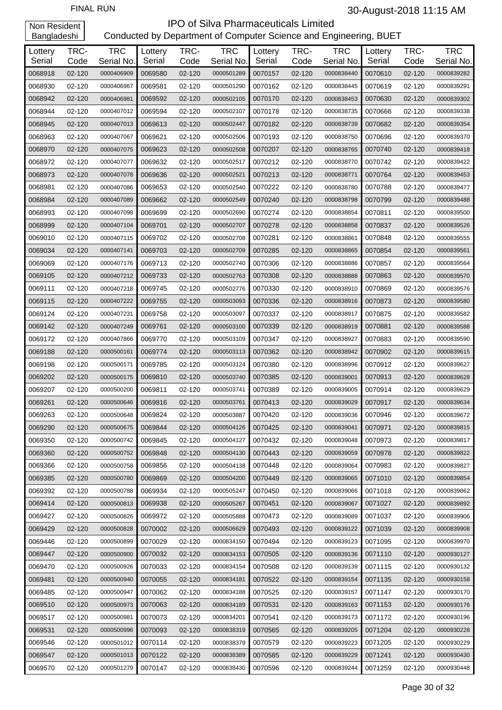| $-$ <u>anglace</u> |                |                          |                   |                |                          |                   |                |                          |                   |                |                          |
|--------------------|----------------|--------------------------|-------------------|----------------|--------------------------|-------------------|----------------|--------------------------|-------------------|----------------|--------------------------|
| Lottery<br>Serial  | TRC-           | <b>TRC</b>               | Lottery<br>Serial | TRC-           | <b>TRC</b>               | Lottery<br>Serial | TRC-           | <b>TRC</b>               | Lottery<br>Serial | TRC-           | <b>TRC</b>               |
| 0068918            | Code<br>02-120 | Serial No.<br>0000406909 | 0069580           | Code<br>02-120 | Serial No.<br>0000501289 | 0070157           | Code<br>02-120 | Serial No.<br>0000838440 | 0070610           | Code<br>02-120 | Serial No.<br>0000839282 |
| 0068930            | 02-120         | 0000406967               | 0069581           | 02-120         | 0000501290               | 0070162           | 02-120         | 0000838445               | 0070619           | 02-120         | 0000839291               |
| 0068942            | 02-120         | 0000406981               | 0069592           | 02-120         | 0000502105               | 0070170           | 02-120         | 0000838453               | 0070630           | 02-120         | 0000839302               |
| 0068944            | 02-120         | 0000407012               | 0069594           | 02-120         | 0000502107               | 0070178           | 02-120         | 0000838735               | 0070666           | 02-120         | 0000839338               |
| 0068945            | 02-120         | 0000407013               | 0069613           | 02-120         | 0000502447               | 0070182           | 02-120         | 0000838739               | 0070682           | 02-120         | 0000839354               |
| 0068963            | 02-120         | 0000407067               | 0069621           | 02-120         | 0000502506               | 0070193           | 02-120         | 0000838750               | 0070696           | 02-120         | 0000839370               |
| 0068970            | 02-120         | 0000407075               | 0069623           | 02-120         | 0000502508               | 0070207           | 02-120         | 0000838765               | 0070740           | 02-120         | 0000839418               |
| 0068972            | 02-120         | 0000407077               | 0069632           | 02-120         | 0000502517               | 0070212           | 02-120         | 0000838770               | 0070742           | 02-120         | 0000839422               |
| 0068973            | 02-120         | 0000407078               | 0069636           | 02-120         | 0000502521               | 0070213           | 02-120         | 0000838771               | 0070764           | 02-120         | 0000839453               |
| 0068981            | 02-120         | 0000407086               | 0069653           | 02-120         | 0000502540               | 0070222           | 02-120         | 0000838780               | 0070788           | 02-120         | 0000839477               |
| 0068984            | 02-120         | 0000407089               | 0069662           | 02-120         | 0000502549               | 0070240           | 02-120         | 0000838798               | 0070799           | 02-120         | 0000839488               |
| 0068993            | 02-120         | 0000407098               | 0069699           | 02-120         | 0000502690               | 0070274           | 02-120         | 0000838854               | 0070811           | 02-120         | 0000839500               |
| 0068999            | 02-120         | 0000407104               | 0069701           | 02-120         | 0000502707               | 0070278           | 02-120         | 0000838858               | 0070837           | 02-120         | 0000839526               |
| 0069010            | 02-120         | 0000407115               | 0069702           | 02-120         | 0000502708               | 0070281           | 02-120         | 0000838861               | 0070848           | 02-120         | 0000839555               |
| 0069034            | 02-120         | 0000407141               | 0069703           | 02-120         | 0000502709               | 0070285           | 02-120         | 0000838865               | 0070854           | 02-120         | 0000839561               |
| 0069069            | 02-120         | 0000407176               | 0069713           | 02-120         | 0000502740               | 0070306           | 02-120         | 0000838886               | 0070857           | 02-120         | 0000839564               |
| 0069105            | 02-120         | 0000407212               | 0069733           | 02-120         | 0000502763               | 0070308           | 02-120         | 0000838888               | 0070863           | 02-120         | 0000839570               |
| 0069111            | 02-120         | 0000407218               | 0069745           | 02-120         | 0000502776               | 0070330           | 02-120         | 0000838910               | 0070869           | 02-120         | 0000839576               |
| 0069115            | 02-120         | 0000407222               | 0069755           | 02-120         | 0000503093               | 0070336           | 02-120         | 0000838916               | 0070873           | 02-120         | 0000839580               |
| 0069124            | 02-120         | 0000407231               | 0069758           | 02-120         | 0000503097               | 0070337           | 02-120         | 0000838917               | 0070875           | 02-120         | 0000839582               |
| 0069142            | 02-120         | 0000407249               | 0069761           | 02-120         | 0000503100               | 0070339           | 02-120         | 0000838919               | 0070881           | 02-120         | 0000839588               |
| 0069172            | 02-120         | 0000407866               | 0069770           | 02-120         | 0000503109               | 0070347           | 02-120         | 0000838927               | 0070883           | 02-120         | 0000839590               |
| 0069188            | 02-120         | 0000500161               | 0069774           | 02-120         | 0000503113               | 0070362           | 02-120         | 0000838942               | 0070902           | 02-120         | 0000839615               |
| 0069198            | 02-120         | 0000500171               | 0069785           | 02-120         | 0000503124               | 0070380           | 02-120         | 0000838996               | 0070912           | 02-120         | 0000839627               |
| 0069202            | 02-120         | 0000500175               | 0069810           | 02-120         | 0000503740               | 0070385           | 02-120         | 0000839001               | 0070913           | 02-120         | 0000839628               |
| 0069207            | 02-120         | 0000500200               | 0069811           | 02-120         | 0000503741               | 0070389           | 02-120         | 0000839005               | 0070914           | 02-120         | 0000839629               |
| 0069261            | 02-120         | 0000500646               | 0069816           | 02-120         | 0000503761               | 0070413           | 02-120         | 0000839029               | 0070917           | 02-120         | 0000839634               |
| 0069263            | 02-120         | 0000500648               | 0069824           | 02-120         | 0000503887               | 0070420           | 02-120         | 0000839036               | 0070946           | 02-120         | 0000839672               |
| 0069290            | $02 - 120$     | 0000500675               | 0069844           | 02-120         | 0000504126               | 0070425           | $02 - 120$     | 0000839041               | 0070971           | 02-120         | 0000839815               |
| 0069350            | 02-120         | 0000500742               | 0069845           | 02-120         | 0000504127               | 0070432           | 02-120         | 0000839048               | 0070973           | 02-120         | 0000839817               |
| 0069360            | 02-120         | 0000500752               | 0069848           | $02 - 120$     | 0000504130               | 0070443           | 02-120         | 0000839059               | 0070978           | 02-120         | 0000839822               |
| 0069366            | 02-120         | 0000500758               | 0069856           | 02-120         | 0000504138               | 0070448           | 02-120         | 0000839064               | 0070983           | 02-120         | 0000839827               |
| 0069385            | 02-120         | 0000500780               | 0069869           | 02-120         | 0000504200               | 0070449           | 02-120         | 0000839065               | 0071010           | $02 - 120$     | 0000839854               |
| 0069392            | 02-120         | 0000500788               | 0069934           | 02-120         | 0000505247               | 0070450           | 02-120         | 0000839066               | 0071018           | 02-120         | 0000839862               |
| 0069414            | 02-120         | 0000500813               | 0069938           | 02-120         | 0000505267               | 0070451           | 02-120         | 0000839067               | 0071027           | 02-120         | 0000839892               |
| 0069427            | 02-120         | 0000500826               | 0069972           | 02-120         | 0000505888               | 0070473           | 02-120         | 0000839089               | 0071037           | 02-120         | 0000839906               |
| 0069429            | 02-120         | 0000500828               | 0070002           | 02-120         | 0000506629               | 0070493           | 02-120         | 0000839122               | 0071039           | 02-120         | 0000839908               |
| 0069446            | 02-120         | 0000500899               | 0070029           | 02-120         | 0000834150               | 0070494           | 02-120         | 0000839123               | 0071095           | 02-120         | 0000839970               |
| 0069447            | 02-120         | 0000500900               | 0070032           | 02-120         | 0000834153               | 0070505           | 02-120         | 0000839136               | 0071110           | 02-120         | 0000930127               |
| 0069470            | 02-120         | 0000500926               | 0070033           | 02-120         | 0000834154               | 0070508           | 02-120         | 0000839139               | 0071115           | 02-120         | 0000930132               |
| 0069481            | 02-120         | 0000500940               | 0070055           | 02-120         | 0000834181               | 0070522           | 02-120         | 0000839154               | 0071135           | 02-120         | 0000930158               |
| 0069485            | 02-120         | 0000500947               | 0070062           | 02-120         | 0000834188               | 0070525           | 02-120         | 0000839157               | 0071147           | 02-120         | 0000930170               |
| 0069510            | 02-120         | 0000500973               | 0070063           | 02-120         | 0000834189               | 0070531           | 02-120         | 0000839163               | 0071153           | 02-120         | 0000930176               |
| 0069517            | 02-120         | 0000500981               | 0070073           | 02-120         | 0000834201               | 0070541           | 02-120         | 0000839173               | 0071172           | 02-120         | 0000930196               |
| 0069531            | 02-120         | 0000500996               | 0070093           | 02-120         | 0000838319               | 0070565           | 02-120         | 0000839205               | 0071204           | 02-120         | 0000930228               |
| 0069546            | 02-120         | 0000501012               | 0070114           | 02-120         | 0000838379               | 0070579           | 02-120         | 0000839223               | 0071205           | 02-120         | 0000930229               |
| 0069547            | 02-120         | 0000501013               | 0070122           | 02-120         | 0000838389               | 0070585           | 02-120         | 0000839229               | 0071241           | 02-120         | 0000930430               |
| 0069570            | 02-120         | 0000501279               | 0070147           | 02-120         | 0000838430               | 0070596           | 02-120         | 0000839244               | 0071259           | 02-120         | 0000930448               |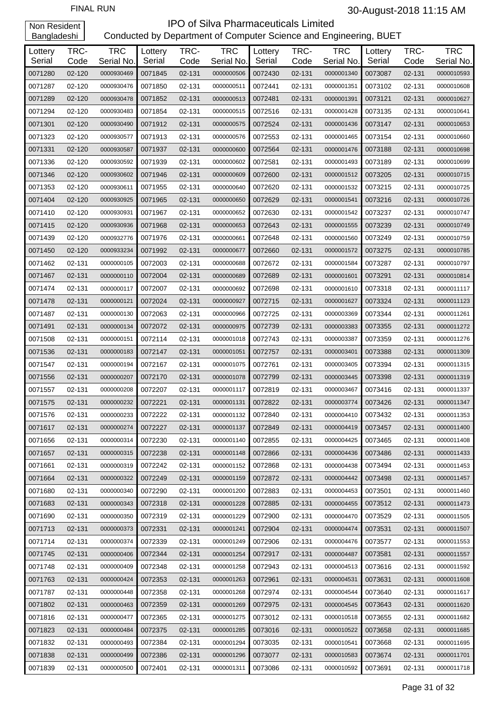| <b>TRC</b><br><b>TRC</b><br><b>TRC</b><br>TRC-<br>TRC-<br>TRC-<br>TRC-<br>Lottery<br>Lottery<br>Lottery<br>Lottery<br>Serial<br>Serial No.<br>Serial<br>Serial<br>Serial<br>Serial No.<br>Serial No.<br>Code<br>Code<br>Code<br>Code | <b>TRC</b><br>Serial No. |
|--------------------------------------------------------------------------------------------------------------------------------------------------------------------------------------------------------------------------------------|--------------------------|
|                                                                                                                                                                                                                                      |                          |
|                                                                                                                                                                                                                                      |                          |
| 0072430<br>0071280<br>0000930469<br>0071845<br>02-131<br>0000001340<br>0073087<br>02-131<br>02-120<br>0000000506<br>02-131                                                                                                           | 0000010593               |
| 0071287<br>02-120<br>0071850<br>02-131<br>0072441<br>0073102<br>02-131<br>0000930476<br>0000000511<br>02-131<br>0000001351                                                                                                           | 0000010608               |
| 0071289<br>02-131<br>0072481<br>0073121<br>02-120<br>0000930478<br>0071852<br>0000000513<br>02-131<br>0000001391<br>02-131                                                                                                           | 0000010627               |
| 0071294<br>0072516<br>02-120<br>0000930483<br>0071854<br>02-131<br>0000000515<br>02-131<br>0000001428<br>0073135<br>02-131                                                                                                           | 0000010641               |
| 0071301<br>0072524<br>0073147<br>02-120<br>0000930490<br>0071912<br>02-131<br>0000000575<br>02-131<br>0000001436<br>02-131                                                                                                           | 0000010653               |
| 0071323<br>0071913<br>0072553<br>0073154<br>02-120<br>0000930577<br>02-131<br>0000000576<br>02-131<br>0000001465<br>02-131                                                                                                           | 0000010660               |
| 0071331<br>02-131<br>0072564<br>02-120<br>0000930587<br>0071937<br>0000000600<br>02-131<br>0000001476<br>0073188<br>02-131                                                                                                           | 0000010698               |
| 0071336<br>02-120<br>0000930592<br>0071939<br>02-131<br>0000000602<br>0072581<br>02-131<br>0000001493<br>0073189<br>02-131                                                                                                           | 0000010699               |
| 0071346<br>0072600<br>02-120<br>0000930602<br>0071946<br>02-131<br>0000000609<br>02-131<br>0000001512<br>0073205<br>02-131                                                                                                           | 0000010715               |
| 0071353<br>0071955<br>02-131<br>0072620<br>02-120<br>0000930611<br>0000000640<br>02-131<br>0000001532<br>0073215<br>02-131                                                                                                           | 0000010725               |
| 0071404<br>02-131<br>0072629<br>02-120<br>0000930925<br>0071965<br>0000000650<br>02-131<br>0000001541<br>0073216<br>02-131                                                                                                           | 0000010726               |
| 0072630<br>0071410<br>02-120<br>0000930931<br>0071967<br>02-131<br>0000000652<br>02-131<br>0000001542<br>0073237<br>02-131                                                                                                           | 0000010747               |
| 0072643<br>0071415<br>02-120<br>0000930936<br>0071968<br>02-131<br>0000000653<br>02-131<br>0000001555<br>0073239<br>02-131                                                                                                           | 0000010749               |
| 0071439<br>0071976<br>02-131<br>0072648<br>0073249<br>02-120<br>0000932776<br>0000000661<br>02-131<br>0000001560<br>02-131                                                                                                           | 0000010759               |
| 0071450<br>02-131<br>0072660<br>02-120<br>0000933234<br>0071992<br>0000000677<br>02-131<br>0000001572<br>0073275<br>02-131                                                                                                           | 0000010785               |
| 0072672<br>0071462<br>02-131<br>0000000105<br>0072003<br>02-131<br>0000000688<br>02-131<br>0000001584<br>0073287<br>02-131                                                                                                           | 0000010797               |
| 0071467<br>02-131<br>0072689<br>02-131<br>0000000110<br>0072004<br>0000000689<br>02-131<br>0000001601<br>0073291<br>02-131                                                                                                           | 0000010814               |
| 0071474<br>0072007<br>02-131<br>0072698<br>0073318<br>02-131<br>0000000117<br>0000000692<br>02-131<br>0000001610<br>02-131                                                                                                           | 0000011117               |
| 02-131<br>0072715<br>0073324<br>0071478<br>02-131<br>0000000121<br>0072024<br>0000000927<br>02-131<br>0000001627<br>02-131                                                                                                           | 0000011123               |
| 0071487<br>02-131<br>0000000130<br>0072063<br>02-131<br>0000000966<br>0072725<br>02-131<br>0000003369<br>0073344<br>02-131                                                                                                           | 0000011261               |
| 0072739<br>0071491<br>02-131<br>0000000134<br>0072072<br>02-131<br>0000000975<br>02-131<br>0000003383<br>0073355<br>02-131                                                                                                           | 0000011272               |
| 0071508<br>0072114<br>02-131<br>0072743<br>0073359<br>02-131<br>0000000151<br>0000001018<br>02-131<br>0000003387<br>02-131                                                                                                           | 0000011276               |
| 0072147<br>0072757<br>0073388<br>0071536<br>02-131<br>0000000183<br>02-131<br>0000001051<br>02-131<br>0000003401<br>02-131                                                                                                           | 0000011309               |
| 0071547<br>02-131<br>0000000194<br>0072167<br>02-131<br>0000001075<br>0072761<br>02-131<br>0000003405<br>0073394<br>02-131                                                                                                           | 0000011315               |
| 0071556<br>02-131<br>0000000207<br>0072170<br>02-131<br>0000001078<br>0072799<br>02-131<br>0000003445<br>0073398<br>02-131                                                                                                           | 0000011319               |
| 0072819<br>0071557<br>02-131<br>0000000208<br>0072207<br>02-131<br>0000001117<br>02-131<br>0000003467<br>0073416<br>02-131                                                                                                           | 0000011337               |
| 0071575<br>02-131<br>0072221<br>02-131<br>0072822<br>02-131<br>0000000232<br>0000001131<br>0000003774<br>0073426<br>02-131                                                                                                           | 0000011347               |
| 0000001132 0072840<br>0071576<br>02-131<br>0000000233<br>0072222<br>02-131<br>02-131<br>0000004410<br>0073432<br>02-131                                                                                                              | 0000011353               |
| 0000004419<br>0071617<br>02-131<br>0000000274<br>0072227<br>02-131<br>0000001137<br>0072849<br>02-131<br>0073457<br>02-131                                                                                                           | 0000011400               |
| 0071656<br>02-131<br>0072230<br>02-131<br>0072855<br>0000000314<br>0000001140<br>02-131<br>0000004425<br>0073465<br>02-131                                                                                                           | 0000011408               |
| 0071657<br>02-131<br>0072238<br>02-131<br>0072866<br>0073486<br>0000000315<br>0000001148<br>02-131<br>0000004436<br>02-131                                                                                                           | 0000011433               |
| 0071661<br>02-131<br>0072242<br>02-131<br>0072868<br>02-131<br>0000000319<br>0000001152<br>0000004438<br>0073494<br>02-131                                                                                                           | 0000011453               |
| 0071664<br>02-131<br>0072249<br>02-131<br>0072872<br>0073498<br>0000000322<br>0000001159<br>02-131<br>0000004442<br>02-131                                                                                                           | 0000011457               |
| 0071680<br>02-131<br>0072290<br>02-131<br>0072883<br>0000000340<br>0000001200<br>02-131<br>0000004453<br>0073501<br>02-131                                                                                                           | 0000011460               |
| 0071683<br>02-131<br>0072318<br>02-131<br>0072885<br>02-131<br>0073512<br>0000000343<br>0000001228<br>0000004455<br>02-131                                                                                                           | 0000011473               |
| 0071690<br>02-131<br>0072319<br>02-131<br>0072900<br>02-131<br>0000000350<br>0000001229<br>0000004470<br>0073529<br>02-131                                                                                                           | 0000011505               |
| 0071713<br>02-131<br>0072331<br>02-131<br>0072904<br>02-131<br>0073531<br>02-131<br>0000000373<br>0000001241<br>0000004474                                                                                                           | 0000011507               |
| 0071714<br>02-131<br>0072339<br>02-131<br>0072906<br>0000000374<br>0000001249<br>02-131<br>0000004476<br>0073577<br>02-131                                                                                                           | 0000011553               |
| 0071745<br>02-131<br>0072344<br>02-131<br>0072917<br>0073581<br>0000000406<br>0000001254<br>02-131<br>0000004487<br>02-131                                                                                                           | 0000011557               |
| 0071748<br>02-131<br>0072348<br>02-131<br>0072943<br>02-131<br>0000000409<br>0000001258<br>0000004513<br>0073616<br>02-131                                                                                                           | 0000011592               |
| 0071763<br>02-131<br>0072353<br>02-131<br>0072961<br>0073631<br>02-131<br>0000000424<br>0000001263<br>02-131<br>0000004531                                                                                                           | 0000011608               |
| 0071787<br>02-131<br>0072358<br>02-131<br>0072974<br>0000000448<br>0000001268<br>02-131<br>0000004544<br>0073640<br>02-131                                                                                                           | 0000011617               |
| 0071802<br>02-131<br>0072359<br>02-131<br>0072975<br>0073643<br>0000000463<br>0000001269<br>02-131<br>0000004545<br>02-131                                                                                                           | 0000011620               |
| 0071816<br>02-131<br>0072365<br>02-131<br>0073012<br>02-131<br>0000000477<br>0000001275<br>0000010518<br>0073655<br>02-131                                                                                                           | 0000011682               |
| 0071823<br>02-131<br>0072375<br>02-131<br>0073016<br>0073658<br>0000000484<br>0000001285<br>02-131<br>0000010522<br>02-131                                                                                                           | 0000011685               |
| 0071832<br>02-131<br>0072384<br>0073035<br>0000000493<br>02-131<br>0000001294<br>02-131<br>0000010541<br>0073668<br>02-131                                                                                                           | 0000011695               |
| 0071838<br>02-131<br>0072386<br>02-131<br>0073077<br>0000000499<br>0000001296<br>02-131<br>0000010583<br>0073674<br>02-131                                                                                                           | 0000011701               |
| 0071839<br>02-131<br>0000000500<br>0072401<br>02-131<br>0000001311<br>0073086<br>02-131<br>0073691<br>02-131<br>0000010592                                                                                                           | 0000011718               |